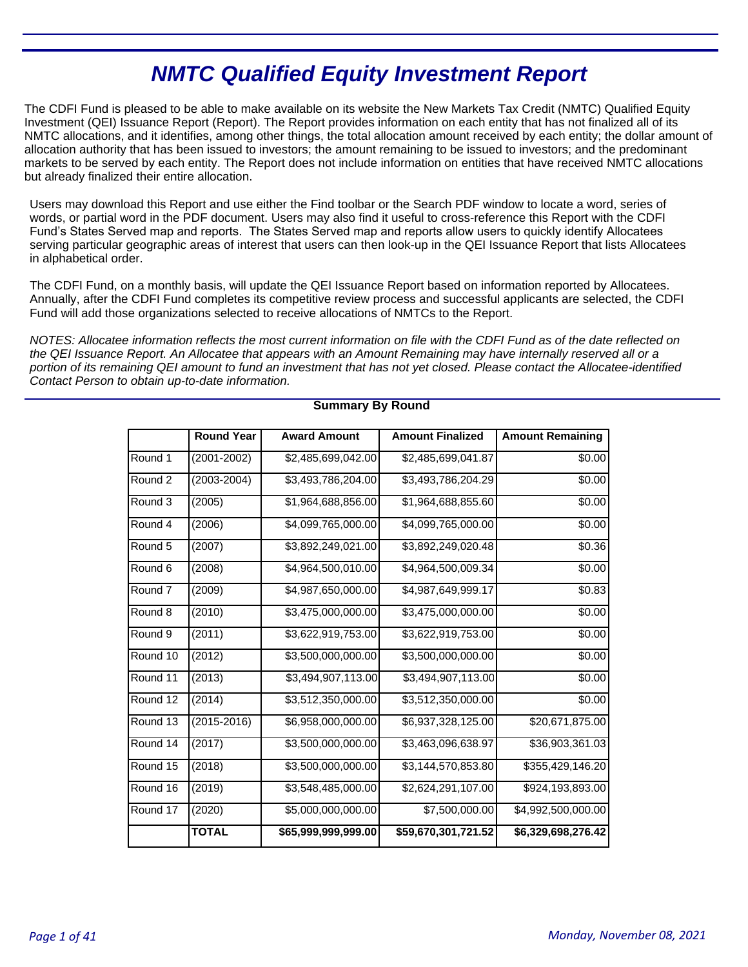# **NMTC Qualified Equity Investment Report**

The CDFI Fund is pleased to be able to make available on its website the New Markets Tax Credit (NMTC) Qualified Equity Investment (QEI) Issuance Report (Report). The Report provides information on each entity that has not finalized all of its NMTC allocations, and it identifies, among other things, the total allocation amount received by each entity; the dollar amount of allocation authority that has been issued to investors; the amount remaining to be issued to investors; and the predominant markets to be served by each entity. The Report does not include information on entities that have received NMTC allocations but already finalized their entire allocation.

Users may download this Report and use either the Find toolbar or the Search PDF window to locate a word, series of words, or partial word in the PDF document. Users may also find it useful to cross-reference this Report with the CDFI Fund's States Served map and reports. The States Served map and reports allow users to quickly identify Allocatees serving particular geographic areas of interest that users can then look-up in the QEI Issuance Report that lists Allocatees in alphabetical order.

The CDFI Fund, on a monthly basis, will update the QEI Issuance Report based on information reported by Allocatees. Annually, after the CDFI Fund completes its competitive review process and successful applicants are selected, the CDFI Fund will add those organizations selected to receive allocations of NMTCs to the Report.

NOTES: Allocatee information reflects the most current information on file with the CDFI Fund as of the date reflected on the QEI Issuance Report. An Allocatee that appears with an Amount Remaining may have internally reserved all or a portion of its remaining QEI amount to fund an investment that has not yet closed. Please contact the Allocatee-identified Contact Person to obtain up-to-date information.

|                                          | <b>Round Year</b>                     | <b>Award Amount</b>                      | <b>Amount Finalized</b> | <b>Amount Remaining</b> |  |
|------------------------------------------|---------------------------------------|------------------------------------------|-------------------------|-------------------------|--|
| Round 1                                  | $(2001 - 2002)$<br>\$2,485,699,042.00 |                                          | \$2,485,699,041.87      | \$0.00                  |  |
| Round 2                                  | $(2003 - 2004)$                       | \$3,493,786,204.00                       | \$3,493,786,204.29      | \$0.00                  |  |
| Round 3                                  | (2005)                                | \$1,964,688,856.00                       | \$1,964,688,855.60      | \$0.00                  |  |
| Round 4                                  | (2006)                                | \$4,099,765,000.00                       | \$4,099,765,000.00      | \$0.00                  |  |
| Round 5                                  | (2007)                                | \$3,892,249,021.00                       | \$3,892,249,020.48      | \$0.36                  |  |
| Round <sub>6</sub>                       | (2008)                                | \$4,964,500,010.00                       | \$4,964,500,009.34      | \$0.00                  |  |
| Round <sub>7</sub>                       | (2009)                                | \$4,987,650,000.00                       | \$4,987,649,999.17      | \$0.83                  |  |
| Round 8                                  | (2010)                                | \$3,475,000,000.00<br>\$3,475,000,000.00 |                         | \$0.00                  |  |
| Round <sub>9</sub>                       | (2011)                                | \$3,622,919,753.00                       | \$3,622,919,753.00      |                         |  |
| Round 10                                 | (2012)                                | \$3,500,000,000.00                       | \$3,500,000,000.00      |                         |  |
| Round 11                                 | (2013)                                | \$3,494,907,113.00                       | \$3,494,907,113.00      |                         |  |
| Round 12                                 | (2014)                                | \$3,512,350,000.00                       | \$3,512,350,000.00      |                         |  |
| Round 13                                 | \$6,958,000,000.00<br>(2015-2016)     |                                          | \$6,937,328,125.00      | \$20,671,875.00         |  |
| Round 14<br>\$3,500,000,000.00<br>(2017) |                                       | \$3,463,096,638.97                       | \$36,903,361.03         |                         |  |
| Round 15                                 | (2018)                                | \$3,500,000,000.00                       | \$3,144,570,853.80      | \$355,429,146.20        |  |
| Round 16                                 | (2019)                                | \$3,548,485,000.00                       | \$2,624,291,107.00      | \$924,193,893.00        |  |
| Round 17                                 | (2020)                                | \$5,000,000,000.00                       | \$7,500,000.00          | \$4,992,500,000.00      |  |
|                                          | <b>TOTAL</b>                          | \$65,999,999,999.00                      | \$59,670,301,721.52     | \$6,329,698,276.42      |  |

### **Summary By Round**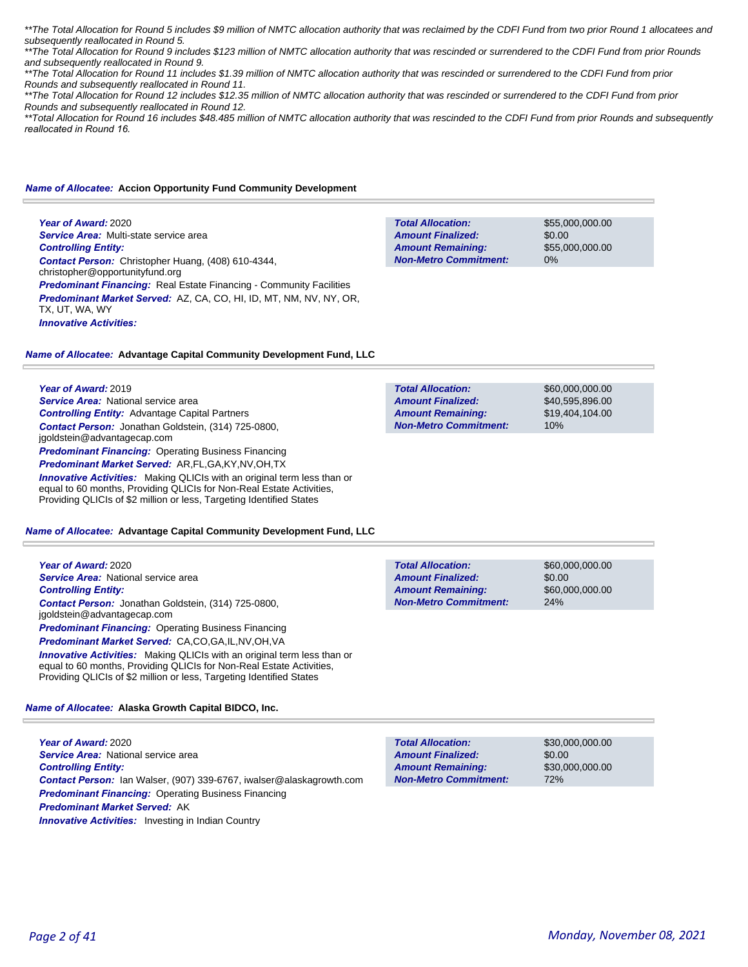\*\*The Total Allocation for Round 5 includes \$9 million of NMTC allocation authority that was reclaimed by the CDFI Fund from two prior Round 1 allocatees and subsequently reallocated in Round 5.

\*\*The Total Allocation for Round 9 includes \$123 million of NMTC allocation authority that was rescinded or surrendered to the CDFI Fund from prior Rounds and subsequently reallocated in Round 9.

\*\*The Total Allocation for Round 11 includes \$1.39 million of NMTC allocation authority that was rescinded or surrendered to the CDFI Fund from prior Rounds and subsequently reallocated in Round 11.

\*\*The Total Allocation for Round 12 includes \$12.35 million of NMTC allocation authority that was rescinded or surrendered to the CDFI Fund from prior Rounds and subsequently reallocated in Round 12.

\*\*Total Allocation for Round 16 includes \$48.485 million of NMTC allocation authority that was rescinded to the CDFI Fund from prior Rounds and subsequently *reallocated in Round 16.* 

#### *Name of Allocatee:* **Accion Opportunity Fund Community Development**

**Year of Award:** 2020 *Service Area:* Multi-state service area *Controlling Entity: Contact Person:* Christopher Huang, (408) 610-4344, christopher@opportunityfund.org **Predominant Financing:** Real Estate Financing - Community Facilities *Predominant Market Served:* AZ, CA, CO, HI, ID, MT, NM, NV, NY, OR, TX, UT, WA, WY *Innovative Activities:* 

**Total Allocation: Non-Metro Commitment: Amount Remaining: Amount Finalized:**

**Total Allocation:**

**Total Allocation:**

**Non-Metro Commitment: Amount Remaining: Amount Finalized:**

**Non-Metro Commitment: Amount Remaining: Amount Finalized:**

\$55,000,000.00 \$0.00 \$55,000,000.00 0%

\$60,000,000.00 \$40,595,896.00 \$19,404,104.00

\$60,000,000.00 \$0.00

\$60,000,000.00

24%

10%

### *Name of Allocatee:* **Advantage Capital Community Development Fund, LLC**

**Year of Award:** 2019

*Service Area:* National service area *Controlling Entity:* Advantage Capital Partners *Contact Person:* Jonathan Goldstein, (314) 725-0800, jgoldstein@advantagecap.com **Predominant Financing: Operating Business Financing** *Predominant Market Served:* AR,FL,GA,KY,NV,OH,TX

*Innovative Activities:* Making QLICIs with an original term less than or equal to 60 months, Providing QLICIs for Non-Real Estate Activities, Providing QLICIs of \$2 million or less, Targeting Identified States

#### *Name of Allocatee:* **Advantage Capital Community Development Fund, LLC**

**Year of Award:** 2020 *Service Area:* National service area *Controlling Entity: Contact Person:* Jonathan Goldstein, (314) 725-0800, jgoldstein@advantagecap.com **Predominant Financing: Operating Business Financing** *Predominant Market Served:* CA,CO,GA,IL,NV,OH,VA

**Innovative Activities:** Making QLICIs with an original term less than or equal to 60 months, Providing QLICIs for Non-Real Estate Activities, Providing QLICIs of \$2 million or less, Targeting Identified States

### *Name of Allocatee:* **Alaska Growth Capital BIDCO, Inc.**

**Year of Award:** 2020 *Service Area:* National service area *Controlling Entity: Contact Person:* Ian Walser, (907) 339-6767, iwalser@alaskagrowth.com *Predominant Financing:* Operating Business Financing *Predominant Market Served:* AK **Innovative Activities:** Investing in Indian Country

| <b>Total Allocation:</b>     |  |
|------------------------------|--|
| <b>Amount Finalized:</b>     |  |
| <b>Amount Remaining:</b>     |  |
| <b>Non-Metro Commitment:</b> |  |

\$30,000,000.00 \$0.00 \$30,000,000.00 72%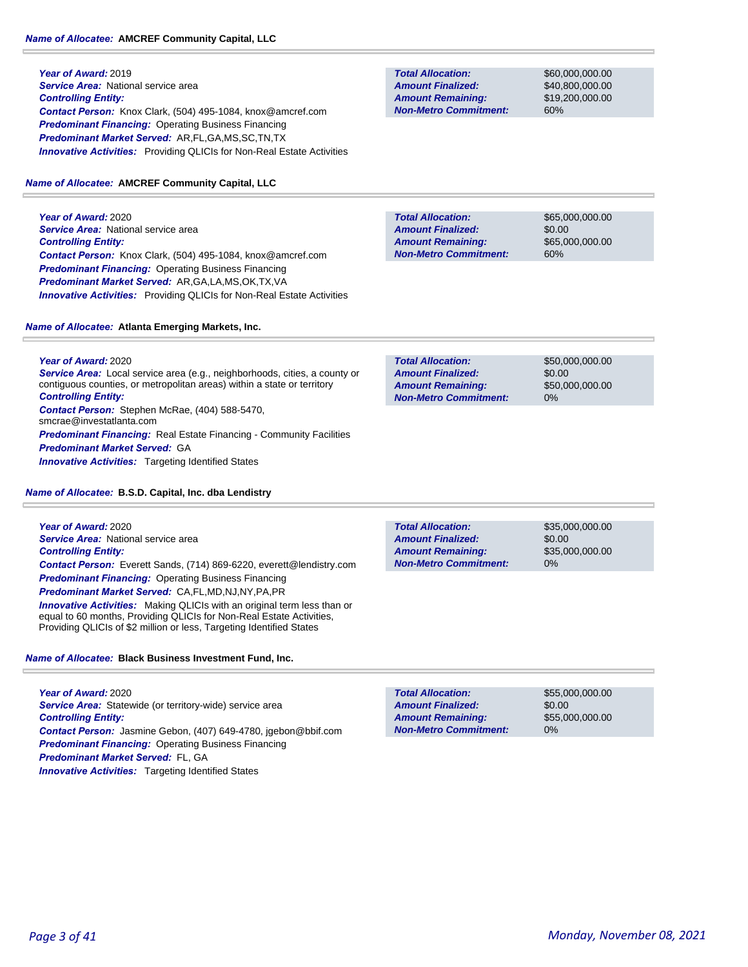### *Name of Allocatee:* **AMCREF Community Capital, LLC**

**Year of Award:** 2019 **Service Area: National service area** *Controlling Entity: Contact Person:* Knox Clark, (504) 495-1084, knox@amcref.com **Predominant Financing: Operating Business Financing** *Predominant Market Served:* AR,FL,GA,MS,SC,TN,TX **Innovative Activities:** Providing QLICIs for Non-Real Estate Activities

### *Name of Allocatee:* **AMCREF Community Capital, LLC**

**Year of Award:** 2020 **Service Area: National service area** *Controlling Entity: Contact Person:* Knox Clark, (504) 495-1084, knox@amcref.com *Predominant Financing:* Operating Business Financing *Predominant Market Served:* AR,GA,LA,MS,OK,TX,VA *Innovative Activities:* Providing QLICIs for Non-Real Estate Activities

### *Name of Allocatee:* **Atlanta Emerging Markets, Inc.**

**Year of Award:** 2020 **Service Area:** Local service area (e.g., neighborhoods, cities, a county or contiguous counties, or metropolitan areas) within a state or territory *Controlling Entity: Contact Person:* Stephen McRae, (404) 588-5470, smcrae@investatlanta.com **Predominant Financing:** Real Estate Financing - Community Facilities *Predominant Market Served:* GA *Innovative Activities:* Targeting Identified States

*Name of Allocatee:* **B.S.D. Capital, Inc. dba Lendistry**

**Year of Award:** 2020 *Service Area:* National service area *Controlling Entity: Contact Person:* Everett Sands, (714) 869-6220, everett@lendistry.com *Predominant Financing:* Operating Business Financing *Predominant Market Served:* CA,FL,MD,NJ,NY,PA,PR

*Innovative Activities:* Making QLICIs with an original term less than or equal to 60 months, Providing QLICIs for Non-Real Estate Activities, Providing QLICIs of \$2 million or less, Targeting Identified States

*Name of Allocatee:* **Black Business Investment Fund, Inc.**

**Year of Award:** 2020 Service Area: Statewide (or territory-wide) service area *Controlling Entity: Contact Person:* Jasmine Gebon, (407) 649-4780, jgebon@bbif.com *Predominant Financing:* Operating Business Financing *Predominant Market Served:* FL, GA **Innovative Activities:** Targeting Identified States

**Total Allocation: Non-Metro Commitment: Amount Remaining: Amount Finalized:**

\$60,000,000.00 \$40,800,000.00 \$19,200,000.00 60%

**Total Allocation: Non-Metro Commitment: Amount Remaining: Amount Finalized:**

\$65,000,000.00 \$0.00 \$65,000,000.00 60%

\$50,000,000.00 \$0.00 \$50,000,000.00 0% **Total Allocation: Non-Metro Commitment: Amount Remaining: Amount Finalized:**

\$35,000,000.00 \$0.00 \$35,000,000.00 0% **Total Allocation: Non-Metro Commitment: Amount Remaining: Amount Finalized:**

\$55,000,000.00 \$0.00 \$55,000,000.00 0% **Total Allocation: Non-Metro Commitment: Amount Remaining: Amount Finalized:**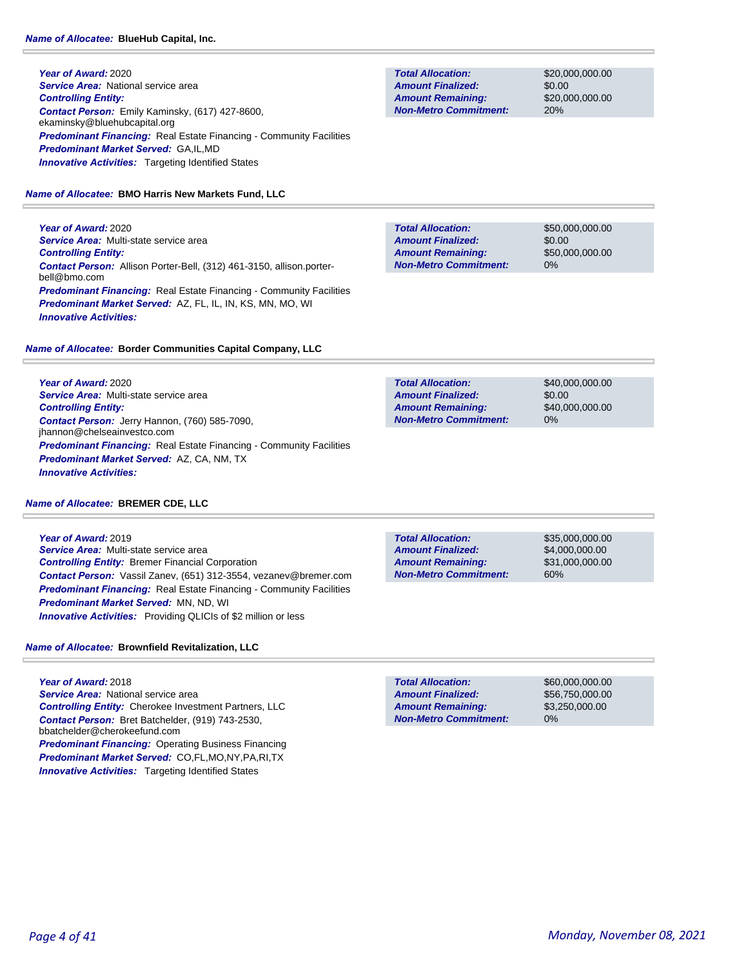**Year of Award:** 2020 **Service Area: National service area** *Controlling Entity: Contact Person:* Emily Kaminsky, (617) 427-8600, ekaminsky@bluehubcapital.org **Predominant Financing:** Real Estate Financing - Community Facilities *Predominant Market Served:* GA,IL,MD **Innovative Activities:** Targeting Identified States

### *Name of Allocatee:* **BMO Harris New Markets Fund, LLC**

**Year of Award:** 2020 *Service Area:* Multi-state service area *Controlling Entity: Contact Person:* Allison Porter-Bell, (312) 461-3150, allison.porterbell@bmo.com **Predominant Financing:** Real Estate Financing - Community Facilities *Predominant Market Served:* AZ, FL, IL, IN, KS, MN, MO, WI *Innovative Activities:* 

### *Name of Allocatee:* **Border Communities Capital Company, LLC**

**Year of Award:** 2020 *Service Area:* Multi-state service area *Controlling Entity: Contact Person:* Jerry Hannon, (760) 585-7090, jhannon@chelseainvestco.com *Predominant Financing:* Real Estate Financing - Community Facilities *Predominant Market Served:* AZ, CA, NM, TX *Innovative Activities:* 

### *Name of Allocatee:* **BREMER CDE, LLC**

**Year of Award:** 2019 *Service Area:* Multi-state service area *Controlling Entity:* Bremer Financial Corporation *Contact Person:* Vassil Zanev, (651) 312-3554, vezanev@bremer.com **Predominant Financing:** Real Estate Financing - Community Facilities *Predominant Market Served:* MN, ND, WI *Innovative Activities:* Providing QLICIs of \$2 million or less

### *Name of Allocatee:* **Brownfield Revitalization, LLC**

**Year of Award:** 2018 *Service Area:* National service area *Controlling Entity:* Cherokee Investment Partners, LLC *Contact Person:* Bret Batchelder, (919) 743-2530, bbatchelder@cherokeefund.com **Predominant Financing: Operating Business Financing** *Predominant Market Served:* CO,FL,MO,NY,PA,RI,TX **Innovative Activities:** Targeting Identified States

**Total Allocation: Non-Metro Commitment: Amount Remaining: Amount Finalized:**

\$20,000,000.00 \$0.00 \$20,000,000.00 20%

\$50,000,000.00 \$0.00 \$50,000,000.00 0% **Total Allocation: Non-Metro Commitment: Amount Remaining: Amount Finalized:**

**Total Allocation: Non-Metro Commitment: Amount Remaining: Amount Finalized:**

\$40,000,000.00 \$0.00 \$40,000,000.00 0%

**Total Allocation: Non-Metro Commitment: Amount Remaining: Amount Finalized:**

\$35,000,000.00 \$4,000,000.00 \$31,000,000.00 60%

0% **Total Allocation: Non-Metro Commitment: Amount Remaining: Amount Finalized:**

\$60,000,000.00 \$56,750,000.00 \$3,250,000.00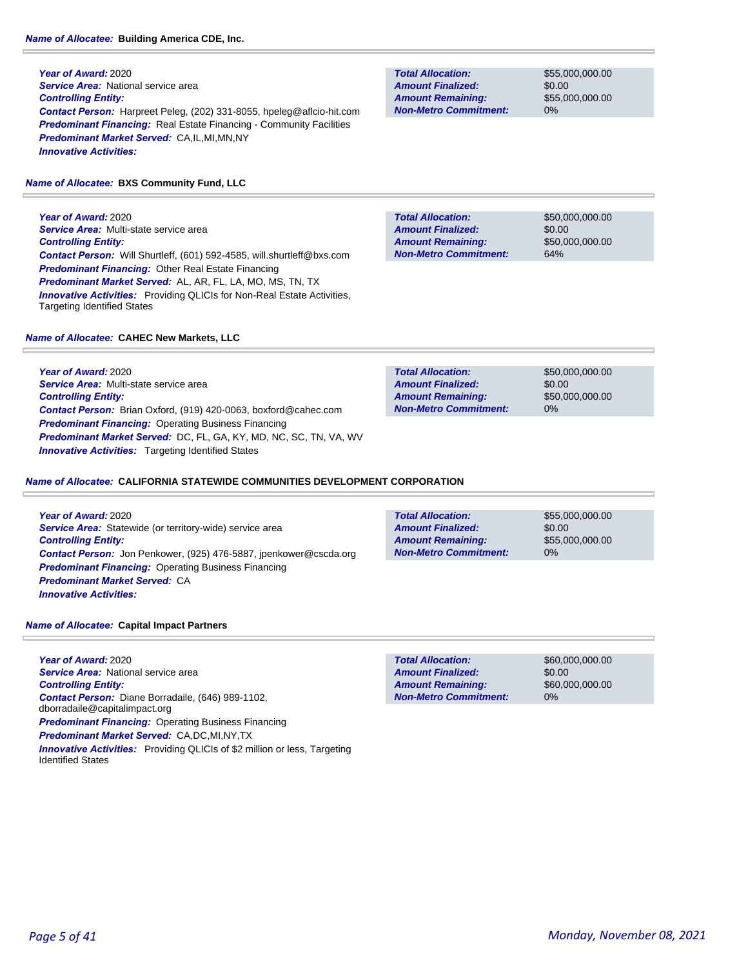**Year of Award:** 2020 *Service Area:* National service area *Controlling Entity: Contact Person:* Harpreet Peleg, (202) 331-8055, hpeleg@aflcio-hit.com **Predominant Financing:** Real Estate Financing - Community Facilities *Predominant Market Served:* CA,IL,MI,MN,NY *Innovative Activities:* 

### *Name of Allocatee:* **BXS Community Fund, LLC**

**Year of Award:** 2020 *Service Area:* Multi-state service area *Controlling Entity: Contact Person:* Will Shurtleff, (601) 592-4585, will.shurtleff@bxs.com *Predominant Financing:* Other Real Estate Financing *Predominant Market Served:* AL, AR, FL, LA, MO, MS, TN, TX *Innovative Activities:* Providing QLICIs for Non-Real Estate Activities, Targeting Identified States

### *Name of Allocatee:* **CAHEC New Markets, LLC**

**Year of Award:** 2020 *Service Area:* Multi-state service area *Controlling Entity: Contact Person:* Brian Oxford, (919) 420-0063, boxford@cahec.com *Predominant Financing:* Operating Business Financing *Predominant Market Served:* DC, FL, GA, KY, MD, NC, SC, TN, VA, WV *Innovative Activities:* Targeting Identified States

### *Name of Allocatee:* **CALIFORNIA STATEWIDE COMMUNITIES DEVELOPMENT CORPORATION**

**Year of Award:** 2020 **Service Area:** Statewide (or territory-wide) service area *Controlling Entity: Contact Person:* Jon Penkower, (925) 476-5887, jpenkower@cscda.org *Predominant Financing: Operating Business Financing Predominant Market Served:* CA *Innovative Activities:* 

\$55,000,000.00 \$0.00 \$55,000,000.00 0% **Total Allocation: Non-Metro Commitment: Amount Remaining: Amount Finalized:**

*Name of Allocatee:* **Capital Impact Partners**

**Year of Award:** 2020 *Service Area:* National service area *Controlling Entity: Contact Person:* Diane Borradaile, (646) 989-1102, dborradaile@capitalimpact.org *Predominant Financing: Operating Business Financing Predominant Market Served:* CA,DC,MI,NY,TX *Innovative Activities:* Providing QLICIs of \$2 million or less, Targeting Identified States

**Total Allocation: Non-Metro Commitment: Amount Remaining: Amount Finalized:**

\$55,000,000.00 \$0.00 \$55,000,000.00 0%

**Total Allocation: Non-Metro Commitment: Amount Remaining: Amount Finalized:**

\$50,000,000.00 \$0.00 \$50,000,000.00 64%

\$50,000,000.00 \$0.00 \$50,000,000.00 0% **Total Allocation: Non-Metro Commitment: Amount Remaining: Amount Finalized:**

\$0.00 **Total Allocation: Non-Metro Commitment: Amount Remaining: Amount Finalized:**

\$60,000,000.00 \$60,000,000.00 0%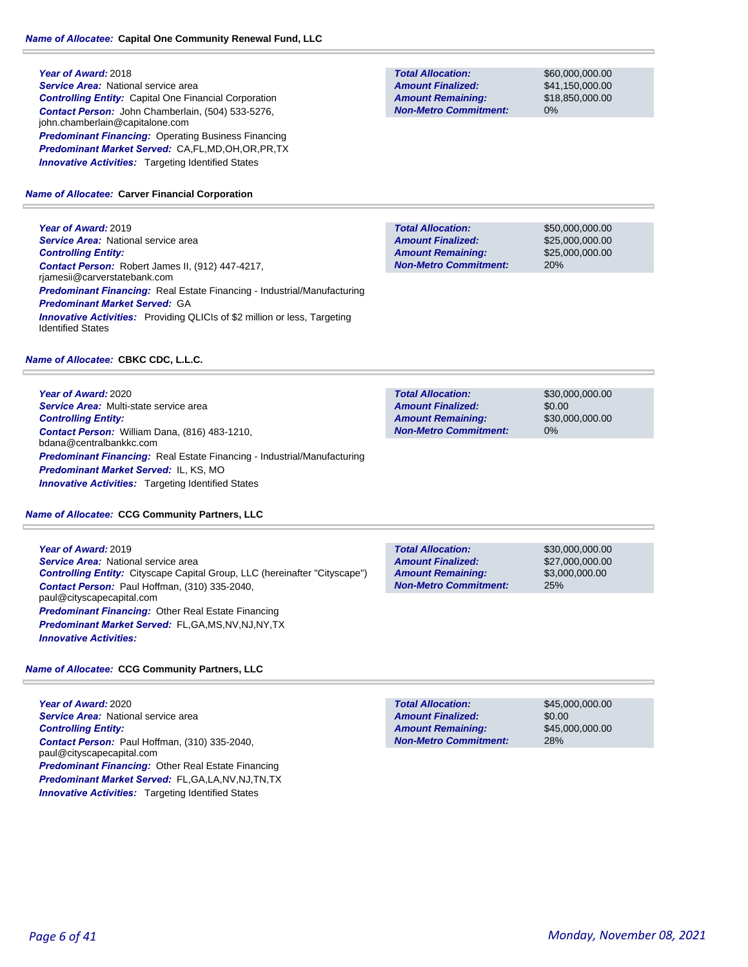**Year of Award:** 2018 *Service Area:* National service area *Controlling Entity:* Capital One Financial Corporation *Contact Person:* John Chamberlain, (504) 533-5276, john.chamberlain@capitalone.com **Predominant Financing: Operating Business Financing** *Predominant Market Served:* CA,FL,MD,OH,OR,PR,TX **Innovative Activities:** Targeting Identified States

### *Name of Allocatee:* **Carver Financial Corporation**

**Year of Award:** 2019 **Service Area: National service area** *Controlling Entity: Contact Person:* Robert James II, (912) 447-4217, rjamesii@carverstatebank.com *Predominant Financing:* Real Estate Financing - Industrial/Manufacturing *Predominant Market Served:* GA **Innovative Activities:** Providing QLICIs of \$2 million or less, Targeting Identified States

### *Name of Allocatee:* **CBKC CDC, L.L.C.**

**Year of Award:** 2020 *Service Area:* Multi-state service area *Controlling Entity: Contact Person:* William Dana, (816) 483-1210, bdana@centralbankkc.com *Predominant Financing:* Real Estate Financing - Industrial/Manufacturing *Predominant Market Served:* IL, KS, MO *Innovative Activities:* Targeting Identified States

### *Name of Allocatee:* **CCG Community Partners, LLC**

**Year of Award:** 2019

**Service Area:** National service area *Controlling Entity:* Cityscape Capital Group, LLC (hereinafter "Cityscape") *Contact Person:* Paul Hoffman, (310) 335-2040, paul@cityscapecapital.com *Predominant Financing:* Other Real Estate Financing *Predominant Market Served:* FL,GA,MS,NV,NJ,NY,TX *Innovative Activities:* 

### *Name of Allocatee:* **CCG Community Partners, LLC**

**Year of Award:** 2020 **Service Area: National service area** *Controlling Entity: Contact Person:* Paul Hoffman, (310) 335-2040, paul@cityscapecapital.com *Predominant Financing:* Other Real Estate Financing *Predominant Market Served:* FL,GA,LA,NV,NJ,TN,TX **Innovative Activities:** Targeting Identified States

**Total Allocation: Non-Metro Commitment: Amount Remaining: Amount Finalized:**

\$60,000,000.00 \$41,150,000.00 \$18,850,000.00 0%

\$50,000,000.00 \$25,000,000.00 \$25,000,000.00 20% **Total Allocation: Non-Metro Commitment: Amount Remaining: Amount Finalized:**

\$30,000,000.00 \$0.00 \$30,000,000.00 0% **Total Allocation: Non-Metro Commitment: Amount Remaining: Amount Finalized:**

**Total Allocation: Non-Metro Commitment: Amount Remaining: Amount Finalized:**

\$30,000,000.00 \$27,000,000.00 \$3,000,000.00 25%

28% **Total Allocation: Non-Metro Commitment: Amount Remaining: Amount Finalized:**

\$45,000,000.00 \$0.00 \$45,000,000.00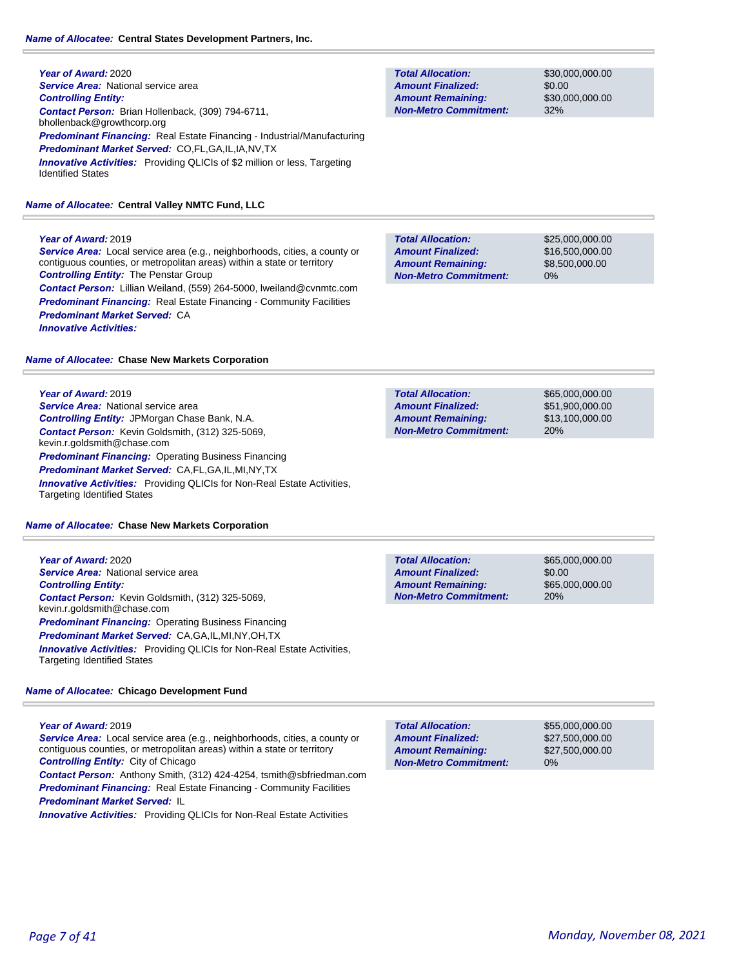#### *Name of Allocatee:* **Central States Development Partners, Inc.**

**Year of Award:** 2020 *Service Area:* National service area *Controlling Entity: Contact Person:* Brian Hollenback, (309) 794-6711, bhollenback@growthcorp.org *Predominant Financing:* Real Estate Financing - Industrial/Manufacturing *Predominant Market Served:* CO,FL,GA,IL,IA,NV,TX *Innovative Activities:* Providing QLICIs of \$2 million or less, Targeting Identified States

#### *Name of Allocatee:* **Central Valley NMTC Fund, LLC**

#### **Year of Award:** 2019

*Service Area:* Local service area (e.g., neighborhoods, cities, a county or contiguous counties, or metropolitan areas) within a state or territory *Controlling Entity:* The Penstar Group *Contact Person:* Lillian Weiland, (559) 264-5000, lweiland@cvnmtc.com *Predominant Financing:* Real Estate Financing - Community Facilities *Predominant Market Served:* CA *Innovative Activities:* 

#### *Name of Allocatee:* **Chase New Markets Corporation**

#### **Year of Award:** 2019

**Service Area:** National service area *Controlling Entity:* JPMorgan Chase Bank, N.A. *Contact Person:* Kevin Goldsmith, (312) 325-5069, kevin.r.goldsmith@chase.com *Predominant Financing:* Operating Business Financing *Predominant Market Served:* CA,FL,GA,IL,MI,NY,TX *Innovative Activities:* Providing QLICIs for Non-Real Estate Activities, Targeting Identified States

#### *Name of Allocatee:* **Chase New Markets Corporation**

**Year of Award:** 2020 *Service Area:* National service area *Controlling Entity: Contact Person:* Kevin Goldsmith, (312) 325-5069, kevin.r.goldsmith@chase.com *Predominant Financing: Operating Business Financing Predominant Market Served:* CA,GA,IL,MI,NY,OH,TX *Innovative Activities:* Providing QLICIs for Non-Real Estate Activities, Targeting Identified States

#### *Name of Allocatee:* **Chicago Development Fund**

**Year of Award:** 2019

*Service Area:* Local service area (e.g., neighborhoods, cities, a county or contiguous counties, or metropolitan areas) within a state or territory *Controlling Entity:* City of Chicago

*Contact Person:* Anthony Smith, (312) 424-4254, tsmith@sbfriedman.com **Predominant Financing:** Real Estate Financing - Community Facilities *Predominant Market Served:* IL

**Innovative Activities:** Providing QLICIs for Non-Real Estate Activities

**Total Allocation: Non-Metro Commitment: Amount Remaining: Amount Finalized:**

\$30,000,000.00 \$0.00 \$30,000,000.00 32%

**Total Allocation: Non-Metro Commitment: Amount Remaining: Amount Finalized:**

\$25,000,000.00 \$16,500,000.00 \$8,500,000.00 0%

\$65,000,000.00 \$51,900,000.00 \$13,100,000.00 20% **Total Allocation: Non-Metro Commitment: Amount Remaining: Amount Finalized:**

**Total Allocation: Non-Metro Commitment: Amount Remaining: Amount Finalized:**

\$65,000,000.00 \$0.00 \$65,000,000.00 20%

**Total Allocation: Non-Metro Commitment: Amount Remaining: Amount Finalized:**

\$55,000,000.00 \$27,500,000.00 \$27,500,000.00 0%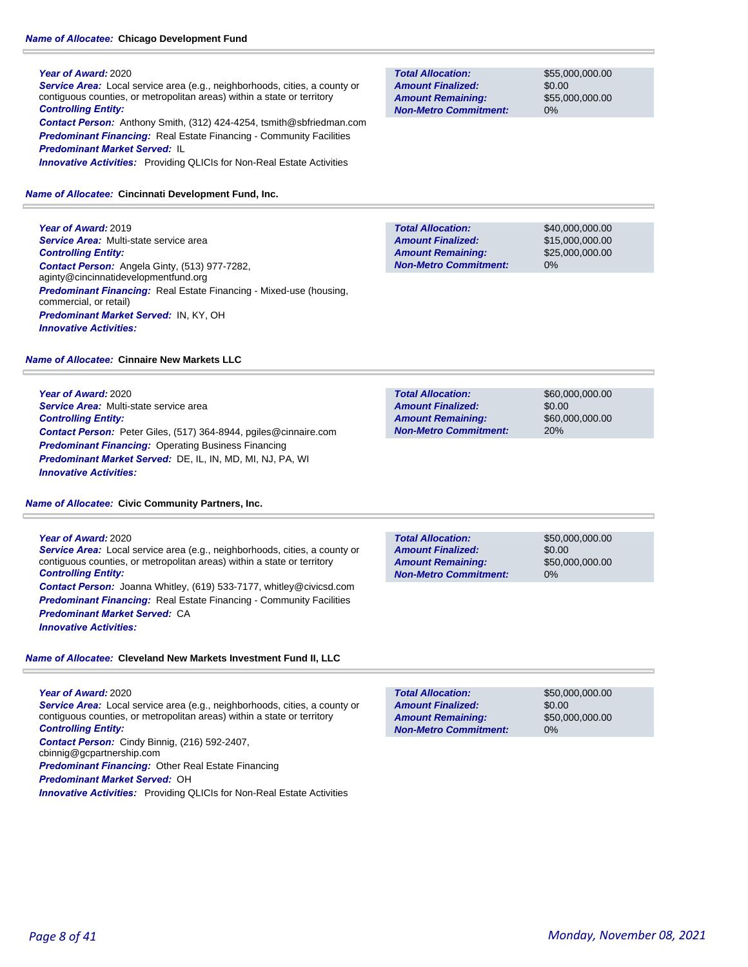### *Name of Allocatee:* **Chicago Development Fund**

### **Year of Award:** 2020

*Service Area:* Local service area (e.g., neighborhoods, cities, a county or contiguous counties, or metropolitan areas) within a state or territory *Controlling Entity: Contact Person:* Anthony Smith, (312) 424-4254, tsmith@sbfriedman.com **Predominant Financing:** Real Estate Financing - Community Facilities *Predominant Market Served:* IL

*Innovative Activities:* Providing QLICIs for Non-Real Estate Activities

### *Name of Allocatee:* **Cincinnati Development Fund, Inc.**

**Year of Award:** 2019 *Service Area:* Multi-state service area *Controlling Entity: Contact Person:* Angela Ginty, (513) 977-7282, aginty@cincinnatidevelopmentfund.org *Predominant Financing:* Real Estate Financing - Mixed-use (housing, commercial, or retail) *Predominant Market Served:* IN, KY, OH *Innovative Activities:* 

### *Name of Allocatee:* **Cinnaire New Markets LLC**

**Year of Award:** 2020

*Service Area:* Multi-state service area *Controlling Entity: Contact Person:* Peter Giles, (517) 364-8944, pgiles@cinnaire.com *Predominant Financing: Operating Business Financing Predominant Market Served:* DE, IL, IN, MD, MI, NJ, PA, WI *Innovative Activities:* 

### *Name of Allocatee:* **Civic Community Partners, Inc.**

### **Year of Award:** 2020

*Service Area:* Local service area (e.g., neighborhoods, cities, a county or contiguous counties, or metropolitan areas) within a state or territory *Controlling Entity: Contact Person:* Joanna Whitley, (619) 533-7177, whitley@civicsd.com

**Predominant Financing:** Real Estate Financing - Community Facilities *Predominant Market Served:* CA

*Innovative Activities:* 

### *Name of Allocatee:* **Cleveland New Markets Investment Fund II, LLC**

**Year of Award:** 2020 *Service Area:* Local service area (e.g., neighborhoods, cities, a county or contiguous counties, or metropolitan areas) within a state or territory *Controlling Entity: Contact Person:* Cindy Binnig, (216) 592-2407, cbinnig@gcpartnership.com *Predominant Financing:* Other Real Estate Financing

*Predominant Market Served:* OH

*Innovative Activities:* Providing QLICIs for Non-Real Estate Activities

**Total Allocation: Non-Metro Commitment: Amount Remaining: Amount Finalized:**

\$55,000,000.00 \$0.00 \$55,000,000.00 0%

\$40,000,000.00 \$15,000,000.00 \$25,000,000.00 0% **Total Allocation: Non-Metro Commitment: Amount Remaining: Amount Finalized:**

\$60,000,000.00 \$0.00 \$60,000,000.00 20% **Total Allocation: Non-Metro Commitment: Amount Remaining: Amount Finalized:**

**Total Allocation: Non-Metro Commitment: Amount Remaining: Amount Finalized:**

\$50,000,000.00 \$0.00 \$50,000,000.00 0%

\$50,000,000.00 \$0.00 \$50,000,000.00 0% **Total Allocation: Non-Metro Commitment: Amount Remaining: Amount Finalized:**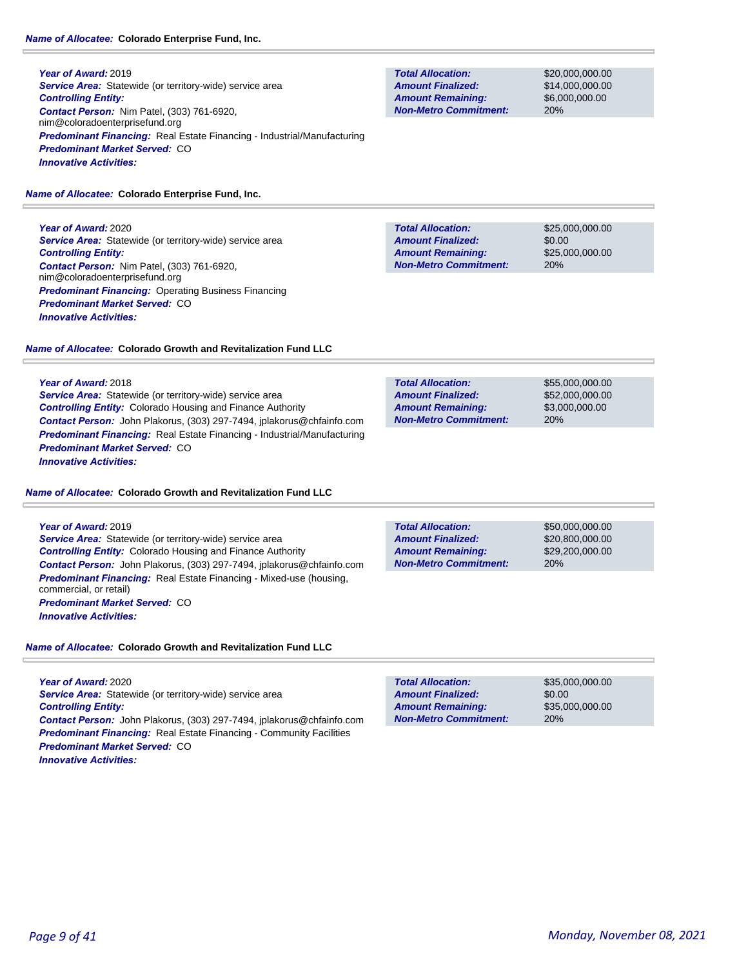**Year of Award:** 2019 **Service Area:** Statewide (or territory-wide) service area *Controlling Entity: Contact Person:* Nim Patel, (303) 761-6920, nim@coloradoenterprisefund.org *Predominant Financing:* Real Estate Financing - Industrial/Manufacturing *Predominant Market Served:* CO *Innovative Activities:* 

### *Name of Allocatee:* **Colorado Enterprise Fund, Inc.**

**Year of Award:** 2020 **Service Area:** Statewide (or territory-wide) service area *Controlling Entity: Contact Person:* Nim Patel, (303) 761-6920, nim@coloradoenterprisefund.org **Predominant Financing: Operating Business Financing** *Predominant Market Served:* CO *Innovative Activities:* 

### *Name of Allocatee:* **Colorado Growth and Revitalization Fund LLC**

**Year of Award:** 2018

*Service Area:* Statewide (or territory-wide) service area *Controlling Entity:* Colorado Housing and Finance Authority *Contact Person:* John Plakorus, (303) 297-7494, jplakorus@chfainfo.com *Predominant Financing:* Real Estate Financing - Industrial/Manufacturing *Predominant Market Served:* CO *Innovative Activities:* 

#### *Name of Allocatee:* **Colorado Growth and Revitalization Fund LLC**

**Year of Award:** 2019 *Service Area:* Statewide (or territory-wide) service area *Controlling Entity:* Colorado Housing and Finance Authority *Contact Person:* John Plakorus, (303) 297-7494, jplakorus@chfainfo.com *Predominant Financing:* Real Estate Financing - Mixed-use (housing, commercial, or retail) *Predominant Market Served:* CO *Innovative Activities:* 

### *Name of Allocatee:* **Colorado Growth and Revitalization Fund LLC**

**Year of Award:** 2020 *Service Area:* Statewide (or territory-wide) service area *Controlling Entity: Contact Person:* John Plakorus, (303) 297-7494, jplakorus@chfainfo.com **Predominant Financing:** Real Estate Financing - Community Facilities *Predominant Market Served:* CO *Innovative Activities:* 

**Total Allocation: Non-Metro Commitment: Amount Remaining: Amount Finalized:**

\$20,000,000.00 \$14,000,000.00 \$6,000,000.00 20%

\$25,000,000.00 \$0.00 \$25,000,000.00 20% **Total Allocation: Non-Metro Commitment: Amount Remaining: Amount Finalized:**

**Total Allocation: Non-Metro Commitment: Amount Remaining: Amount Finalized:**

\$55,000,000.00 \$52,000,000.00 \$3,000,000.00 20%

20% **Total Allocation: Non-Metro Commitment: Amount Remaining: Amount Finalized:**

\$50,000,000.00 \$20,800,000.00 \$29,200,000.00

\$35,000,000.00 \$0.00 \$35,000,000.00 20% **Total Allocation: Non-Metro Commitment: Amount Remaining: Amount Finalized:**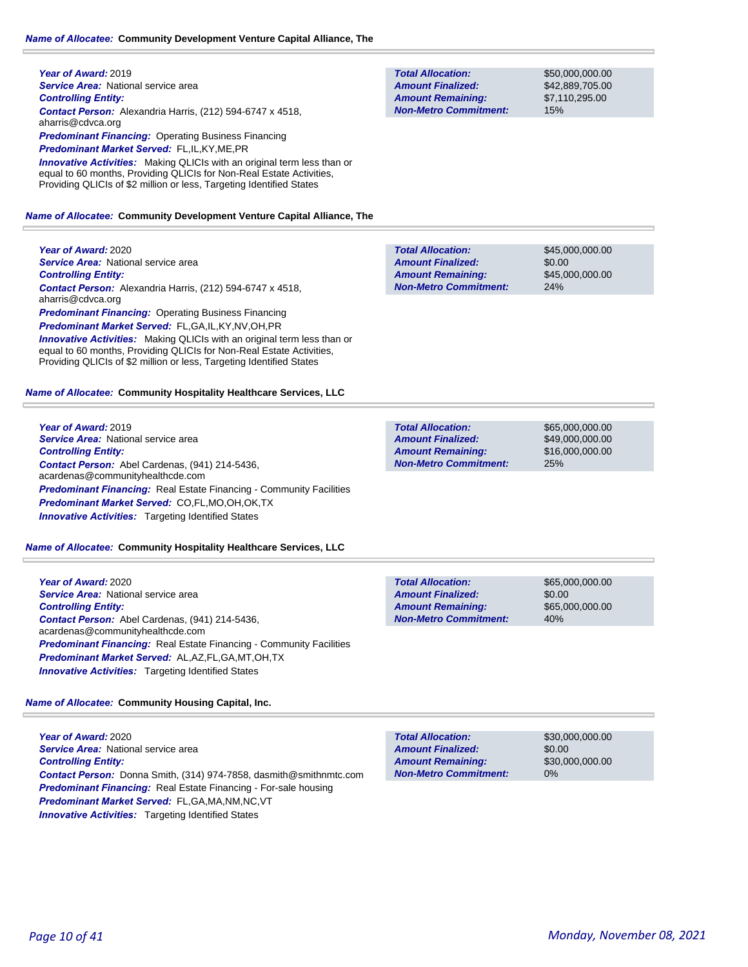**Year of Award:** 2019 **Service Area: National service area** *Controlling Entity: Contact Person:* Alexandria Harris, (212) 594-6747 x 4518, aharris@cdvca.org **Predominant Financing: Operating Business Financing** *Predominant Market Served:* FL,IL,KY,ME,PR **Innovative Activities:** Making QLICIs with an original term less than or equal to 60 months, Providing QLICIs for Non-Real Estate Activities,

Providing QLICIs of \$2 million or less, Targeting Identified States

#### *Name of Allocatee:* **Community Development Venture Capital Alliance, The**

**Year of Award:** 2020 **Service Area: National service area** *Controlling Entity: Contact Person:* Alexandria Harris, (212) 594-6747 x 4518, aharris@cdvca.org *Predominant Financing: Operating Business Financing Predominant Market Served:* FL,GA,IL,KY,NV,OH,PR **Innovative Activities:** Making QLICIs with an original term less than or equal to 60 months, Providing QLICIs for Non-Real Estate Activities, Providing QLICIs of \$2 million or less, Targeting Identified States

#### *Name of Allocatee:* **Community Hospitality Healthcare Services, LLC**

**Year of Award:** 2019 *Service Area:* National service area *Controlling Entity: Contact Person:* Abel Cardenas, (941) 214-5436, acardenas@communityhealthcde.com **Predominant Financing:** Real Estate Financing - Community Facilities *Predominant Market Served:* CO,FL,MO,OH,OK,TX *Innovative Activities:* Targeting Identified States

#### *Name of Allocatee:* **Community Hospitality Healthcare Services, LLC**

**Year of Award:** 2020 *Service Area:* National service area *Controlling Entity: Contact Person:* Abel Cardenas, (941) 214-5436, acardenas@communityhealthcde.com **Predominant Financing:** Real Estate Financing - Community Facilities *Predominant Market Served:* AL,AZ,FL,GA,MT,OH,TX *Innovative Activities:* Targeting Identified States

#### *Name of Allocatee:* **Community Housing Capital, Inc.**

**Year of Award:** 2020 **Service Area:** National service area *Controlling Entity: Contact Person:* Donna Smith, (314) 974-7858, dasmith@smithnmtc.com *Predominant Financing:* Real Estate Financing - For-sale housing *Predominant Market Served:* FL,GA,MA,NM,NC,VT **Innovative Activities:** Targeting Identified States

**Total Allocation: Non-Metro Commitment: Amount Remaining: Amount Finalized:**

\$50,000,000.00 \$42,889,705.00 \$7,110,295.00 15%

\$45,000,000.00 \$0.00 \$45,000,000.00 24% **Total Allocation: Non-Metro Commitment: Amount Remaining: Amount Finalized:**

**Total Allocation: Non-Metro Commitment: Amount Remaining: Amount Finalized:**

\$65,000,000.00 \$49,000,000.00 \$16,000,000.00 25%

**Total Allocation: Non-Metro Commitment: Amount Remaining: Amount Finalized:**

\$65,000,000.00 \$0.00 \$65,000,000.00 40%

**Total Allocation: Non-Metro Commitment: Amount Remaining: Amount Finalized:**

\$30,000,000.00 \$0.00 \$30,000,000.00 0%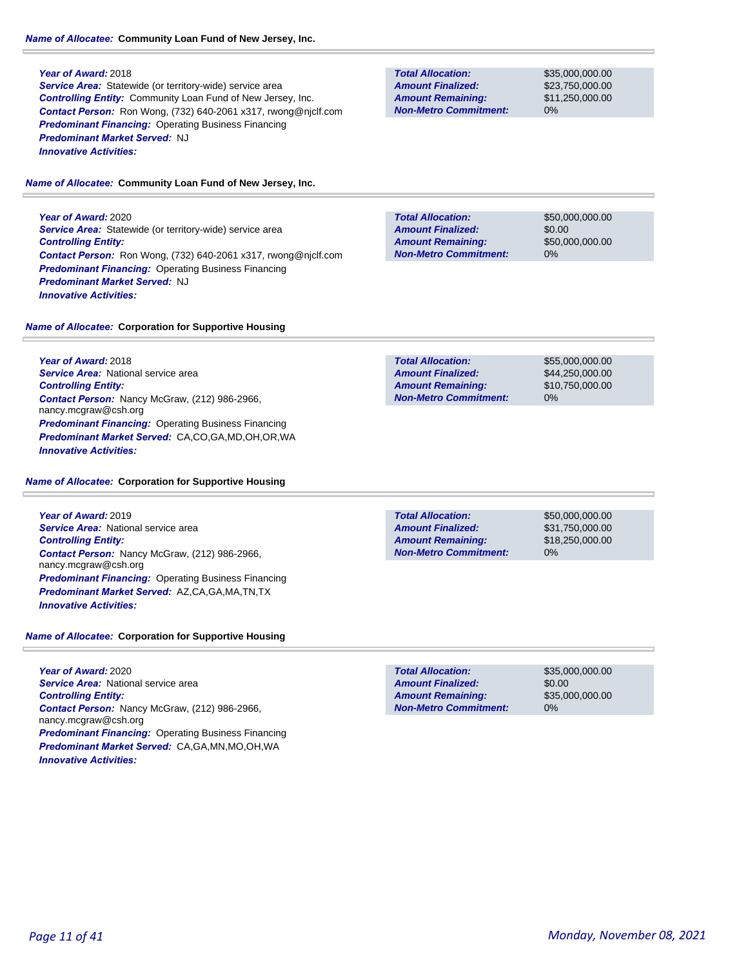#### **Year of Award:** 2018

**Service Area:** Statewide (or territory-wide) service area *Controlling Entity:* Community Loan Fund of New Jersey, Inc. *Contact Person:* Ron Wong, (732) 640-2061 x317, rwong@njclf.com *Predominant Financing:* Operating Business Financing *Predominant Market Served:* NJ *Innovative Activities:* 

#### *Name of Allocatee:* **Community Loan Fund of New Jersey, Inc.**

**Year of Award:** 2020 **Service Area:** Statewide (or territory-wide) service area *Controlling Entity: Contact Person:* Ron Wong, (732) 640-2061 x317, rwong@njclf.com **Predominant Financing: Operating Business Financing** *Predominant Market Served:* NJ *Innovative Activities:* 

**Total Allocation: Non-Metro Commitment: Amount Remaining: Amount Finalized:**

\$35,000,000.00 \$23,750,000.00 \$11,250,000.00 0%

**Total Allocation: Non-Metro Commitment: Amount Remaining: Amount Finalized:**

\$50,000,000.00 \$0.00 \$50,000,000.00 0%

#### *Name of Allocatee:* **Corporation for Supportive Housing**

**Year of Award:** 2018 **Service Area: National service area** *Controlling Entity: Contact Person:* Nancy McGraw, (212) 986-2966, nancy.mcgraw@csh.org **Predominant Financing: Operating Business Financing** *Predominant Market Served:* CA,CO,GA,MD,OH,OR,WA *Innovative Activities:* 

\$55,000,000.00 \$44,250,000.00 \$10,750,000.00 0% **Total Allocation: Non-Metro Commitment: Amount Remaining: Amount Finalized:**

#### *Name of Allocatee:* **Corporation for Supportive Housing**

**Year of Award:** 2019 **Service Area: National service area** *Controlling Entity: Contact Person:* Nancy McGraw, (212) 986-2966, nancy.mcgraw@csh.org *Predominant Financing:* Operating Business Financing *Predominant Market Served:* AZ,CA,GA,MA,TN,TX *Innovative Activities:* 

**Total Allocation: Non-Metro Commitment: Amount Remaining: Amount Finalized:**

\$50,000,000.00 \$31,750,000.00 \$18,250,000.00 0%

*Name of Allocatee:* **Corporation for Supportive Housing**

**Year of Award:** 2020 *Service Area:* National service area *Controlling Entity: Contact Person:* Nancy McGraw, (212) 986-2966, nancy.mcgraw@csh.org *Predominant Financing:* Operating Business Financing *Predominant Market Served:* CA,GA,MN,MO,OH,WA *Innovative Activities:* 

**Total Allocation: Non-Metro Commitment: Amount Remaining: Amount Finalized:**

\$35,000,000.00 \$0.00 \$35,000,000.00 0%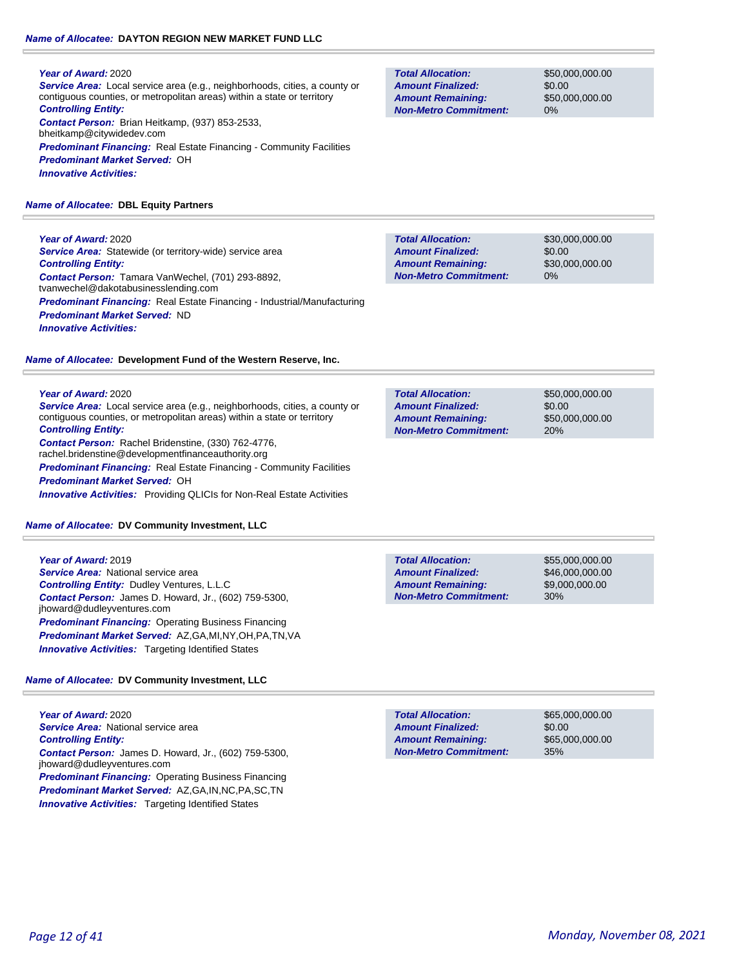### *Name of Allocatee:* **DAYTON REGION NEW MARKET FUND LLC**

#### **Year of Award:** 2020

*Service Area:* Local service area (e.g., neighborhoods, cities, a county or contiguous counties, or metropolitan areas) within a state or territory *Controlling Entity: Contact Person:* Brian Heitkamp, (937) 853-2533, bheitkamp@citywidedev.com

**Predominant Financing:** Real Estate Financing - Community Facilities *Predominant Market Served:* OH *Innovative Activities:* 

### *Name of Allocatee:* **DBL Equity Partners**

## **Year of Award:** 2020

*Service Area:* Statewide (or territory-wide) service area *Controlling Entity: Contact Person:* Tamara VanWechel, (701) 293-8892, tvanwechel@dakotabusinesslending.com *Predominant Financing:* Real Estate Financing - Industrial/Manufacturing *Predominant Market Served:* ND *Innovative Activities:* 

### *Name of Allocatee:* **Development Fund of the Western Reserve, Inc.**

### **Year of Award:** 2020

*Service Area:* Local service area (e.g., neighborhoods, cities, a county or contiguous counties, or metropolitan areas) within a state or territory *Controlling Entity: Contact Person:* Rachel Bridenstine, (330) 762-4776, rachel.bridenstine@developmentfinanceauthority.org **Predominant Financing:** Real Estate Financing - Community Facilities

*Predominant Market Served:* OH *Innovative Activities:* Providing QLICIs for Non-Real Estate Activities

*Name of Allocatee:* **DV Community Investment, LLC**

**Year of Award:** 2019 *Service Area:* National service area *Controlling Entity:* Dudley Ventures, L.L.C *Contact Person:* James D. Howard, Jr., (602) 759-5300, jhoward@dudleyventures.com *Predominant Financing: Operating Business Financing Predominant Market Served:* AZ,GA,MI,NY,OH,PA,TN,VA *Innovative Activities:* Targeting Identified States

### *Name of Allocatee:* **DV Community Investment, LLC**

**Year of Award:** 2020 **Service Area:** National service area *Controlling Entity: Contact Person:* James D. Howard, Jr., (602) 759-5300, jhoward@dudleyventures.com *Predominant Financing: Operating Business Financing Predominant Market Served:* AZ,GA,IN,NC,PA,SC,TN **Innovative Activities:** Targeting Identified States

**Total Allocation: Non-Metro Commitment: Amount Remaining: Amount Finalized:**

\$50,000,000.00 \$0.00 \$50,000,000.00 0%

**Total Allocation: Non-Metro Commitment: Amount Remaining: Amount Finalized:**

\$30,000,000.00 \$0.00 \$30,000,000.00 0%

\$50,000,000.00 \$0.00 \$50,000,000.00 20% **Total Allocation: Non-Metro Commitment: Amount Remaining: Amount Finalized:**

**Total Allocation: Non-Metro Commitment: Amount Remaining: Amount Finalized:**

\$55,000,000.00 \$46,000,000.00 \$9,000,000.00 30%

\$0.00 35% **Total Allocation: Non-Metro Commitment: Amount Remaining: Amount Finalized:**

\$65,000,000.00 \$65,000,000.00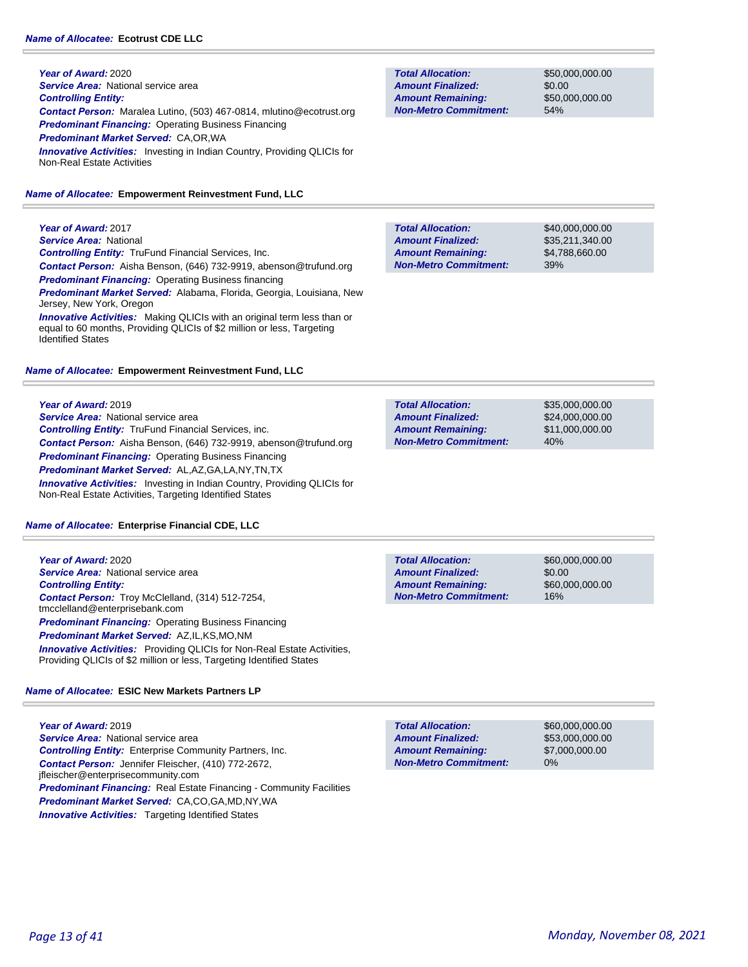**Year of Award:** 2020 **Service Area: National service area** *Controlling Entity: Contact Person:* Maralea Lutino, (503) 467-0814, mlutino@ecotrust.org *Predominant Financing:* Operating Business Financing *Predominant Market Served:* CA,OR,WA **Innovative Activities:** Investing in Indian Country, Providing QLICIs for Non-Real Estate Activities

#### *Name of Allocatee:* **Empowerment Reinvestment Fund, LLC**

**Year of Award:** 2017 *Service Area:* National *Controlling Entity:* TruFund Financial Services, Inc. *Contact Person:* Aisha Benson, (646) 732-9919, abenson@trufund.org *Predominant Financing:* Operating Business financing *Predominant Market Served:* Alabama, Florida, Georgia, Louisiana, New Jersey, New York, Oregon *Innovative Activities:* Making QLICIs with an original term less than or equal to 60 months, Providing QLICIs of \$2 million or less, Targeting

#### *Name of Allocatee:* **Empowerment Reinvestment Fund, LLC**

#### **Year of Award:** 2019

Identified States

**Service Area: National service area** *Controlling Entity:* TruFund Financial Services, inc. *Contact Person:* Aisha Benson, (646) 732-9919, abenson@trufund.org *Predominant Financing:* Operating Business Financing *Predominant Market Served:* AL,AZ,GA,LA,NY,TN,TX **Innovative Activities:** Investing in Indian Country, Providing QLICIs for Non-Real Estate Activities, Targeting Identified States

#### *Name of Allocatee:* **Enterprise Financial CDE, LLC**

**Year of Award:** 2020 *Service Area:* National service area *Controlling Entity: Contact Person:* Troy McClelland, (314) 512-7254, tmcclelland@enterprisebank.com *Predominant Financing: Operating Business Financing Predominant Market Served:* AZ,IL,KS,MO,NM *Innovative Activities:* Providing QLICIs for Non-Real Estate Activities, Providing QLICIs of \$2 million or less, Targeting Identified States

#### *Name of Allocatee:* **ESIC New Markets Partners LP**

**Year of Award:** 2019 **Service Area: National service area** *Controlling Entity:* Enterprise Community Partners, Inc. *Contact Person:* Jennifer Fleischer, (410) 772-2672, jfleischer@enterprisecommunity.com **Predominant Financing:** Real Estate Financing - Community Facilities *Predominant Market Served:* CA,CO,GA,MD,NY,WA **Innovative Activities:** Targeting Identified States

**Total Allocation: Non-Metro Commitment: Amount Remaining: Amount Finalized:**

\$50,000,000.00 \$0.00 \$50,000,000.00 54%

\$40,000,000.00 \$35,211,340.00 \$4,788,660.00 39% **Total Allocation: Non-Metro Commitment: Amount Remaining: Amount Finalized:**

\$35,000,000.00 \$24,000,000.00 \$11,000,000.00 40% **Total Allocation: Non-Metro Commitment: Amount Remaining: Amount Finalized:**

**Total Allocation: Non-Metro Commitment: Amount Remaining: Amount Finalized:**

\$60,000,000.00 \$0.00 \$60,000,000.00 16%

**Total Allocation: Non-Metro Commitment: Amount Remaining: Amount Finalized:**

\$60,000,000.00 \$53,000,000.00 \$7,000,000.00 0%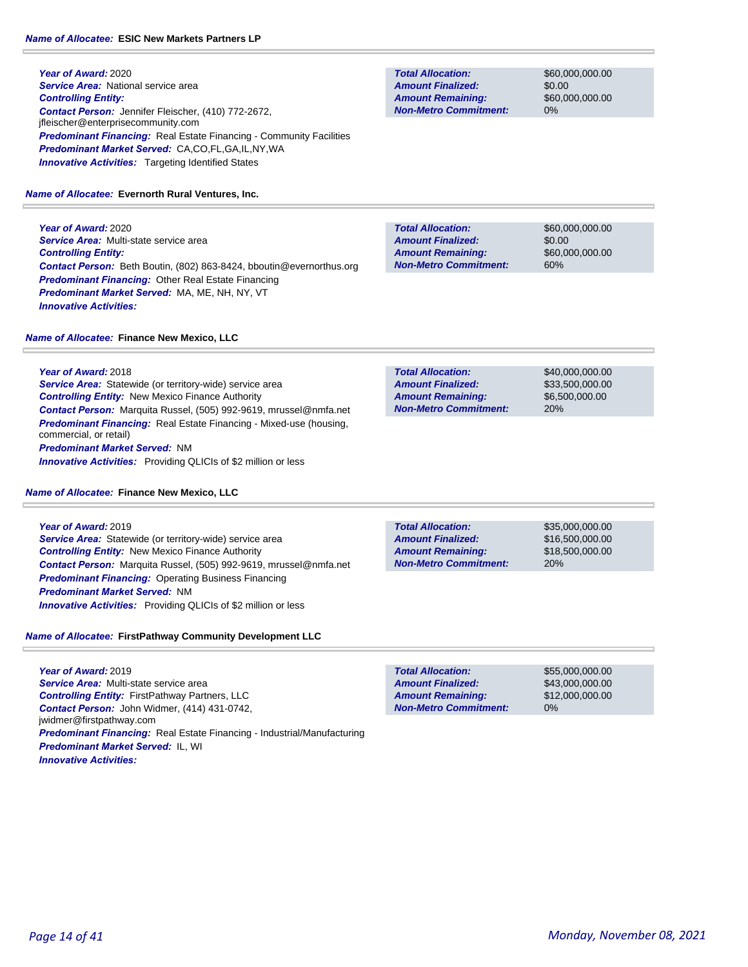**Year of Award:** 2020 **Service Area: National service area** *Controlling Entity: Contact Person:* Jennifer Fleischer, (410) 772-2672, jfleischer@enterprisecommunity.com **Predominant Financing:** Real Estate Financing - Community Facilities *Predominant Market Served:* CA,CO,FL,GA,IL,NY,WA **Innovative Activities:** Targeting Identified States

#### *Name of Allocatee:* **Evernorth Rural Ventures, Inc.**

**Year of Award:** 2020 *Service Area:* Multi-state service area *Controlling Entity: Contact Person:* Beth Boutin, (802) 863-8424, bboutin@evernorthus.org *Predominant Financing:* Other Real Estate Financing *Predominant Market Served:* MA, ME, NH, NY, VT *Innovative Activities:* 

*Name of Allocatee:* **Finance New Mexico, LLC**

**Year of Award:** 2018 *Service Area:* Statewide (or territory-wide) service area *Controlling Entity:* New Mexico Finance Authority *Contact Person:* Marquita Russel, (505) 992-9619, mrussel@nmfa.net *Predominant Financing:* Real Estate Financing - Mixed-use (housing, commercial, or retail) *Predominant Market Served:* NM *Innovative Activities:* Providing QLICIs of \$2 million or less

#### *Name of Allocatee:* **Finance New Mexico, LLC**

**Year of Award:** 2019 *Service Area:* Statewide (or territory-wide) service area *Controlling Entity:* New Mexico Finance Authority *Contact Person:* Marquita Russel, (505) 992-9619, mrussel@nmfa.net *Predominant Financing:* Operating Business Financing *Predominant Market Served:* NM *Innovative Activities:* Providing QLICIs of \$2 million or less

### *Name of Allocatee:* **FirstPathway Community Development LLC**

**Year of Award:** 2019 *Service Area:* Multi-state service area *Controlling Entity:* FirstPathway Partners, LLC *Contact Person:* John Widmer, (414) 431-0742, jwidmer@firstpathway.com *Predominant Financing:* Real Estate Financing - Industrial/Manufacturing *Predominant Market Served:* IL, WI *Innovative Activities:* 

**Total Allocation: Non-Metro Commitment: Amount Remaining: Amount Finalized:**

\$60,000,000.00 \$0.00 \$60,000,000.00 0%

\$60,000,000.00 \$0.00 \$60,000,000.00 60% **Total Allocation: Non-Metro Commitment: Amount Remaining: Amount Finalized:**

\$40,000,000.00 \$33,500,000.00 \$6,500,000.00 20% **Total Allocation: Non-Metro Commitment: Amount Remaining: Amount Finalized:**

20% **Total Allocation: Non-Metro Commitment: Amount Remaining: Amount Finalized:**

\$35,000,000.00 \$16,500,000.00 \$18,500,000.00

**Total Allocation: Non-Metro Commitment: Amount Remaining: Amount Finalized:**

\$55,000,000.00 \$43,000,000.00 \$12,000,000.00 0%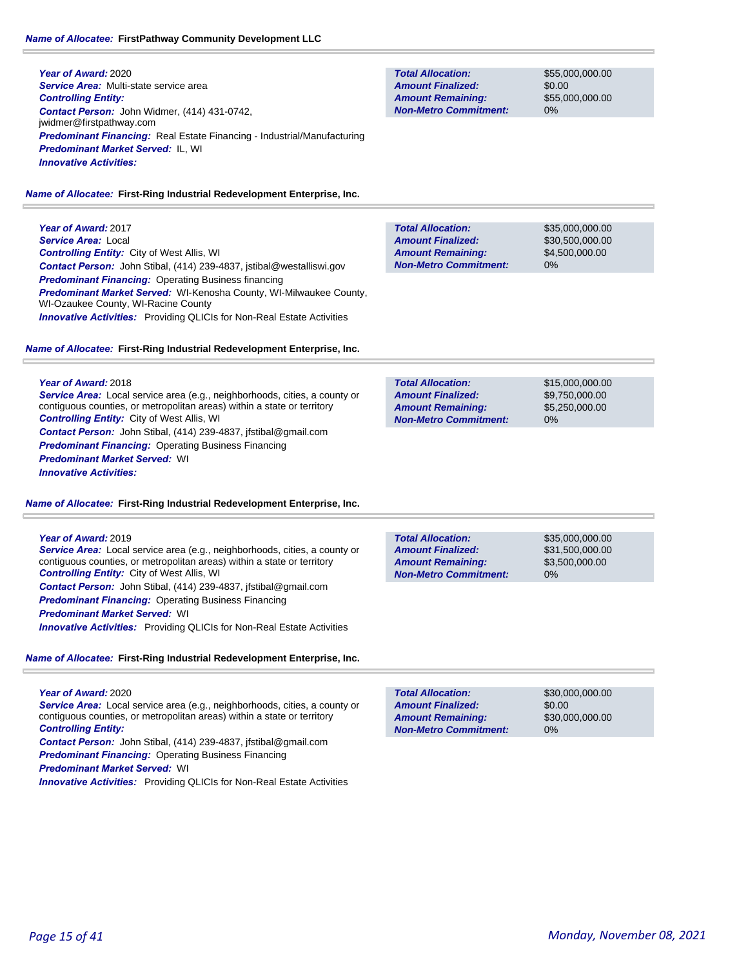### *Name of Allocatee:* **FirstPathway Community Development LLC**

**Year of Award:** 2020 *Service Area:* Multi-state service area *Controlling Entity: Contact Person:* John Widmer, (414) 431-0742, jwidmer@firstpathway.com *Predominant Financing:* Real Estate Financing - Industrial/Manufacturing *Predominant Market Served:* IL, WI *Innovative Activities:* 

**Total Allocation: Non-Metro Commitment: Amount Remaining: Amount Finalized:**

**Total Allocation:**

**Non-Metro Commitment: Amount Remaining: Amount Finalized:**

\$55,000,000.00 \$0.00 \$55,000,000.00 0%

\$35,000,000.00 \$30,500,000.00 \$4,500,000.00

0%

*Name of Allocatee:* **First-Ring Industrial Redevelopment Enterprise, Inc.**

**Year of Award:** 2017 *Service Area:* Local *Controlling Entity:* City of West Allis, WI *Contact Person:* John Stibal, (414) 239-4837, jstibal@westalliswi.gov *Predominant Financing:* Operating Business financing *Predominant Market Served:* WI-Kenosha County, WI-Milwaukee County, WI-Ozaukee County, WI-Racine County **Innovative Activities:** Providing QLICIs for Non-Real Estate Activities

### *Name of Allocatee:* **First-Ring Industrial Redevelopment Enterprise, Inc.**

#### **Year of Award:** 2018

*Service Area:* Local service area (e.g., neighborhoods, cities, a county or contiguous counties, or metropolitan areas) within a state or territory *Controlling Entity:* City of West Allis, WI *Contact Person:* John Stibal, (414) 239-4837, jfstibal@gmail.com *Predominant Financing: Operating Business Financing Predominant Market Served:* WI *Innovative Activities:* 

*Name of Allocatee:* **First-Ring Industrial Redevelopment Enterprise, Inc.**

#### **Year of Award:** 2019

*Service Area:* Local service area (e.g., neighborhoods, cities, a county or contiguous counties, or metropolitan areas) within a state or territory *Controlling Entity:* City of West Allis, WI *Contact Person:* John Stibal, (414) 239-4837, jfstibal@gmail.com **Predominant Financing: Operating Business Financing** *Predominant Market Served:* WI

*Innovative Activities:* Providing QLICIs for Non-Real Estate Activities

### *Name of Allocatee:* **First-Ring Industrial Redevelopment Enterprise, Inc.**

### **Year of Award:** 2020 *Service Area:* Local service area (e.g., neighborhoods, cities, a county or contiguous counties, or metropolitan areas) within a state or territory *Controlling Entity: Contact Person:* John Stibal, (414) 239-4837, jfstibal@gmail.com *Predominant Financing: Operating Business Financing*

*Predominant Market Served:* WI

**Innovative Activities:** Providing QLICIs for Non-Real Estate Activities

| <b>Total Allocation:</b>     | \$30,000,000,00 |
|------------------------------|-----------------|
| <b>Amount Finalized:</b>     | \$0.00          |
| <b>Amount Remaining:</b>     | \$30,000,000,00 |
| <b>Non-Metro Commitment:</b> | $0\%$           |
|                              |                 |

**Total Allocation: Non-Metro Commitment: Amount Remaining: Amount Finalized:**

\$15,000,000.00 \$9,750,000.00 \$5,250,000.00 0%

\$35,000,000.00 \$31,500,000.00 \$3,500,000.00 0% **Total Allocation: Non-Metro Commitment: Amount Remaining: Amount Finalized:**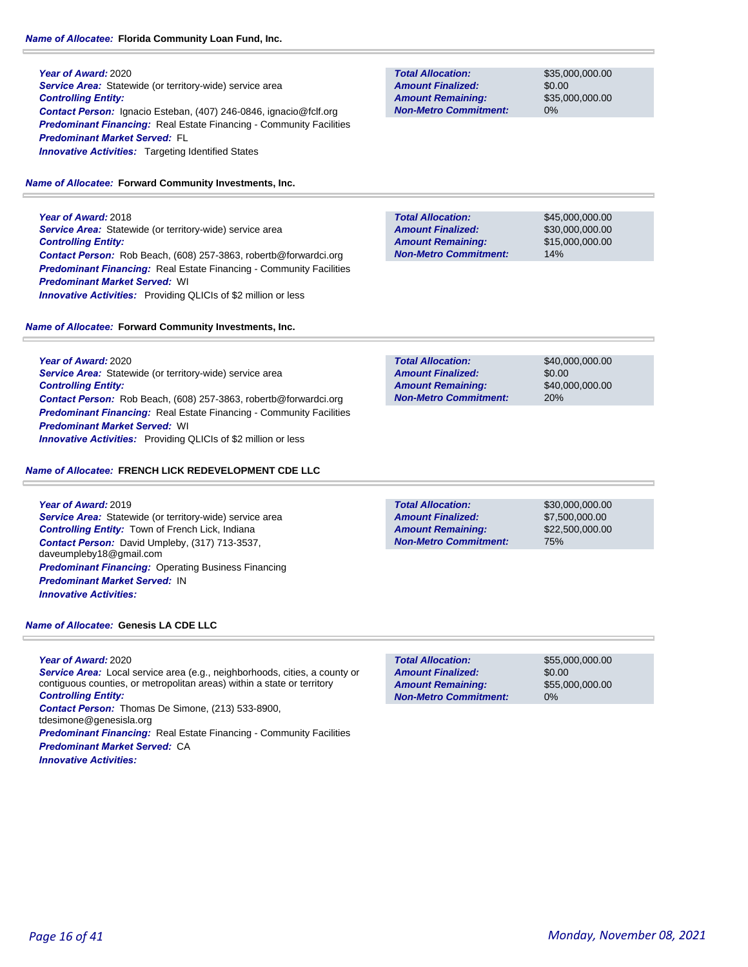#### *Name of Allocatee:* **Florida Community Loan Fund, Inc.**

**Year of Award:** 2020 **Service Area:** Statewide (or territory-wide) service area *Controlling Entity: Contact Person:* Ignacio Esteban, (407) 246-0846, ignacio@fclf.org **Predominant Financing:** Real Estate Financing - Community Facilities *Predominant Market Served:* FL **Innovative Activities:** Targeting Identified States

#### *Name of Allocatee:* **Forward Community Investments, Inc.**

**Year of Award:** 2018 **Service Area:** Statewide (or territory-wide) service area *Controlling Entity: Contact Person:* Rob Beach, (608) 257-3863, robertb@forwardci.org **Predominant Financing:** Real Estate Financing - Community Facilities *Predominant Market Served:* WI *Innovative Activities:* Providing QLICIs of \$2 million or less

#### *Name of Allocatee:* **Forward Community Investments, Inc.**

**Year of Award:** 2020 **Service Area:** Statewide (or territory-wide) service area *Controlling Entity: Contact Person:* Rob Beach, (608) 257-3863, robertb@forwardci.org **Predominant Financing:** Real Estate Financing - Community Facilities *Predominant Market Served:* WI *Innovative Activities:* Providing QLICIs of \$2 million or less

#### *Name of Allocatee:* **FRENCH LICK REDEVELOPMENT CDE LLC**

**Year of Award:** 2019 *Service Area:* Statewide (or territory-wide) service area *Controlling Entity:* Town of French Lick, Indiana *Contact Person:* David Umpleby, (317) 713-3537, daveumpleby18@gmail.com *Predominant Financing: Operating Business Financing Predominant Market Served:* IN *Innovative Activities:* 

*Name of Allocatee:* **Genesis LA CDE LLC**

**Year of Award:** 2020

*Service Area:* Local service area (e.g., neighborhoods, cities, a county or contiguous counties, or metropolitan areas) within a state or territory *Controlling Entity:* 

*Contact Person:* Thomas De Simone, (213) 533-8900, tdesimone@genesisla.org

*Predominant Financing:* Real Estate Financing - Community Facilities *Predominant Market Served:* CA *Innovative Activities:* 

**Total Allocation: Non-Metro Commitment: Amount Remaining: Amount Finalized:**

\$35,000,000.00 \$0.00 \$35,000,000.00 0%

**Total Allocation: Non-Metro Commitment: Amount Remaining: Amount Finalized:**

\$45,000,000.00 \$30,000,000.00 \$15,000,000.00 14%

\$40,000,000.00 \$0.00 \$40,000,000.00 20% **Total Allocation: Non-Metro Commitment: Amount Remaining: Amount Finalized:**

**Total Allocation: Non-Metro Commitment: Amount Remaining: Amount Finalized:**

\$30,000,000.00 \$7,500,000.00 \$22,500,000.00 75%

\$0.00 **Total Allocation: Non-Metro Commitment: Amount Remaining: Amount Finalized:**

\$55,000,000.00 \$55,000,000.00 0%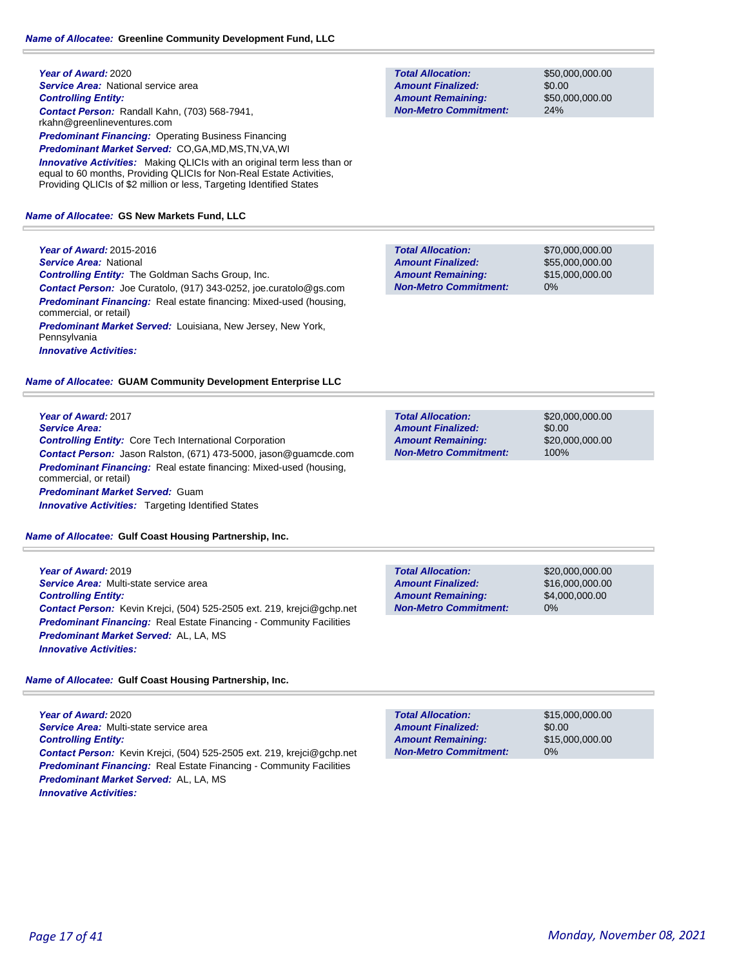**Year of Award:** 2020 **Service Area: National service area** *Controlling Entity: Contact Person:* Randall Kahn, (703) 568-7941, rkahn@greenlineventures.com *Predominant Financing:* Operating Business Financing *Predominant Market Served:* CO,GA,MD,MS,TN,VA,WI *Innovative Activities:* Making QLICIs with an original term less than or equal to 60 months, Providing QLICIs for Non-Real Estate Activities, Providing QLICIs of \$2 million or less, Targeting Identified States

#### *Name of Allocatee:* **GS New Markets Fund, LLC**

**Year of Award:** 2015-2016 *Service Area:* National *Controlling Entity:* The Goldman Sachs Group, Inc. *Contact Person:* Joe Curatolo, (917) 343-0252, joe.curatolo@gs.com *Predominant Financing:* Real estate financing: Mixed-used (housing, commercial, or retail) *Predominant Market Served:* Louisiana, New Jersey, New York, Pennsylvania *Innovative Activities:* 

*Name of Allocatee:* **GUAM Community Development Enterprise LLC**

**Year of Award:** 2017 *Service Area: Controlling Entity:* Core Tech International Corporation *Contact Person:* Jason Ralston, (671) 473-5000, jason@guamcde.com **Predominant Financing:** Real estate financing: Mixed-used (housing, commercial, or retail) *Predominant Market Served:* Guam **Innovative Activities:** Targeting Identified States

*Name of Allocatee:* **Gulf Coast Housing Partnership, Inc.**

**Year of Award:** 2019 *Service Area:* Multi-state service area *Controlling Entity: Contact Person:* Kevin Krejci, (504) 525-2505 ext. 219, krejci@gchp.net **Predominant Financing:** Real Estate Financing - Community Facilities *Predominant Market Served:* AL, LA, MS *Innovative Activities:* 

*Name of Allocatee:* **Gulf Coast Housing Partnership, Inc.**

**Year of Award:** 2020 *Service Area:* Multi-state service area *Controlling Entity: Contact Person:* Kevin Krejci, (504) 525-2505 ext. 219, krejci@gchp.net *Predominant Financing:* Real Estate Financing - Community Facilities *Predominant Market Served:* AL, LA, MS *Innovative Activities:* 

**Total Allocation: Non-Metro Commitment: Amount Remaining: Amount Finalized:**

\$50,000,000.00 \$0.00 \$50,000,000.00 24%

\$70,000,000.00 \$55,000,000.00 \$15,000,000.00 0% **Total Allocation: Non-Metro Commitment: Amount Remaining: Amount Finalized:**

| <b>Total Allocation:</b>     | \$20,000,000,00 |
|------------------------------|-----------------|
| <b>Amount Finalized:</b>     | \$0.00          |
| <b>Amount Remaining:</b>     | \$20,000,000,00 |
| <b>Non-Metro Commitment:</b> | 100%            |

| <b>Total Allocation:</b>     | \$20,000,000,00 |
|------------------------------|-----------------|
| <b>Amount Finalized:</b>     | \$16,000,000,00 |
| <b>Amount Remaining:</b>     | \$4,000,000,00  |
| <b>Non-Metro Commitment:</b> | $0\%$           |

| <b>Total Allocation:</b>     | \$15,000,000,00 |
|------------------------------|-----------------|
| <b>Amount Finalized:</b>     | \$0.00          |
| <b>Amount Remaining:</b>     | \$15,000,000,00 |
| <b>Non-Metro Commitment:</b> | $0\%$           |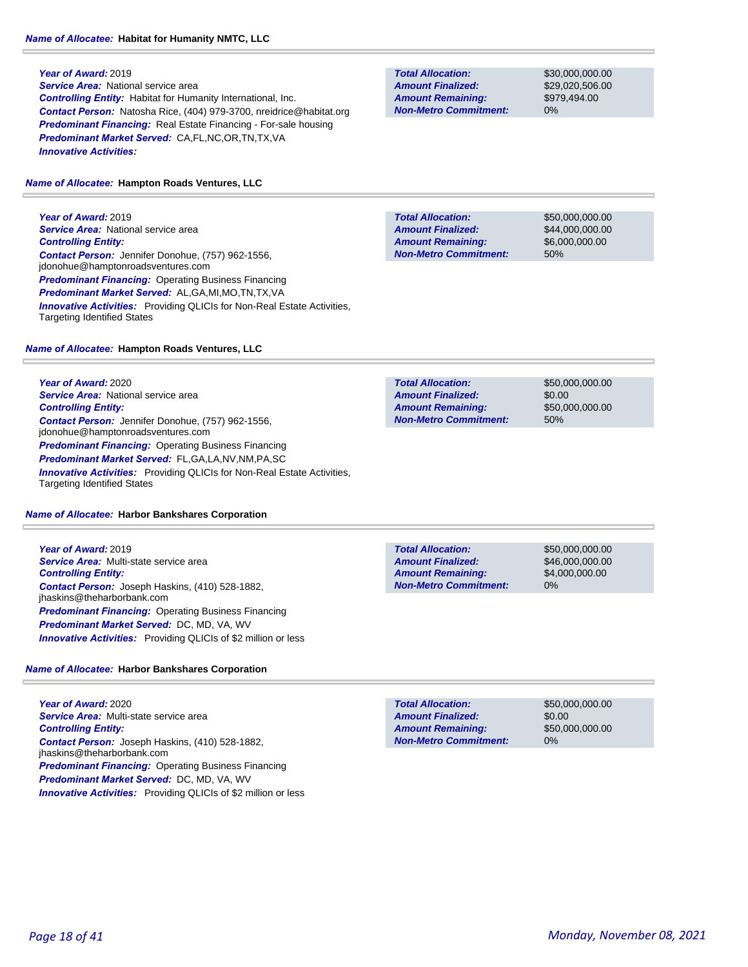**Year of Award:** 2019

*Service Area:* National service area *Controlling Entity:* Habitat for Humanity International, Inc. *Contact Person:* Natosha Rice, (404) 979-3700, nreidrice@habitat.org *Predominant Financing:* Real Estate Financing - For-sale housing *Predominant Market Served:* CA,FL,NC,OR,TN,TX,VA *Innovative Activities:* 

#### *Name of Allocatee:* **Hampton Roads Ventures, LLC**

**Year of Award:** 2019 **Service Area: National service area** *Controlling Entity: Contact Person:* Jennifer Donohue, (757) 962-1556, jdonohue@hamptonroadsventures.com *Predominant Financing:* Operating Business Financing *Predominant Market Served:* AL,GA,MI,MO,TN,TX,VA **Innovative Activities:** Providing QLICIs for Non-Real Estate Activities, Targeting Identified States

### *Name of Allocatee:* **Hampton Roads Ventures, LLC**

**Year of Award:** 2020 **Service Area: National service area** *Controlling Entity: Contact Person:* Jennifer Donohue, (757) 962-1556, jdonohue@hamptonroadsventures.com *Predominant Financing: Operating Business Financing Predominant Market Served:* FL,GA,LA,NV,NM,PA,SC **Innovative Activities:** Providing QLICIs for Non-Real Estate Activities, Targeting Identified States

### *Name of Allocatee:* **Harbor Bankshares Corporation**

**Year of Award:** 2019 *Service Area:* Multi-state service area *Controlling Entity: Contact Person:* Joseph Haskins, (410) 528-1882, jhaskins@theharborbank.com *Predominant Financing:* Operating Business Financing *Predominant Market Served:* DC, MD, VA, WV *Innovative Activities:* Providing QLICIs of \$2 million or less

### *Name of Allocatee:* **Harbor Bankshares Corporation**

**Year of Award:** 2020 *Service Area:* Multi-state service area *Controlling Entity: Contact Person:* Joseph Haskins, (410) 528-1882, jhaskins@theharborbank.com *Predominant Financing:* Operating Business Financing *Predominant Market Served:* DC, MD, VA, WV *Innovative Activities:* Providing QLICIs of \$2 million or less

**Total Allocation: Non-Metro Commitment: Amount Remaining: Amount Finalized:**

\$30,000,000.00 \$29,020,506.00 \$979,494.00 0%

**Total Allocation: Non-Metro Commitment: Amount Remaining: Amount Finalized:**

\$50,000,000.00 \$44,000,000.00 \$6,000,000.00 50%

**Total Allocation: Non-Metro Commitment: Amount Remaining: Amount Finalized:**

\$50,000,000.00 \$0.00 \$50,000,000.00 50%

**Total Allocation: Non-Metro Commitment: Amount Remaining: Amount Finalized:**

\$50,000,000.00 \$46,000,000.00 \$4,000,000.00 0%

0% **Total Allocation: Non-Metro Commitment: Amount Remaining: Amount Finalized:**

\$50,000,000.00 \$0.00 \$50,000,000.00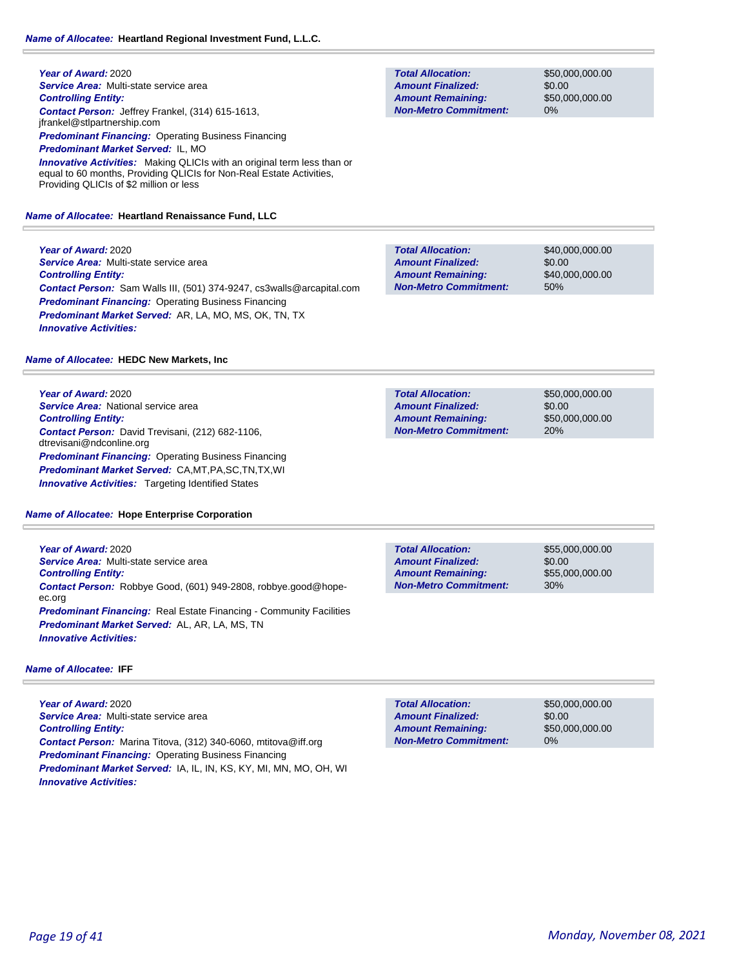**Year of Award:** 2020 *Service Area:* Multi-state service area *Controlling Entity: Contact Person:* Jeffrey Frankel, (314) 615-1613, jfrankel@stlpartnership.com *Predominant Financing:* Operating Business Financing *Predominant Market Served:* IL, MO **Innovative Activities:** Making QLICIs with an original term less than or equal to 60 months, Providing QLICIs for Non-Real Estate Activities, Providing QLICIs of \$2 million or less

### *Name of Allocatee:* **Heartland Renaissance Fund, LLC**

**Year of Award:** 2020 *Service Area:* Multi-state service area *Controlling Entity: Contact Person:* Sam Walls III, (501) 374-9247, cs3walls@arcapital.com **Predominant Financing: Operating Business Financing** *Predominant Market Served:* AR, LA, MO, MS, OK, TN, TX *Innovative Activities:* 

### *Name of Allocatee:* **HEDC New Markets, Inc**

**Year of Award:** 2020 **Service Area:** National service area *Controlling Entity: Contact Person:* David Trevisani, (212) 682-1106, dtrevisani@ndconline.org **Predominant Financing: Operating Business Financing** *Predominant Market Served:* CA,MT,PA,SC,TN,TX,WI *Innovative Activities:* Targeting Identified States

### *Name of Allocatee:* **Hope Enterprise Corporation**

**Year of Award:** 2020 *Service Area:* Multi-state service area *Controlling Entity: Contact Person:* Robbye Good, (601) 949-2808, robbye.good@hopeec.org **Predominant Financing:** Real Estate Financing - Community Facilities *Predominant Market Served:* AL, AR, LA, MS, TN *Innovative Activities:* 

### *Name of Allocatee:* **IFF**

**Year of Award:** 2020 *Service Area:* Multi-state service area *Controlling Entity: Contact Person:* Marina Titova, (312) 340-6060, mtitova@iff.org *Predominant Financing: Operating Business Financing Predominant Market Served:* IA, IL, IN, KS, KY, MI, MN, MO, OH, WI *Innovative Activities:* 

**Total Allocation: Non-Metro Commitment: Amount Remaining: Amount Finalized:**

\$50,000,000.00 \$0.00 \$50,000,000.00 0%

\$40,000,000.00 \$0.00 \$40,000,000.00 50% **Total Allocation: Non-Metro Commitment: Amount Remaining: Amount Finalized:**

\$50,000,000.00 \$0.00 20% **Total Allocation: Non-Metro Commitment: Amount Remaining: Amount Finalized:**

\$50,000,000.00

\$0.00 30% **Total Allocation: Non-Metro Commitment: Amount Remaining: Amount Finalized:**

\$55,000,000.00 \$55,000,000.00

**Total Allocation: Non-Metro Commitment: Amount Remaining: Amount Finalized:**

\$50,000,000.00 \$0.00 \$50,000,000.00 0%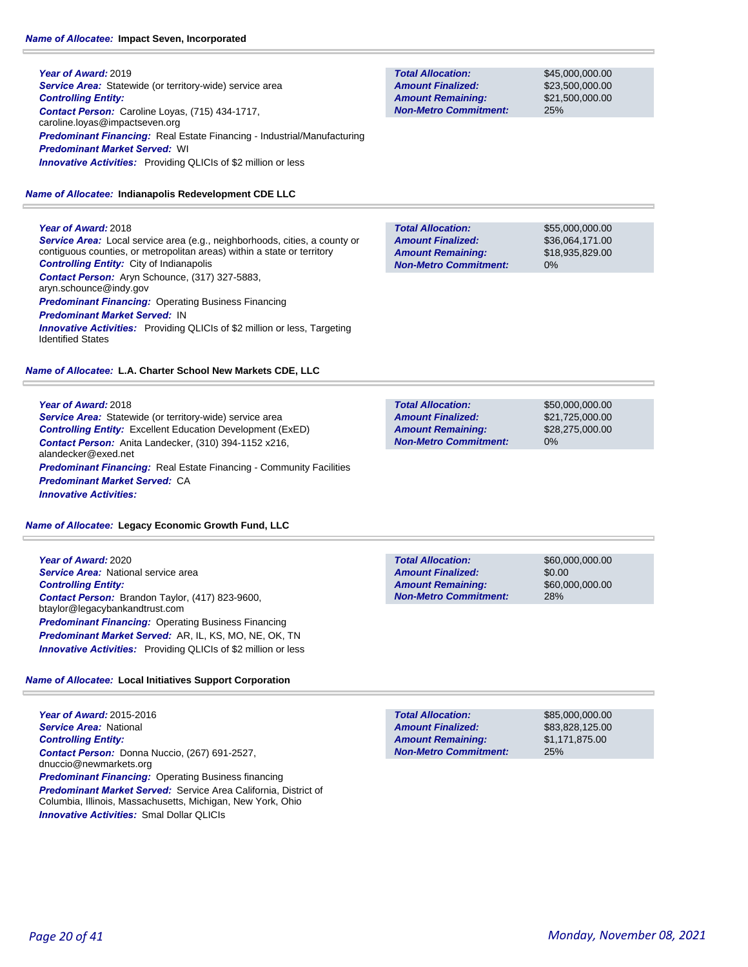### *Name of Allocatee:* **Impact Seven, Incorporated**

**Year of Award:** 2019 **Service Area:** Statewide (or territory-wide) service area *Controlling Entity: Contact Person:* Caroline Loyas, (715) 434-1717, caroline.loyas@impactseven.org *Predominant Financing:* Real Estate Financing - Industrial/Manufacturing *Predominant Market Served:* WI *Innovative Activities:* Providing QLICIs of \$2 million or less

### *Name of Allocatee:* **Indianapolis Redevelopment CDE LLC**

### **Year of Award:** 2018

*Service Area:* Local service area (e.g., neighborhoods, cities, a county or contiguous counties, or metropolitan areas) within a state or territory *Controlling Entity:* City of Indianapolis *Contact Person:* Aryn Schounce, (317) 327-5883, aryn.schounce@indy.gov *Predominant Financing:* Operating Business Financing *Predominant Market Served:* IN **Innovative Activities:** Providing QLICIs of \$2 million or less, Targeting Identified States

### *Name of Allocatee:* **L.A. Charter School New Markets CDE, LLC**

### **Year of Award:** 2018

*Service Area:* Statewide (or territory-wide) service area *Controlling Entity:* Excellent Education Development (ExED) *Contact Person:* Anita Landecker, (310) 394-1152 x216, alandecker@exed.net **Predominant Financing:** Real Estate Financing - Community Facilities *Predominant Market Served:* CA *Innovative Activities:* 

### *Name of Allocatee:* **Legacy Economic Growth Fund, LLC**

**Year of Award:** 2020 *Service Area:* National service area *Controlling Entity: Contact Person:* Brandon Taylor, (417) 823-9600, btaylor@legacybankandtrust.com *Predominant Financing: Operating Business Financing Predominant Market Served:* AR, IL, KS, MO, NE, OK, TN *Innovative Activities:* Providing QLICIs of \$2 million or less

### *Name of Allocatee:* **Local Initiatives Support Corporation**

**Year of Award:** 2015-2016 *Service Area:* National *Controlling Entity: Contact Person:* Donna Nuccio, (267) 691-2527, dnuccio@newmarkets.org *Predominant Financing: Operating Business financing Predominant Market Served:* Service Area California, District of Columbia, Illinois, Massachusetts, Michigan, New York, Ohio *Innovative Activities:* Smal Dollar QLICIs

**Total Allocation: Non-Metro Commitment: Amount Remaining: Amount Finalized:**

\$45,000,000.00 \$23,500,000.00 \$21,500,000.00 25%

\$55,000,000.00 \$36,064,171.00 \$18,935,829.00 0% **Total Allocation: Non-Metro Commitment: Amount Remaining: Amount Finalized:**

\$50,000,000.00 \$21,725,000.00 \$28,275,000.00 0% **Total Allocation: Non-Metro Commitment: Amount Remaining: Amount Finalized:**

**Total Allocation: Non-Metro Commitment: Amount Remaining: Amount Finalized:**

\$60,000,000.00 \$0.00 \$60,000,000.00 28%

\$85,000,000.00 \$83,828,125.00 \$1,171,875.00 25% **Total Allocation: Non-Metro Commitment: Amount Remaining: Amount Finalized:**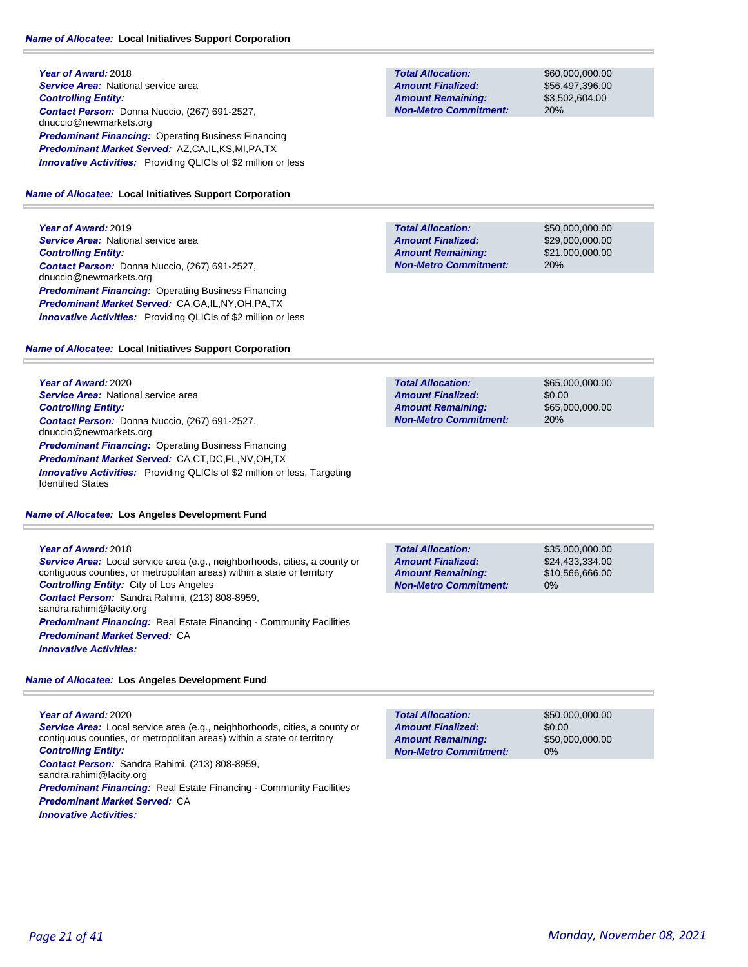**Year of Award:** 2018 **Service Area: National service area** *Controlling Entity: Contact Person:* Donna Nuccio, (267) 691-2527, dnuccio@newmarkets.org **Predominant Financing: Operating Business Financing** *Predominant Market Served:* AZ,CA,IL,KS,MI,PA,TX *Innovative Activities:* Providing QLICIs of \$2 million or less

#### *Name of Allocatee:* **Local Initiatives Support Corporation**

**Year of Award:** 2019 **Service Area: National service area** *Controlling Entity: Contact Person:* Donna Nuccio, (267) 691-2527, dnuccio@newmarkets.org **Predominant Financing: Operating Business Financing** *Predominant Market Served:* CA,GA,IL,NY,OH,PA,TX *Innovative Activities:* Providing QLICIs of \$2 million or less

#### *Name of Allocatee:* **Local Initiatives Support Corporation**

**Year of Award:** 2020 **Service Area: National service area** *Controlling Entity: Contact Person:* Donna Nuccio, (267) 691-2527, dnuccio@newmarkets.org *Predominant Financing: Operating Business Financing Predominant Market Served:* CA,CT,DC,FL,NV,OH,TX **Innovative Activities:** Providing QLICIs of \$2 million or less, Targeting Identified States

#### *Name of Allocatee:* **Los Angeles Development Fund**

**Year of Award:** 2018 *Service Area:* Local service area (e.g., neighborhoods, cities, a county or contiguous counties, or metropolitan areas) within a state or territory *Controlling Entity:* City of Los Angeles *Contact Person:* Sandra Rahimi, (213) 808-8959, sandra.rahimi@lacity.org **Predominant Financing:** Real Estate Financing - Community Facilities *Predominant Market Served:* CA *Innovative Activities:* 

*Name of Allocatee:* **Los Angeles Development Fund**

#### **Year of Award:** 2020 *Service Area:* Local service area (e.g., neighborhoods, cities, a county or contiguous counties, or metropolitan areas) within a state or territory *Controlling Entity:*

*Contact Person:* Sandra Rahimi, (213) 808-8959,

sandra.rahimi@lacity.org

*Predominant Financing:* Real Estate Financing - Community Facilities *Predominant Market Served:* CA

*Innovative Activities:* 

**Total Allocation: Non-Metro Commitment: Amount Remaining: Amount Finalized:**

\$60,000,000.00 \$56,497,396.00 \$3,502,604.00 20%

\$50,000,000.00 \$29,000,000.00 \$21,000,000.00 20% **Total Allocation: Non-Metro Commitment: Amount Remaining: Amount Finalized:**

**Total Allocation: Non-Metro Commitment: Amount Remaining: Amount Finalized:**

\$65,000,000.00 \$0.00 \$65,000,000.00 20%

0% **Total Allocation: Non-Metro Commitment: Amount Remaining: Amount Finalized:**

\$35,000,000.00 \$24,433,334.00 \$10,566,666.00

\$50,000,000.00 \$0.00 \$50,000,000.00 0% **Total Allocation: Non-Metro Commitment: Amount Remaining: Amount Finalized:**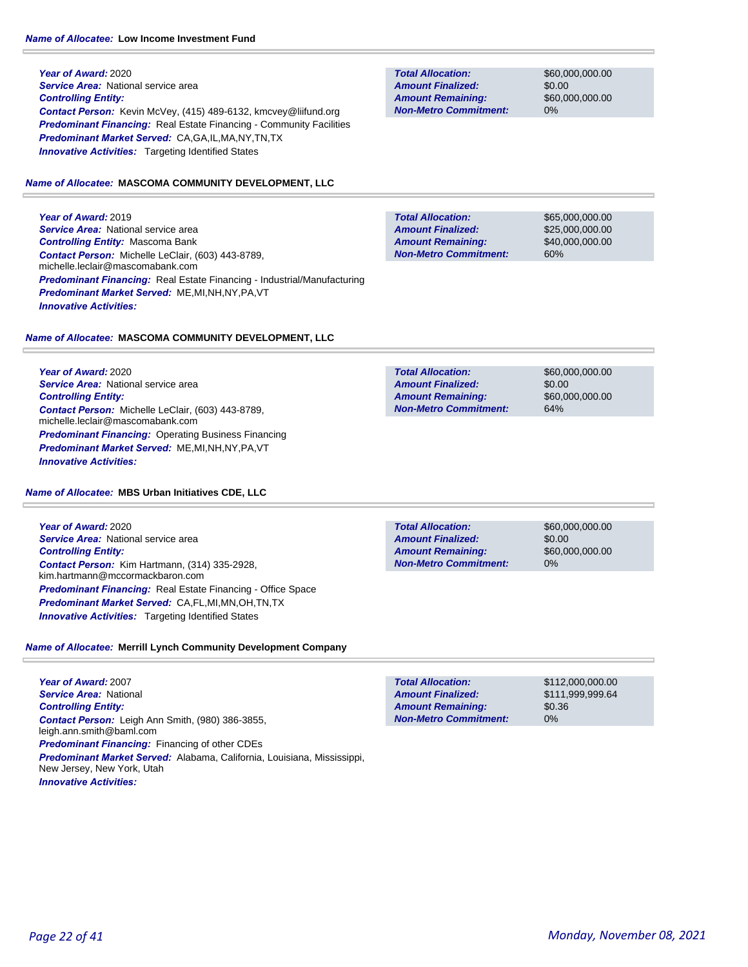**Year of Award:** 2020 **Service Area: National service area** *Controlling Entity: Contact Person:* Kevin McVey, (415) 489-6132, kmcvey@liifund.org **Predominant Financing:** Real Estate Financing - Community Facilities *Predominant Market Served:* CA,GA,IL,MA,NY,TN,TX **Innovative Activities:** Targeting Identified States

#### *Name of Allocatee:* **MASCOMA COMMUNITY DEVELOPMENT, LLC**

**Year of Award:** 2019 **Service Area: National service area** *Controlling Entity:* Mascoma Bank *Contact Person:* Michelle LeClair, (603) 443-8789, michelle.leclair@mascomabank.com *Predominant Financing:* Real Estate Financing - Industrial/Manufacturing *Predominant Market Served:* ME,MI,NH,NY,PA,VT *Innovative Activities:* 

#### *Name of Allocatee:* **MASCOMA COMMUNITY DEVELOPMENT, LLC**

**Year of Award:** 2020 *Service Area:* National service area *Controlling Entity: Contact Person:* Michelle LeClair, (603) 443-8789, michelle.leclair@mascomabank.com **Predominant Financing: Operating Business Financing** *Predominant Market Served:* ME,MI,NH,NY,PA,VT *Innovative Activities:* 

#### *Name of Allocatee:* **MBS Urban Initiatives CDE, LLC**

**Year of Award:** 2020 **Service Area:** National service area *Controlling Entity: Contact Person:* Kim Hartmann, (314) 335-2928, kim.hartmann@mccormackbaron.com *Predominant Financing:* Real Estate Financing - Office Space *Predominant Market Served:* CA,FL,MI,MN,OH,TN,TX **Innovative Activities:** Targeting Identified States

### *Name of Allocatee:* **Merrill Lynch Community Development Company**

**Year of Award:** 2007 *Service Area:* National *Controlling Entity: Contact Person:* Leigh Ann Smith, (980) 386-3855, leigh.ann.smith@baml.com *Predominant Financing:* Financing of other CDEs *Predominant Market Served:* Alabama, California, Louisiana, Mississippi, New Jersey, New York, Utah *Innovative Activities:* 

**Total Allocation: Non-Metro Commitment: Amount Remaining: Amount Finalized:**

\$60,000,000.00 \$0.00 \$60,000,000.00 0%

**Total Allocation: Non-Metro Commitment: Amount Remaining: Amount Finalized:**

\$65,000,000.00 \$25,000,000.00 \$40,000,000.00 60%

\$60,000,000.00 \$0.00 \$60,000,000.00 64% **Total Allocation: Non-Metro Commitment: Amount Remaining: Amount Finalized:**

**Total Allocation: Non-Metro Commitment: Amount Remaining: Amount Finalized:**

\$60,000,000.00 \$0.00 \$60,000,000.00 0%

\$112,000,000.00 \$111,999,999.64 \$0.36 0% **Total Allocation: Non-Metro Commitment: Amount Remaining: Amount Finalized:**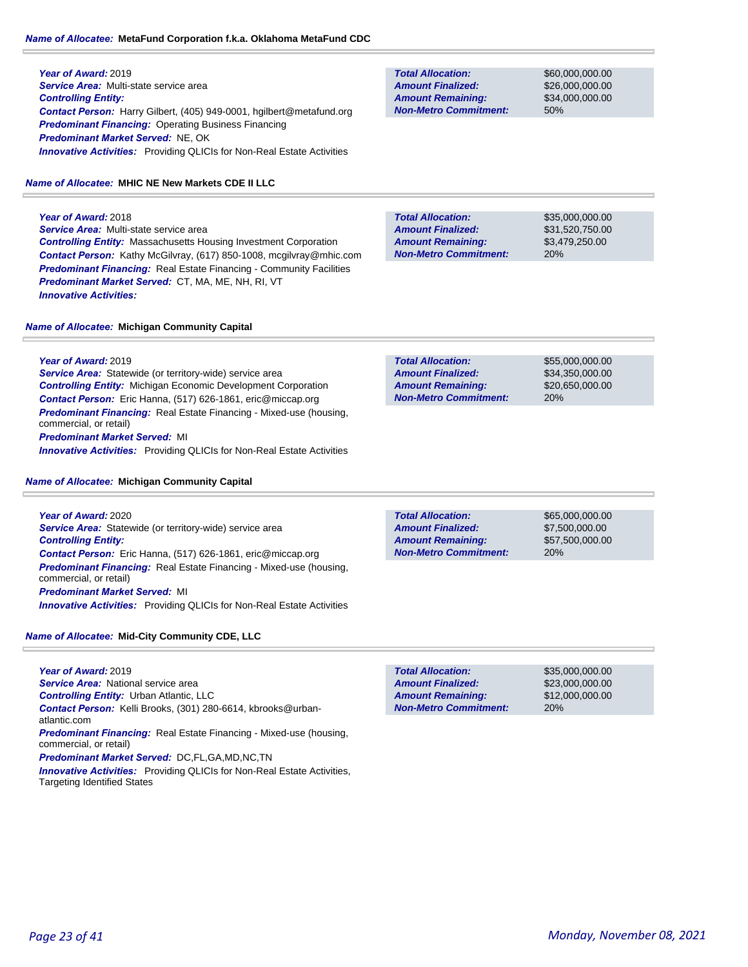### *Name of Allocatee:* **MetaFund Corporation f.k.a. Oklahoma MetaFund CDC**

**Year of Award:** 2019 *Service Area:* Multi-state service area *Controlling Entity: Contact Person:* Harry Gilbert, (405) 949-0001, hgilbert@metafund.org *Predominant Financing:* Operating Business Financing *Predominant Market Served:* NE, OK **Innovative Activities:** Providing QLICIs for Non-Real Estate Activities

### *Name of Allocatee:* **MHIC NE New Markets CDE II LLC**

**Year of Award:** 2018 *Service Area:* Multi-state service area *Controlling Entity:* Massachusetts Housing Investment Corporation *Contact Person:* Kathy McGilvray, (617) 850-1008, mcgilvray@mhic.com *Predominant Financing:* Real Estate Financing - Community Facilities *Predominant Market Served:* CT, MA, ME, NH, RI, VT *Innovative Activities:* 

*Name of Allocatee:* **Michigan Community Capital**

**Year of Award:** 2019

**Service Area:** Statewide (or territory-wide) service area *Controlling Entity:* Michigan Economic Development Corporation *Contact Person:* Eric Hanna, (517) 626-1861, eric@miccap.org *Predominant Financing:* Real Estate Financing - Mixed-use (housing, commercial, or retail) *Predominant Market Served:* MI

*Innovative Activities:* Providing QLICIs for Non-Real Estate Activities

### *Name of Allocatee:* **Michigan Community Capital**

**Year of Award:** 2020 **Service Area:** Statewide (or territory-wide) service area *Controlling Entity: Contact Person:* Eric Hanna, (517) 626-1861, eric@miccap.org *Predominant Financing:* Real Estate Financing - Mixed-use (housing, commercial, or retail) *Predominant Market Served:* MI

*Innovative Activities:* Providing QLICIs for Non-Real Estate Activities

*Name of Allocatee:* **Mid-City Community CDE, LLC**

**Year of Award:** 2019 *Service Area:* National service area *Controlling Entity:* Urban Atlantic, LLC *Contact Person:* Kelli Brooks, (301) 280-6614, kbrooks@urbanatlantic.com *Predominant Financing:* Real Estate Financing - Mixed-use (housing, commercial, or retail) *Predominant Market Served:* DC,FL,GA,MD,NC,TN *Innovative Activities:* Providing QLICIs for Non-Real Estate Activities, Targeting Identified States

**Total Allocation: Non-Metro Commitment: Amount Remaining: Amount Finalized:**

\$60,000,000.00 \$26,000,000.00 \$34,000,000.00 50%

**Total Allocation: Non-Metro Commitment: Amount Remaining: Amount Finalized:**

\$35,000,000.00 \$31,520,750.00 \$3,479,250.00 20%

\$55,000,000.00 \$34,350,000.00 \$20,650,000.00 20% **Total Allocation: Non-Metro Commitment: Amount Remaining: Amount Finalized:**

**Total Allocation: Non-Metro Commitment: Amount Remaining: Amount Finalized:**

\$65,000,000.00 \$7,500,000.00 \$57,500,000.00 20%

**Total Allocation: Non-Metro Commitment: Amount Remaining: Amount Finalized:**

\$35,000,000.00 \$23,000,000.00 \$12,000,000.00 20%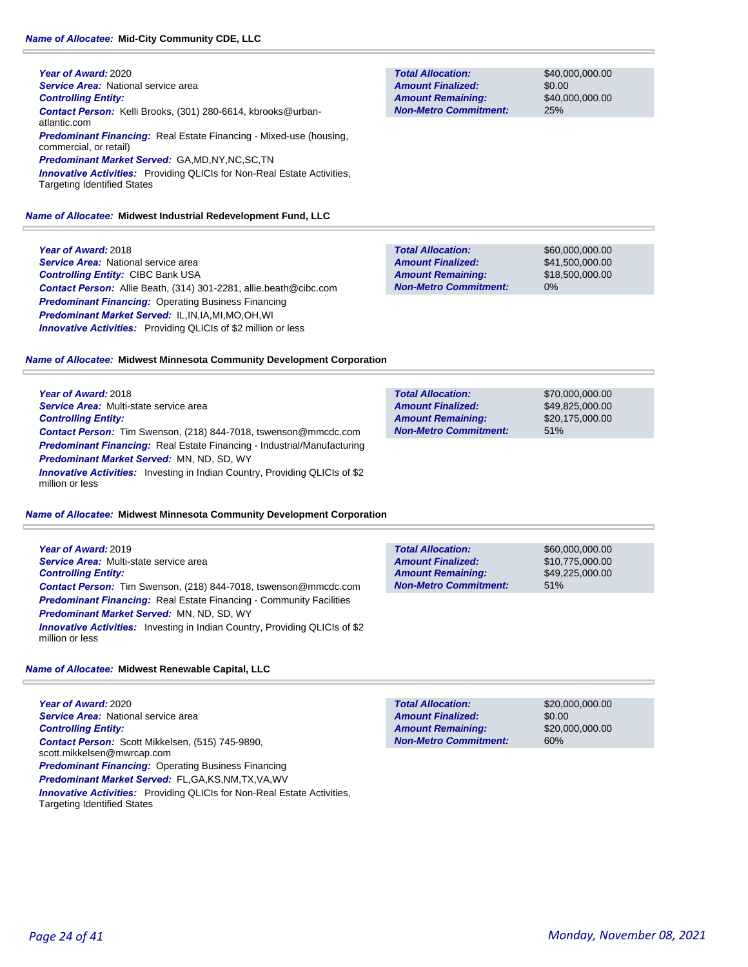#### *Name of Allocatee:* **Mid-City Community CDE, LLC**

**Year of Award:** 2020 **Service Area: National service area** *Controlling Entity: Contact Person:* Kelli Brooks, (301) 280-6614, kbrooks@urbanatlantic.com *Predominant Financing:* Real Estate Financing - Mixed-use (housing, commercial, or retail) *Predominant Market Served:* GA,MD,NY,NC,SC,TN **Innovative Activities:** Providing QLICIs for Non-Real Estate Activities, Targeting Identified States

#### *Name of Allocatee:* **Midwest Industrial Redevelopment Fund, LLC**

**Year of Award:** 2018 **Service Area: National service area** *Controlling Entity:* CIBC Bank USA *Contact Person:* Allie Beath, (314) 301-2281, allie.beath@cibc.com *Predominant Financing:* Operating Business Financing *Predominant Market Served:* IL,IN,IA,MI,MO,OH,WI *Innovative Activities:* Providing QLICIs of \$2 million or less

**Total Allocation: Non-Metro Commitment: Amount Remaining: Amount Finalized:**

**Total Allocation:**

**Non-Metro Commitment: Amount Remaining: Amount Finalized:**

\$40,000,000.00 \$0.00 \$40,000,000.00 25%

\$70,000,000.00 \$49,825,000.00 \$20,175,000.00

51%

\$60,000,000.00 \$41,500,000.00 \$18,500,000.00 0% **Total Allocation: Non-Metro Commitment: Amount Remaining: Amount Finalized:**

| Name of Allocatee: Midwest Minnesota Community Development Corporation |
|------------------------------------------------------------------------|
|------------------------------------------------------------------------|

**Year of Award:** 2018 *Service Area:* Multi-state service area *Controlling Entity: Contact Person:* Tim Swenson, (218) 844-7018, tswenson@mmcdc.com *Predominant Financing:* Real Estate Financing - Industrial/Manufacturing *Predominant Market Served:* MN, ND, SD, WY **Innovative Activities:** Investing in Indian Country, Providing QLICIs of \$2 million or less

#### *Name of Allocatee:* **Midwest Minnesota Community Development Corporation**

| Year of Award: 2019                                                                                   |
|-------------------------------------------------------------------------------------------------------|
| Service Area: Multi-state service area                                                                |
| <b>Controlling Entity:</b>                                                                            |
| <b>Contact Person:</b> Tim Swenson, (218) 844-7018, tswenson@mmcdc.com                                |
| <b>Predominant Financing:</b> Real Estate Financing - Community Facilities                            |
| <b>Predominant Market Served: MN, ND, SD, WY</b>                                                      |
| <b>Innovative Activities:</b> Investing in Indian Country, Providing QLICIs of \$2<br>million or less |

#### *Name of Allocatee:* **Midwest Renewable Capital, LLC**

**Year of Award:** 2020 **Service Area: National service area** *Controlling Entity: Contact Person:* Scott Mikkelsen, (515) 745-9890, scott.mikkelsen@mwrcap.com **Predominant Financing:** Operating Business Financing *Predominant Market Served:* FL,GA,KS,NM,TX,VA,WV *Innovative Activities:* Providing QLICIs for Non-Real Estate Activities, Targeting Identified States

| <b>Total Allocation:</b>     | \$60,000,000,00 |
|------------------------------|-----------------|
| <b>Amount Finalized:</b>     | \$10,775,000.00 |
| <b>Amount Remaining:</b>     | \$49,225,000.00 |
| <b>Non-Metro Commitment:</b> | 51%             |

\$20,000,000.00 \$0.00 \$20,000,000.00 60% **Total Allocation: Non-Metro Commitment: Amount Remaining: Amount Finalized:**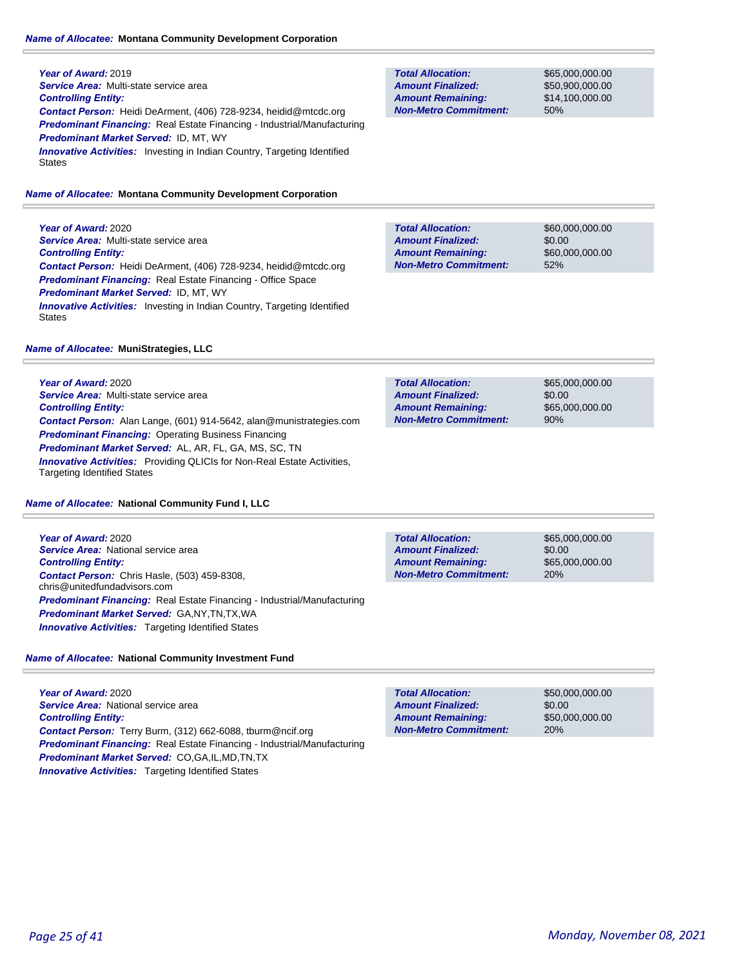#### *Name of Allocatee:* **Montana Community Development Corporation**

**Year of Award:** 2019 *Service Area:* Multi-state service area *Controlling Entity: Contact Person:* Heidi DeArment, (406) 728-9234, heidid@mtcdc.org *Predominant Financing:* Real Estate Financing - Industrial/Manufacturing *Predominant Market Served:* ID, MT, WY **Innovative Activities:** Investing in Indian Country, Targeting Identified **States** 

#### *Name of Allocatee:* **Montana Community Development Corporation**

**Year of Award:** 2020 *Service Area:* Multi-state service area *Controlling Entity: Contact Person:* Heidi DeArment, (406) 728-9234, heidid@mtcdc.org *Predominant Financing:* Real Estate Financing - Office Space *Predominant Market Served:* ID, MT, WY **Innovative Activities:** Investing in Indian Country, Targeting Identified **States** 

#### *Name of Allocatee:* **MuniStrategies, LLC**

**Year of Award:** 2020 *Service Area:* Multi-state service area *Controlling Entity: Contact Person:* Alan Lange, (601) 914-5642, alan@munistrategies.com *Predominant Financing:* Operating Business Financing *Predominant Market Served:* AL, AR, FL, GA, MS, SC, TN **Innovative Activities:** Providing QLICIs for Non-Real Estate Activities, Targeting Identified States

#### *Name of Allocatee:* **National Community Fund I, LLC**

**Year of Award:** 2020 **Service Area: National service area** *Controlling Entity: Contact Person:* Chris Hasle, (503) 459-8308, chris@unitedfundadvisors.com *Predominant Financing:* Real Estate Financing - Industrial/Manufacturing *Predominant Market Served:* GA,NY,TN,TX,WA **Innovative Activities:** Targeting Identified States

**Total Allocation: Non-Metro Commitment: Amount Remaining: Amount Finalized:**

\$65,000,000.00 \$0.00 \$65,000,000.00 20%

*Name of Allocatee:* **National Community Investment Fund**

**Year of Award:** 2020 **Service Area: National service area** *Controlling Entity: Contact Person:* Terry Burm, (312) 662-6088, tburm@ncif.org *Predominant Financing:* Real Estate Financing - Industrial/Manufacturing *Predominant Market Served:* CO,GA,IL,MD,TN,TX **Innovative Activities:** Targeting Identified States

|  | Page 25 of 41 |  |  |
|--|---------------|--|--|
|  |               |  |  |

#### **Total Allocation: Non-Metro Commitment: Amount Remaining: Amount Finalized:**

\$65,000,000.00 \$50,900,000.00 \$14,100,000.00 50%

\$60,000,000.00 \$0.00 \$60,000,000.00 52% **Total Allocation: Non-Metro Commitment: Amount Remaining: Amount Finalized:**

\$65,000,000.00 \$0.00 \$65,000,000.00 90% **Total Allocation: Non-Metro Commitment: Amount Remaining: Amount Finalized:**

> \$50,000,000.00 \$0.00 \$50,000,000.00 20% **Total Allocation: Non-Metro Commitment: Amount Remaining: Amount Finalized:**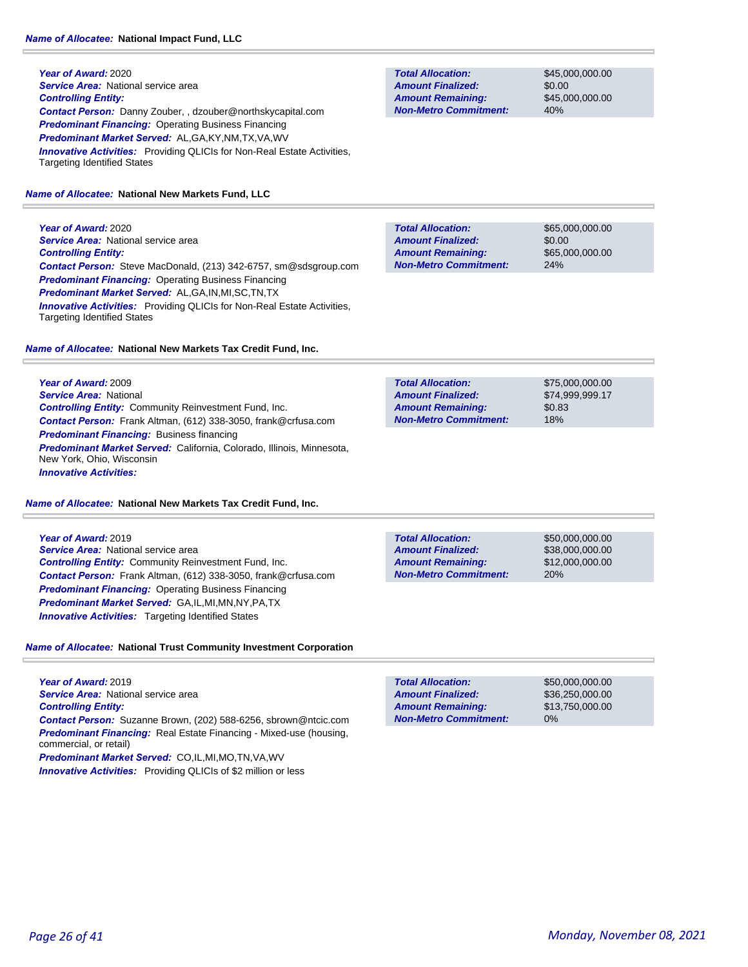**Year of Award:** 2020 **Service Area: National service area** *Controlling Entity: Contact Person:* Danny Zouber, , dzouber@northskycapital.com *Predominant Financing:* Operating Business Financing *Predominant Market Served:* AL,GA,KY,NM,TX,VA,WV **Innovative Activities:** Providing QLICIs for Non-Real Estate Activities, Targeting Identified States

#### *Name of Allocatee:* **National New Markets Fund, LLC**

**Year of Award:** 2020 **Service Area: National service area** *Controlling Entity: Contact Person:* Steve MacDonald, (213) 342-6757, sm@sdsgroup.com *Predominant Financing:* Operating Business Financing *Predominant Market Served:* AL,GA,IN,MI,SC,TN,TX **Innovative Activities:** Providing QLICIs for Non-Real Estate Activities, Targeting Identified States

#### *Name of Allocatee:* **National New Markets Tax Credit Fund, Inc.**

**Year of Award:** 2009 *Service Area:* National *Controlling Entity:* Community Reinvestment Fund, Inc. *Contact Person:* Frank Altman, (612) 338-3050, frank@crfusa.com *Predominant Financing:* Business financing *Predominant Market Served:* California, Colorado, Illinois, Minnesota, New York, Ohio, Wisconsin *Innovative Activities:* 

#### *Name of Allocatee:* **National New Markets Tax Credit Fund, Inc.**

**Year of Award:** 2019 **Service Area: National service area** *Controlling Entity:* Community Reinvestment Fund, Inc. *Contact Person:* Frank Altman, (612) 338-3050, frank@crfusa.com *Predominant Financing:* Operating Business Financing *Predominant Market Served:* GA,IL,MI,MN,NY,PA,TX *Innovative Activities:* Targeting Identified States

### *Name of Allocatee:* **National Trust Community Investment Corporation**

**Year of Award:** 2019 *Service Area:* National service area *Controlling Entity: Contact Person:* Suzanne Brown, (202) 588-6256, sbrown@ntcic.com *Predominant Financing:* Real Estate Financing - Mixed-use (housing, commercial, or retail) *Predominant Market Served:* CO,IL,MI,MO,TN,VA,WV

*Innovative Activities:* Providing QLICIs of \$2 million or less

**Total Allocation: Non-Metro Commitment: Amount Remaining: Amount Finalized:**

\$45,000,000.00 \$0.00 \$45,000,000.00 40%

\$65,000,000.00 \$0.00 \$65,000,000.00 24% **Total Allocation: Non-Metro Commitment: Amount Remaining: Amount Finalized:**

\$75,000,000.00 \$74,999,999.17 \$0.83 18% **Total Allocation: Non-Metro Commitment: Amount Remaining: Amount Finalized:**

**Total Allocation: Non-Metro Commitment: Amount Remaining: Amount Finalized:**

\$50,000,000.00 \$38,000,000.00 \$12,000,000.00 20%

\$50,000,000.00 \$36,250,000.00 \$13,750,000.00 0% **Total Allocation: Non-Metro Commitment: Amount Remaining: Amount Finalized:**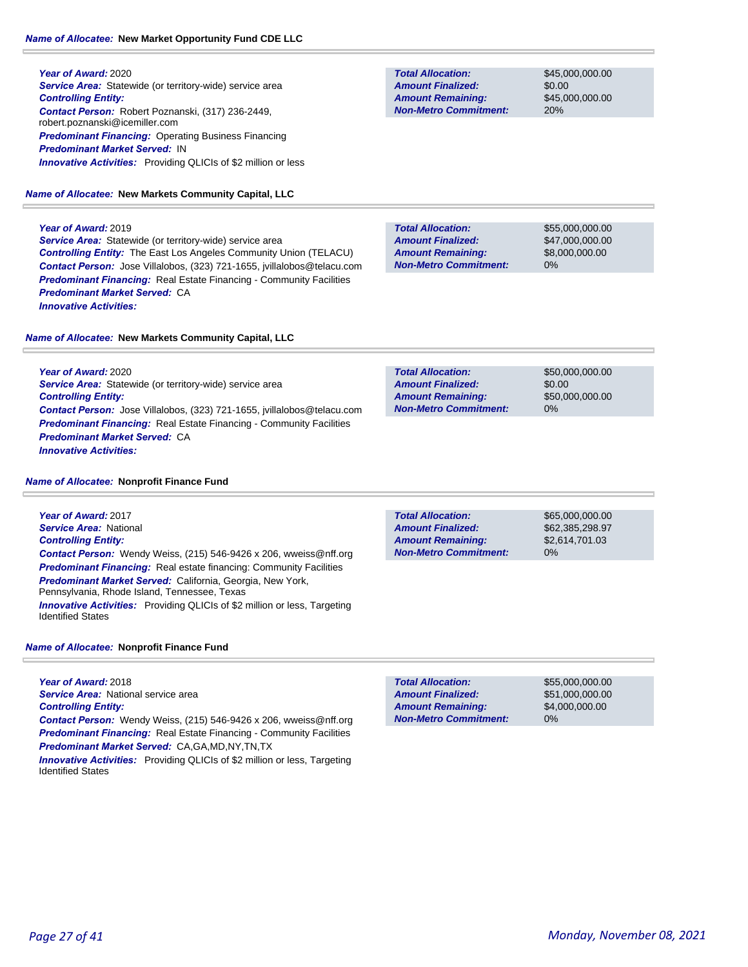**Year of Award:** 2020 **Service Area:** Statewide (or territory-wide) service area *Controlling Entity: Contact Person:* Robert Poznanski, (317) 236-2449, robert.poznanski@icemiller.com *Predominant Financing:* Operating Business Financing *Predominant Market Served:* IN *Innovative Activities:* Providing QLICIs of \$2 million or less

### *Name of Allocatee:* **New Markets Community Capital, LLC**

#### **Year of Award:** 2019

*Innovative Activities:* 

**Service Area:** Statewide (or territory-wide) service area *Controlling Entity:* The East Los Angeles Community Union (TELACU) *Contact Person:* Jose Villalobos, (323) 721-1655, jvillalobos@telacu.com *Predominant Financing:* Real Estate Financing - Community Facilities *Predominant Market Served:* CA *Innovative Activities:* 

#### *Name of Allocatee:* **New Markets Community Capital, LLC**

**Total Allocation: Non-Metro Commitment: Amount Remaining: Amount Finalized:**

\$45,000,000.00 \$0.00 \$45,000,000.00 20%

**Total Allocation: Non-Metro Commitment: Amount Remaining: Amount Finalized:**

\$55,000,000.00 \$47,000,000.00 \$8,000,000.00 0%

| <b>Year of Award: 2020</b>                                                     | <b>Total Allocation:</b>     | \$50,000,000,00 |
|--------------------------------------------------------------------------------|------------------------------|-----------------|
| <b>Service Area:</b> Statewide (or territory-wide) service area                | <b>Amount Finalized:</b>     | \$0.00          |
| <b>Controlling Entity:</b>                                                     | <b>Amount Remaining:</b>     | \$50,000,000,00 |
| <b>Contact Person:</b> Jose Villalobos, (323) 721-1655, jvillalobos@telacu.com | <b>Non-Metro Commitment:</b> | $0\%$           |

#### *Name of Allocatee:* **Nonprofit Finance Fund**

*Predominant Market Served:* CA

**Year of Award:** 2017 *Service Area:* National *Controlling Entity: Contact Person:* Wendy Weiss, (215) 546-9426 x 206, wweiss@nff.org **Predominant Financing:** Real estate financing: Community Facilities *Predominant Market Served: California, Georgia, New York,* Pennsylvania, Rhode Island, Tennessee, Texas *Innovative Activities:* Providing QLICIs of \$2 million or less, Targeting Identified States

*Predominant Financing:* Real Estate Financing - Community Facilities

#### *Name of Allocatee:* **Nonprofit Finance Fund**

**Year of Award:** 2018 *Service Area:* National service area *Controlling Entity:* 

*Contact Person:* Wendy Weiss, (215) 546-9426 x 206, wweiss@nff.org **Predominant Financing:** Real Estate Financing - Community Facilities *Predominant Market Served:* CA,GA,MD,NY,TN,TX

*Innovative Activities:* Providing QLICIs of \$2 million or less, Targeting Identified States

0% **Total Allocation: Non-Metro Commitment: Amount Remaining: Amount Finalized:**

\$65,000,000.00 \$62,385,298.97 \$2,614,701.03

0% **Total Allocation: Non-Metro Commitment: Amount Remaining: Amount Finalized:**

\$55,000,000.00 \$51,000,000.00 \$4,000,000.00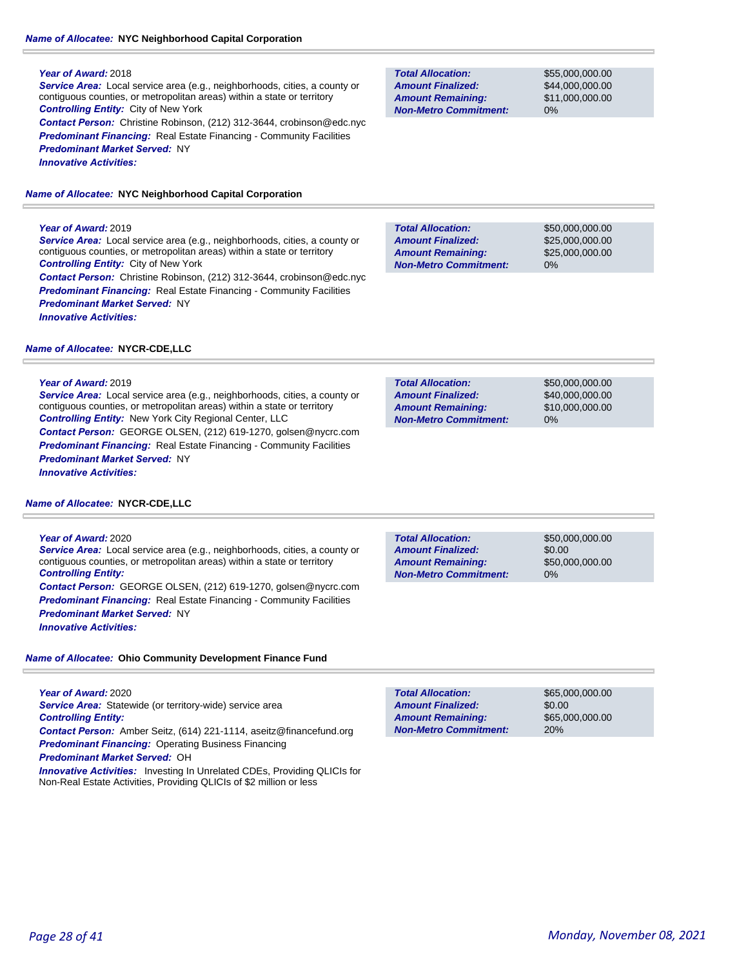### *Name of Allocatee:* **NYC Neighborhood Capital Corporation**

#### **Year of Award:** 2018

*Service Area:* Local service area (e.g., neighborhoods, cities, a county or contiguous counties, or metropolitan areas) within a state or territory *Controlling Entity:* City of New York *Contact Person:* Christine Robinson, (212) 312-3644, crobinson@edc.nyc **Predominant Financing:** Real Estate Financing - Community Facilities *Predominant Market Served:* NY

*Innovative Activities:* 

### *Name of Allocatee:* **NYC Neighborhood Capital Corporation**

### **Year of Award:** 2019

*Service Area:* Local service area (e.g., neighborhoods, cities, a county or contiguous counties, or metropolitan areas) within a state or territory *Controlling Entity:* City of New York *Contact Person:* Christine Robinson, (212) 312-3644, crobinson@edc.nyc **Predominant Financing:** Real Estate Financing - Community Facilities *Predominant Market Served:* NY *Innovative Activities:* 

### *Name of Allocatee:* **NYCR-CDE,LLC**

### **Year of Award:** 2019

*Service Area:* Local service area (e.g., neighborhoods, cities, a county or contiguous counties, or metropolitan areas) within a state or territory *Controlling Entity:* New York City Regional Center, LLC *Contact Person:* GEORGE OLSEN, (212) 619-1270, golsen@nycrc.com **Predominant Financing:** Real Estate Financing - Community Facilities *Predominant Market Served:* NY *Innovative Activities:* 

### *Name of Allocatee:* **NYCR-CDE,LLC**

#### **Year of Award:** 2020

*Service Area:* Local service area (e.g., neighborhoods, cities, a county or contiguous counties, or metropolitan areas) within a state or territory *Controlling Entity: Contact Person:* GEORGE OLSEN, (212) 619-1270, golsen@nycrc.com

**Predominant Financing:** Real Estate Financing - Community Facilities *Predominant Market Served:* NY

*Innovative Activities:* 

### *Name of Allocatee:* **Ohio Community Development Finance Fund**

#### **Year of Award:** 2020

Service Area: Statewide (or territory-wide) service area *Controlling Entity:* 

*Contact Person:* Amber Seitz, (614) 221-1114, aseitz@financefund.org *Predominant Financing:* Operating Business Financing

*Predominant Market Served:* OH

*Innovative Activities:* Investing In Unrelated CDEs, Providing QLICIs for Non-Real Estate Activities, Providing QLICIs of \$2 million or less

**Total Allocation: Non-Metro Commitment: Amount Remaining: Amount Finalized:**

\$55,000,000.00 \$44,000,000.00 \$11,000,000.00 0%

\$50,000,000.00 \$25,000,000.00 \$25,000,000.00 0% **Total Allocation: Non-Metro Commitment: Amount Remaining: Amount Finalized:**

**Total Allocation: Non-Metro Commitment: Amount Remaining: Amount Finalized:**

\$50,000,000.00 \$40,000,000.00 \$10,000,000.00 0%

**Total Allocation: Non-Metro Commitment: Amount Remaining: Amount Finalized:**

\$50,000,000.00 \$0.00 \$50,000,000.00 0%

\$65,000,000.00 \$0.00 \$65,000,000.00 20% **Total Allocation: Non-Metro Commitment: Amount Remaining: Amount Finalized:**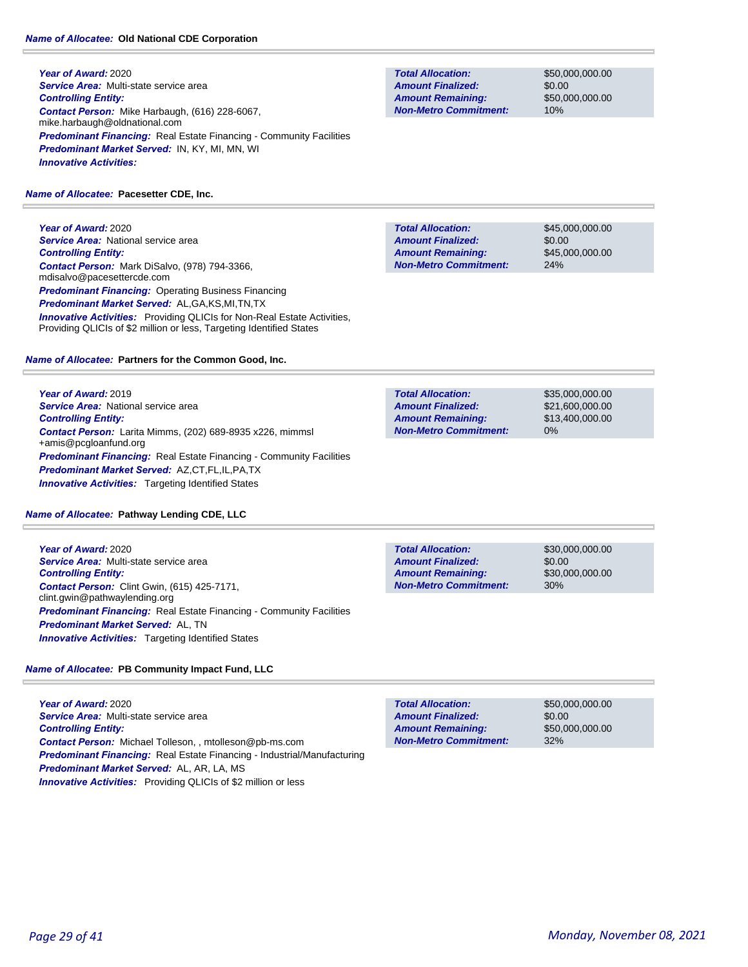**Year of Award:** 2020 *Service Area:* Multi-state service area *Controlling Entity: Contact Person:* Mike Harbaugh, (616) 228-6067, mike.harbaugh@oldnational.com **Predominant Financing:** Real Estate Financing - Community Facilities *Predominant Market Served:* IN, KY, MI, MN, WI *Innovative Activities:* 

### *Name of Allocatee:* **Pacesetter CDE, Inc.**

**Year of Award:** 2020 **Service Area: National service area** *Controlling Entity: Contact Person:* Mark DiSalvo, (978) 794-3366, mdisalvo@pacesettercde.com **Predominant Financing: Operating Business Financing** *Predominant Market Served:* AL,GA,KS,MI,TN,TX *Innovative Activities:* Providing QLICIs for Non-Real Estate Activities, Providing QLICIs of \$2 million or less, Targeting Identified States

### *Name of Allocatee:* **Partners for the Common Good, Inc.**

**Year of Award:** 2019 **Service Area:** National service area *Controlling Entity: Contact Person:* Larita Mimms, (202) 689-8935 x226, mimmsl +amis@pcgloanfund.org **Predominant Financing:** Real Estate Financing - Community Facilities *Predominant Market Served:* AZ,CT,FL,IL,PA,TX *Innovative Activities:* Targeting Identified States

### *Name of Allocatee:* **Pathway Lending CDE, LLC**

**Year of Award:** 2020 *Service Area:* Multi-state service area *Controlling Entity: Contact Person:* Clint Gwin, (615) 425-7171, clint.gwin@pathwaylending.org **Predominant Financing:** Real Estate Financing - Community Facilities *Predominant Market Served:* AL, TN *Innovative Activities:* Targeting Identified States

### *Name of Allocatee:* **PB Community Impact Fund, LLC**

**Year of Award:** 2020 *Service Area:* Multi-state service area *Controlling Entity: Contact Person:* Michael Tolleson, , mtolleson@pb-ms.com *Predominant Financing:* Real Estate Financing - Industrial/Manufacturing *Predominant Market Served:* AL, AR, LA, MS *Innovative Activities:* Providing QLICIs of \$2 million or less

**Total Allocation: Non-Metro Commitment: Amount Remaining: Amount Finalized:**

\$50,000,000.00 \$0.00 \$50,000,000.00 10%

\$45,000,000.00 \$0.00 \$45,000,000.00 24% **Total Allocation: Non-Metro Commitment: Amount Remaining: Amount Finalized:**

\$35,000,000.00 \$21,600,000.00 \$13,400,000.00 0% **Total Allocation: Non-Metro Commitment: Amount Remaining: Amount Finalized:**

\$30,000,000.00 \$0.00 \$30,000,000.00 30% **Total Allocation: Non-Metro Commitment: Amount Remaining: Amount Finalized:**

**Total Allocation: Non-Metro Commitment: Amount Remaining: Amount Finalized:**

\$50,000,000.00 \$0.00 \$50,000,000.00 32%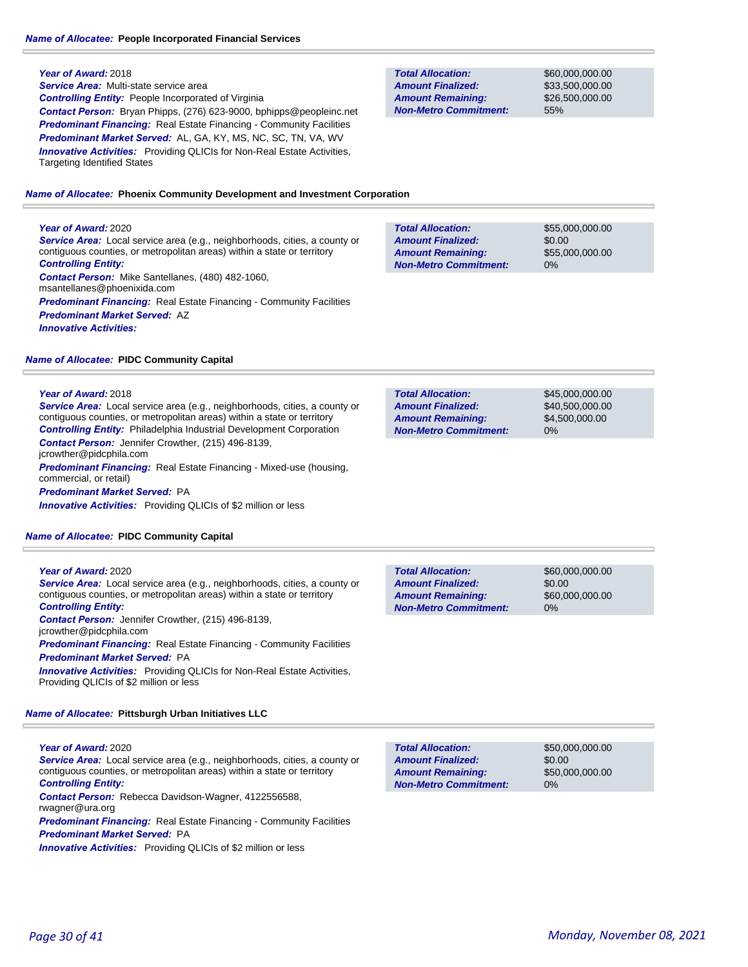#### *Name of Allocatee:* **People Incorporated Financial Services**

#### **Year of Award:** 2018

*Service Area:* Multi-state service area *Controlling Entity:* People Incorporated of Virginia *Contact Person:* Bryan Phipps, (276) 623-9000, bphipps@peopleinc.net *Predominant Financing:* Real Estate Financing - Community Facilities *Predominant Market Served:* AL, GA, KY, MS, NC, SC, TN, VA, WV **Innovative Activities:** Providing QLICIs for Non-Real Estate Activities, Targeting Identified States

*Name of Allocatee:* **Phoenix Community Development and Investment Corporation**

#### **Year of Award:** 2020

*Service Area:* Local service area (e.g., neighborhoods, cities, a county or contiguous counties, or metropolitan areas) within a state or territory *Controlling Entity: Contact Person:* Mike Santellanes, (480) 482-1060,

msantellanes@phoenixida.com *Predominant Financing:* Real Estate Financing - Community Facilities *Predominant Market Served:* AZ

*Innovative Activities:* 

#### *Name of Allocatee:* **PIDC Community Capital**

#### **Year of Award:** 2018

*Service Area:* Local service area (e.g., neighborhoods, cities, a county or contiguous counties, or metropolitan areas) within a state or territory *Controlling Entity:* Philadelphia Industrial Development Corporation *Contact Person:* Jennifer Crowther, (215) 496-8139, jcrowther@pidcphila.com

*Predominant Financing:* Real Estate Financing - Mixed-use (housing, commercial, or retail)

*Predominant Market Served:* PA

**Innovative Activities:** Providing QLICIs of \$2 million or less

#### *Name of Allocatee:* **PIDC Community Capital**

#### **Year of Award:** 2020

*Service Area:* Local service area (e.g., neighborhoods, cities, a county or contiguous counties, or metropolitan areas) within a state or territory *Controlling Entity:* 

*Contact Person:* Jennifer Crowther, (215) 496-8139,

jcrowther@pidcphila.com

**Predominant Financing:** Real Estate Financing - Community Facilities *Predominant Market Served:* PA

*Innovative Activities:* Providing QLICIs for Non-Real Estate Activities, Providing QLICIs of \$2 million or less

#### *Name of Allocatee:* **Pittsburgh Urban Initiatives LLC**

**Year of Award:** 2020

*Service Area:* Local service area (e.g., neighborhoods, cities, a county or contiguous counties, or metropolitan areas) within a state or territory *Controlling Entity: Contact Person:* Rebecca Davidson-Wagner, 4122556588, rwagner@ura.org

*Predominant Financing:* Real Estate Financing - Community Facilities *Predominant Market Served:* PA

**Innovative Activities:** Providing QLICIs of \$2 million or less

**Total Allocation: Non-Metro Commitment: Amount Remaining: Amount Finalized:**

\$60,000,000.00 \$33,500,000.00 \$26,500,000.00 55%

\$55,000,000.00 \$0.00 \$55,000,000.00 0% **Total Allocation: Non-Metro Commitment: Amount Remaining: Amount Finalized:**

\$45,000,000.00 \$40,500,000.00 \$4,500,000.00 0% **Total Allocation: Non-Metro Commitment: Amount Remaining: Amount Finalized:**

\$60,000,000.00 \$0.00 \$60,000,000.00 0% **Total Allocation: Non-Metro Commitment: Amount Remaining: Amount Finalized:**

**Total Allocation: Non-Metro Commitment: Amount Remaining: Amount Finalized:**

\$50,000,000.00 \$0.00 \$50,000,000.00 0%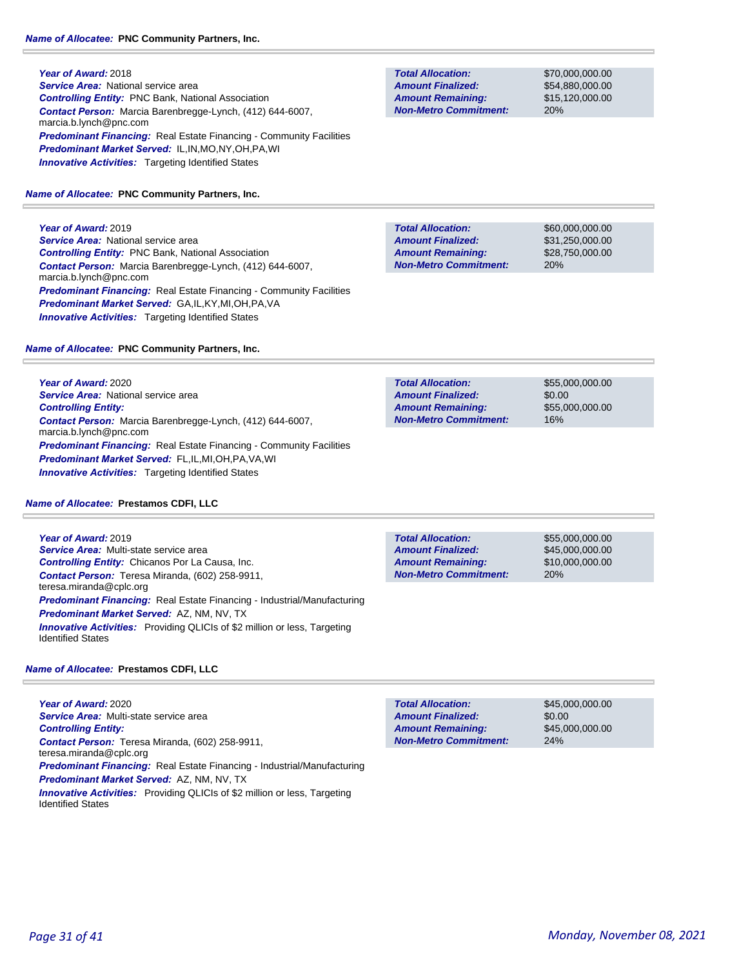**Year of Award:** 2018 **Service Area: National service area** *Controlling Entity:* PNC Bank, National Association *Contact Person:* Marcia Barenbregge-Lynch, (412) 644-6007, marcia.b.lynch@pnc.com **Predominant Financing:** Real Estate Financing - Community Facilities *Predominant Market Served:* IL,IN,MO,NY,OH,PA,WI **Innovative Activities:** Targeting Identified States

*Name of Allocatee:* **PNC Community Partners, Inc.**

**Year of Award:** 2019

*Service Area:* National service area *Controlling Entity:* PNC Bank, National Association *Contact Person:* Marcia Barenbregge-Lynch, (412) 644-6007, marcia.b.lynch@pnc.com *Predominant Financing:* Real Estate Financing - Community Facilities *Predominant Market Served:* GA,IL,KY,MI,OH,PA,VA **Innovative Activities:** Targeting Identified States

*Name of Allocatee:* **PNC Community Partners, Inc.**

**Year of Award:** 2020 **Service Area: National service area** *Controlling Entity: Contact Person:* Marcia Barenbregge-Lynch, (412) 644-6007, marcia.b.lynch@pnc.com *Predominant Financing:* Real Estate Financing - Community Facilities *Predominant Market Served:* FL,IL,MI,OH,PA,VA,WI **Innovative Activities:** Targeting Identified States

### *Name of Allocatee:* **Prestamos CDFI, LLC**

**Year of Award:** 2019 *Service Area:* Multi-state service area *Controlling Entity:* Chicanos Por La Causa, Inc. *Contact Person:* Teresa Miranda, (602) 258-9911, teresa.miranda@cplc.org *Predominant Financing:* Real Estate Financing - Industrial/Manufacturing *Predominant Market Served:* AZ, NM, NV, TX **Innovative Activities:** Providing QLICIs of \$2 million or less, Targeting Identified States

### *Name of Allocatee:* **Prestamos CDFI, LLC**

**Year of Award:** 2020 *Service Area:* Multi-state service area *Controlling Entity: Contact Person:* Teresa Miranda, (602) 258-9911, teresa.miranda@cplc.org *Predominant Financing:* Real Estate Financing - Industrial/Manufacturing *Predominant Market Served:* AZ, NM, NV, TX *Innovative Activities:* Providing QLICIs of \$2 million or less, Targeting Identified States

**Total Allocation: Non-Metro Commitment: Amount Remaining: Amount Finalized:**

\$70,000,000.00 \$54,880,000.00 \$15,120,000.00 20%

\$60,000,000.00 \$31,250,000.00 \$28,750,000.00 20% **Total Allocation: Non-Metro Commitment: Amount Remaining: Amount Finalized:**

**Total Allocation: Non-Metro Commitment: Amount Remaining: Amount Finalized:**

\$55,000,000.00 \$0.00 \$55,000,000.00 16%

**Total Allocation: Non-Metro Commitment: Amount Remaining: Amount Finalized:**

\$55,000,000.00 \$45,000,000.00 \$10,000,000.00 20%

**Total Allocation: Non-Metro Commitment: Amount Remaining: Amount Finalized:**

\$45,000,000.00 \$0.00 \$45,000,000.00 24%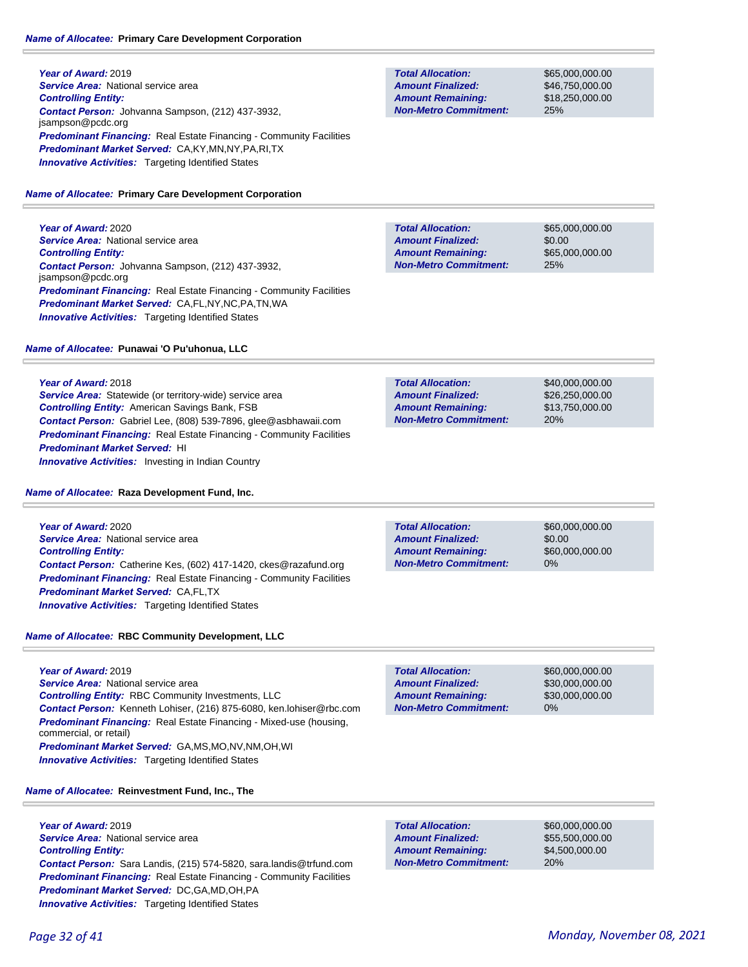**Year of Award:** 2019 **Service Area: National service area** *Controlling Entity: Contact Person:* Johvanna Sampson, (212) 437-3932, jsampson@pcdc.org **Predominant Financing:** Real Estate Financing - Community Facilities *Predominant Market Served:* CA,KY,MN,NY,PA,RI,TX **Innovative Activities:** Targeting Identified States

### *Name of Allocatee:* **Primary Care Development Corporation**

**Year of Award:** 2020 **Service Area: National service area** *Controlling Entity: Contact Person:* Johvanna Sampson, (212) 437-3932, jsampson@pcdc.org *Predominant Financing:* Real Estate Financing - Community Facilities *Predominant Market Served:* CA,FL,NY,NC,PA,TN,WA **Innovative Activities:** Targeting Identified States

### *Name of Allocatee:* **Punawai 'O Pu'uhonua, LLC**

**Year of Award:** 2018

*Service Area:* Statewide (or territory-wide) service area *Controlling Entity:* American Savings Bank, FSB *Contact Person:* Gabriel Lee, (808) 539-7896, glee@asbhawaii.com **Predominant Financing:** Real Estate Financing - Community Facilities *Predominant Market Served:* HI **Innovative Activities:** Investing in Indian Country

### *Name of Allocatee:* **Raza Development Fund, Inc.**

**Year of Award:** 2020 *Service Area:* National service area *Controlling Entity: Contact Person:* Catherine Kes, (602) 417-1420, ckes@razafund.org **Predominant Financing:** Real Estate Financing - Community Facilities *Predominant Market Served:* CA,FL,TX *Innovative Activities:* Targeting Identified States

### *Name of Allocatee:* **RBC Community Development, LLC**

**Year of Award:** 2019 *Service Area:* National service area *Controlling Entity:* RBC Community Investments, LLC *Contact Person:* Kenneth Lohiser, (216) 875-6080, ken.lohiser@rbc.com *Predominant Financing:* Real Estate Financing - Mixed-use (housing, commercial, or retail) *Predominant Market Served:* GA,MS,MO,NV,NM,OH,WI **Innovative Activities:** Targeting Identified States

*Name of Allocatee:* **Reinvestment Fund, Inc., The**

**Year of Award:** 2019 **Service Area: National service area** *Controlling Entity: Contact Person:* Sara Landis, (215) 574-5820, sara.landis@trfund.com **Predominant Financing:** Real Estate Financing - Community Facilities *Predominant Market Served:* DC,GA,MD,OH,PA **Innovative Activities:** Targeting Identified States

**Non-Metro Commitment:**

**Total Allocation:**

**Amount Remaining: Amount Finalized:**

\$60,000,000.00 \$55,500,000.00 \$4,500,000.00 20%

**Total Allocation: Non-Metro Commitment: Amount Remaining: Amount Finalized:**

\$65,000,000.00 \$46,750,000.00 \$18,250,000.00 25%

\$65,000,000.00 \$0.00 \$65,000,000.00 25% **Total Allocation: Non-Metro Commitment: Amount Remaining: Amount Finalized:**

\$40,000,000.00 \$26,250,000.00 \$13,750,000.00 20% **Total Allocation: Non-Metro Commitment: Amount Remaining: Amount Finalized:**

\$0.00

**Total Allocation: Non-Metro Commitment: Amount Remaining: Amount Finalized:**

**Total Allocation:**

**Non-Metro Commitment: Amount Remaining: Amount Finalized:**

\$60,000,000.00 \$60,000,000.00 0%

\$60,000,000.00 \$30,000,000.00 \$30,000,000.00

0%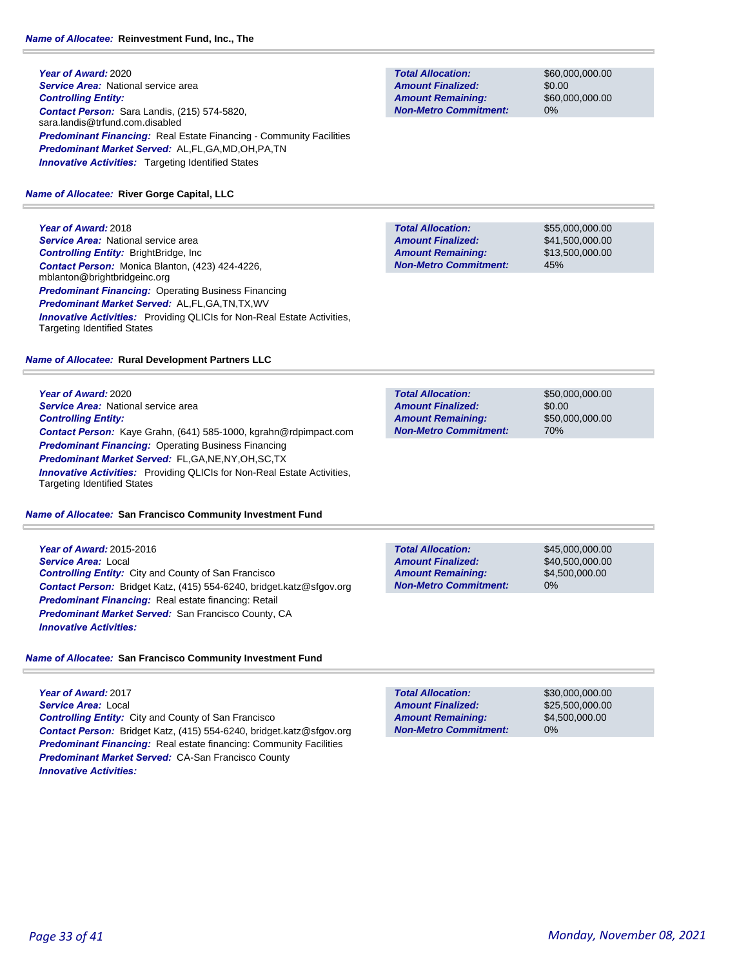### **Year of Award:** 2020 **Service Area: National service area** *Controlling Entity: Contact Person:* Sara Landis, (215) 574-5820, sara.landis@trfund.com.disabled **Predominant Financing:** Real Estate Financing - Community Facilities *Predominant Market Served:* AL,FL,GA,MD,OH,PA,TN **Innovative Activities:** Targeting Identified States

### *Name of Allocatee:* **River Gorge Capital, LLC**

**Year of Award:** 2018 *Service Area:* National service area *Controlling Entity:* BrightBridge, Inc *Contact Person:* Monica Blanton, (423) 424-4226, mblanton@brightbridgeinc.org *Predominant Financing:* Operating Business Financing *Predominant Market Served:* AL,FL,GA,TN,TX,WV *Innovative Activities:* Providing QLICIs for Non-Real Estate Activities, Targeting Identified States

### *Name of Allocatee:* **Rural Development Partners LLC**

**Year of Award:** 2020 **Service Area:** National service area *Controlling Entity: Contact Person:* Kaye Grahn, (641) 585-1000, kgrahn@rdpimpact.com *Predominant Financing: Operating Business Financing Predominant Market Served:* FL,GA,NE,NY,OH,SC,TX **Innovative Activities:** Providing QLICIs for Non-Real Estate Activities, Targeting Identified States

### *Name of Allocatee:* **San Francisco Community Investment Fund**

**Year of Award:** 2015-2016 *Service Area:* Local *Controlling Entity:* City and County of San Francisco *Contact Person:* Bridget Katz, (415) 554-6240, bridget.katz@sfgov.org *Predominant Financing:* Real estate financing: Retail *Predominant Market Served:* San Francisco County, CA *Innovative Activities:* 

### *Name of Allocatee:* **San Francisco Community Investment Fund**

**Year of Award:** 2017 *Service Area:* Local *Controlling Entity:* City and County of San Francisco *Contact Person:* Bridget Katz, (415) 554-6240, bridget.katz@sfgov.org **Predominant Financing:** Real estate financing: Community Facilities *Predominant Market Served:* CA-San Francisco County *Innovative Activities:* 

**Total Allocation: Non-Metro Commitment: Amount Remaining: Amount Finalized:**

\$60,000,000.00 \$0.00 \$60,000,000.00 0%

\$55,000,000.00 \$41,500,000.00 \$13,500,000.00 45% **Total Allocation: Non-Metro Commitment: Amount Remaining: Amount Finalized:**

| <b>Total Allocation:</b>     | \$50,000,000,00 |
|------------------------------|-----------------|
| <b>Amount Finalized:</b>     | \$0.00          |
| <b>Amount Remaining:</b>     | \$50,000,000,00 |
| <b>Non-Metro Commitment:</b> | 70%             |

**Total Allocation: Non-Metro Commitment: Amount Remaining: Amount Finalized:**

\$45,000,000.00 \$40,500,000.00 \$4,500,000.00 0%

\$30,000,000.00 \$25,500,000.00 \$4,500,000.00 0% **Total Allocation: Non-Metro Commitment: Amount Remaining: Amount Finalized:**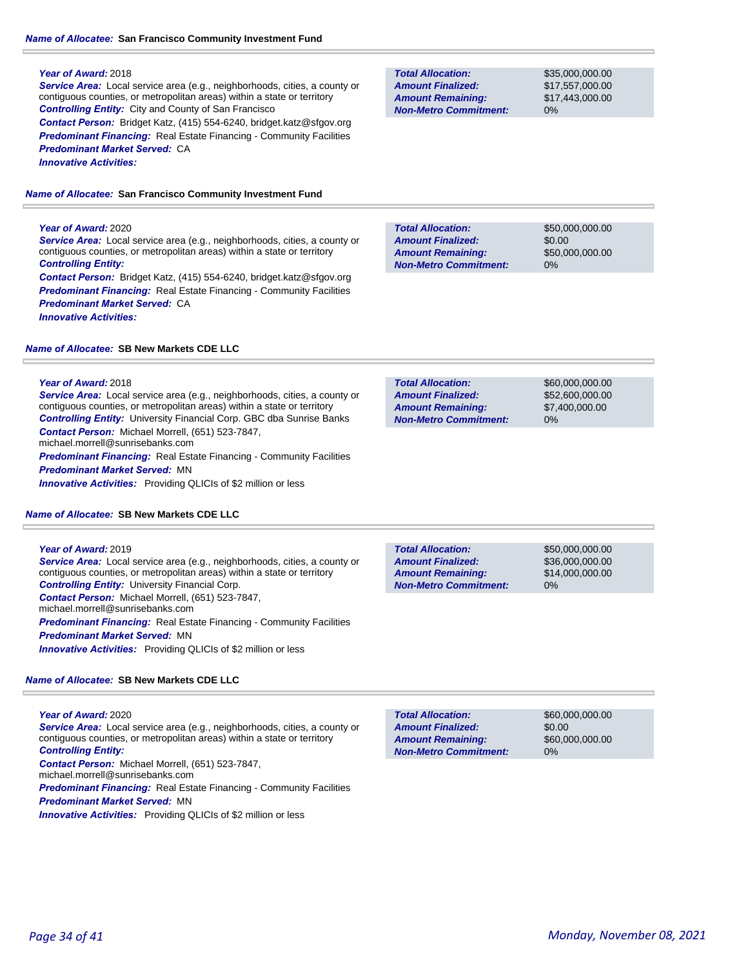### *Name of Allocatee:* **San Francisco Community Investment Fund**

#### **Year of Award:** 2018

*Service Area:* Local service area (e.g., neighborhoods, cities, a county or contiguous counties, or metropolitan areas) within a state or territory *Controlling Entity:* City and County of San Francisco *Contact Person:* Bridget Katz, (415) 554-6240, bridget.katz@sfgov.org **Predominant Financing:** Real Estate Financing - Community Facilities *Predominant Market Served:* CA *Innovative Activities:* 

*Name of Allocatee:* **San Francisco Community Investment Fund**

#### **Year of Award:** 2020

*Service Area:* Local service area (e.g., neighborhoods, cities, a county or contiguous counties, or metropolitan areas) within a state or territory *Controlling Entity:* 

*Contact Person:* Bridget Katz, (415) 554-6240, bridget.katz@sfgov.org **Predominant Financing:** Real Estate Financing - Community Facilities *Predominant Market Served:* CA *Innovative Activities:* 

#### *Name of Allocatee:* **SB New Markets CDE LLC**

#### **Year of Award:** 2018

*Service Area:* Local service area (e.g., neighborhoods, cities, a county or contiguous counties, or metropolitan areas) within a state or territory *Controlling Entity:* University Financial Corp. GBC dba Sunrise Banks *Contact Person:* Michael Morrell, (651) 523-7847, michael.morrell@sunrisebanks.com

*Predominant Financing:* Real Estate Financing - Community Facilities

### *Predominant Market Served:* MN

*Innovative Activities:* Providing QLICIs of \$2 million or less

#### *Name of Allocatee:* **SB New Markets CDE LLC**

#### **Year of Award:** 2019

*Service Area:* Local service area (e.g., neighborhoods, cities, a county or contiguous counties, or metropolitan areas) within a state or territory *Controlling Entity:* University Financial Corp. *Contact Person:* Michael Morrell, (651) 523-7847, michael.morrell@sunrisebanks.com **Predominant Financing:** Real Estate Financing - Community Facilities *Predominant Market Served:* MN *Innovative Activities:* Providing QLICIs of \$2 million or less

#### *Name of Allocatee:* **SB New Markets CDE LLC**

#### **Year of Award:** 2020

*Service Area:* Local service area (e.g., neighborhoods, cities, a county or contiguous counties, or metropolitan areas) within a state or territory *Controlling Entity:* 

*Contact Person:* Michael Morrell, (651) 523-7847,

michael.morrell@sunrisebanks.com

*Predominant Financing:* Real Estate Financing - Community Facilities *Predominant Market Served:* MN

**Innovative Activities:** Providing QLICIs of \$2 million or less

| <b>Total Allocation:</b>     |  |
|------------------------------|--|
| <b>Amount Finalized:</b>     |  |
| <b>Amount Remaining:</b>     |  |
| <b>Non-Metro Commitment:</b> |  |

\$35,000,000.00 \$17,557,000.00 \$17,443,000.00 0%

\$50,000,000.00 \$0.00 \$50,000,000.00 0% **Total Allocation: Non-Metro Commitment: Amount Remaining: Amount Finalized:**

**Total Allocation: Non-Metro Commitment: Amount Remaining: Amount Finalized:**

\$60,000,000.00 \$52,600,000.00 \$7,400,000.00 0%

**Total Allocation: Non-Metro Commitment: Amount Remaining: Amount Finalized:**

\$50,000,000.00 \$36,000,000.00 \$14,000,000.00 0%

\$60,000,000.00 \$0.00 \$60,000,000.00 0% **Total Allocation: Non-Metro Commitment: Amount Remaining: Amount Finalized:**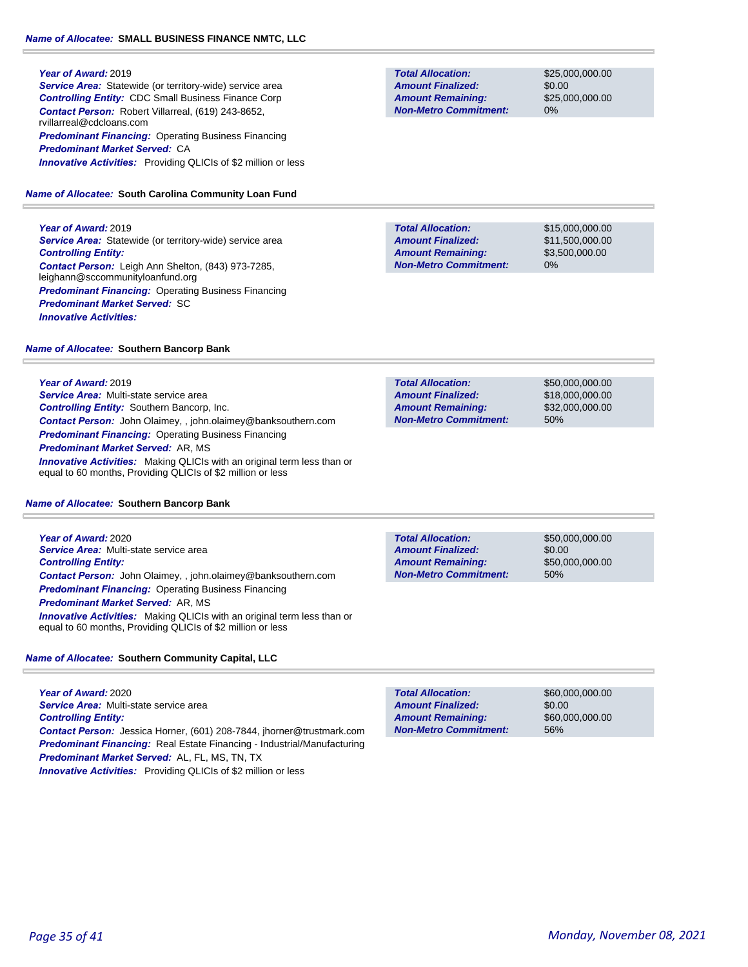#### **Year of Award:** 2019

**Service Area:** Statewide (or territory-wide) service area *Controlling Entity:* CDC Small Business Finance Corp *Contact Person:* Robert Villarreal, (619) 243-8652, rvillarreal@cdcloans.com **Predominant Financing: Operating Business Financing** *Predominant Market Served:* CA *Innovative Activities:* Providing QLICIs of \$2 million or less

### *Name of Allocatee:* **South Carolina Community Loan Fund**

**Year of Award:** 2019

**Service Area:** Statewide (or territory-wide) service area *Controlling Entity: Contact Person:* Leigh Ann Shelton, (843) 973-7285, leighann@sccommunityloanfund.org **Predominant Financing: Operating Business Financing** *Predominant Market Served:* SC *Innovative Activities:* 

#### *Name of Allocatee:* **Southern Bancorp Bank**

**Year of Award:** 2019

*Service Area:* Multi-state service area *Controlling Entity:* Southern Bancorp, Inc. *Contact Person:* John Olaimey, , john.olaimey@banksouthern.com *Predominant Financing:* Operating Business Financing *Predominant Market Served:* AR, MS **Innovative Activities:** Making QLICIs with an original term less than or equal to 60 months, Providing QLICIs of \$2 million or less

#### *Name of Allocatee:* **Southern Bancorp Bank**

**Year of Award:** 2020 *Service Area:* Multi-state service area *Controlling Entity: Contact Person:* John Olaimey, , john.olaimey@banksouthern.com *Predominant Financing:* Operating Business Financing *Predominant Market Served:* AR, MS **Innovative Activities:** Making QLICIs with an original term less than or equal to 60 months, Providing QLICIs of \$2 million or less

*Name of Allocatee:* **Southern Community Capital, LLC**

**Year of Award:** 2020 *Service Area:* Multi-state service area *Controlling Entity: Contact Person:* Jessica Horner, (601) 208-7844, jhorner@trustmark.com *Predominant Financing:* Real Estate Financing - Industrial/Manufacturing *Predominant Market Served:* AL, FL, MS, TN, TX *Innovative Activities:* Providing QLICIs of \$2 million or less

**Total Allocation: Non-Metro Commitment: Amount Remaining: Amount Finalized:**

\$25,000,000.00 \$0.00 \$25,000,000.00 0%

**Total Allocation: Non-Metro Commitment: Amount Remaining: Amount Finalized:**

\$15,000,000.00 \$11,500,000.00 \$3,500,000.00 0%

**Total Allocation: Non-Metro Commitment: Amount Remaining: Amount Finalized:**

\$50,000,000.00 \$18,000,000.00 \$32,000,000.00 50%

**Total Allocation: Non-Metro Commitment: Amount Remaining: Amount Finalized:**

\$50,000,000.00 \$0.00 \$50,000,000.00 50%

\$60,000,000.00 \$0.00 \$60,000,000.00 56% **Total Allocation: Non-Metro Commitment: Amount Remaining: Amount Finalized:**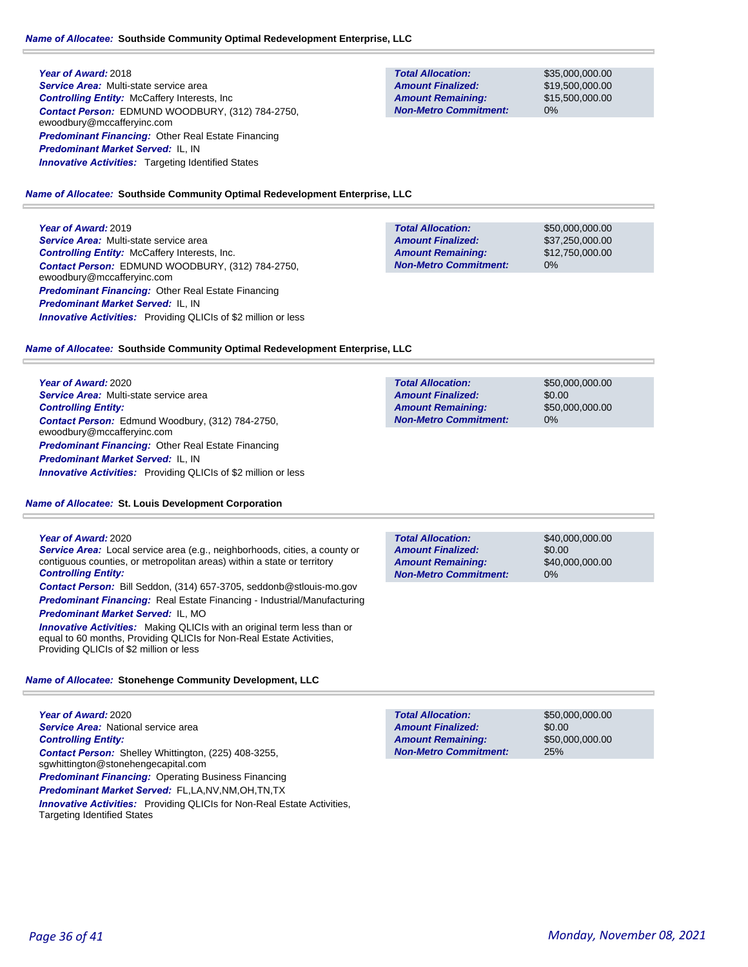### **Year of Award:** 2018

*Service Area:* Multi-state service area *Controlling Entity:* McCaffery Interests, Inc *Contact Person:* EDMUND WOODBURY, (312) 784-2750, ewoodbury@mccafferyinc.com *Predominant Financing:* Other Real Estate Financing *Predominant Market Served:* IL, IN **Innovative Activities:** Targeting Identified States

**Total Allocation: Non-Metro Commitment: Amount Remaining: Amount Finalized:**

\$35,000,000.00 \$19,500,000.00 \$15,500,000.00 0%

#### *Name of Allocatee:* **Southside Community Optimal Redevelopment Enterprise, LLC**

**Year of Award:** 2019

*Service Area:* Multi-state service area *Controlling Entity:* McCaffery Interests, Inc. *Contact Person:* EDMUND WOODBURY, (312) 784-2750, ewoodbury@mccafferyinc.com **Predominant Financing: Other Real Estate Financing** *Predominant Market Served:* IL, IN *Innovative Activities:* Providing QLICIs of \$2 million or less

| <b>Total Allocation:</b>     | \$50,000,000,00 |
|------------------------------|-----------------|
| <b>Amount Finalized:</b>     | \$37,250,000.00 |
| <b>Amount Remaining:</b>     | \$12,750,000.00 |
| <b>Non-Metro Commitment:</b> | $0\%$           |

#### *Name of Allocatee:* **Southside Community Optimal Redevelopment Enterprise, LLC**

**Year of Award:** 2020 *Service Area:* Multi-state service area *Controlling Entity: Contact Person:* Edmund Woodbury, (312) 784-2750, ewoodbury@mccafferyinc.com *Predominant Financing:* Other Real Estate Financing *Predominant Market Served:* IL, IN *Innovative Activities:* Providing QLICIs of \$2 million or less

### *Name of Allocatee:* **St. Louis Development Corporation**

#### **Year of Award:** 2020

*Service Area:* Local service area (e.g., neighborhoods, cities, a county or contiguous counties, or metropolitan areas) within a state or territory *Controlling Entity:* 

*Contact Person:* Bill Seddon, (314) 657-3705, seddonb@stlouis-mo.gov *Predominant Financing:* Real Estate Financing - Industrial/Manufacturing

*Predominant Market Served:* IL, MO

*Innovative Activities:* Making QLICIs with an original term less than or equal to 60 months, Providing QLICIs for Non-Real Estate Activities, Providing QLICIs of \$2 million or less

#### *Name of Allocatee:* **Stonehenge Community Development, LLC**

**Year of Award:** 2020 **Service Area:** National service area *Controlling Entity: Contact Person:* Shelley Whittington, (225) 408-3255, sgwhittington@stonehengecapital.com *Predominant Financing: Operating Business Financing Predominant Market Served:* FL,LA,NV,NM,OH,TN,TX *Innovative Activities:* Providing QLICIs for Non-Real Estate Activities, Targeting Identified States

| <b>Total Allocation:</b> | \$50,000,000,00 |
|--------------------------|-----------------|
| <b>Amount Finalized:</b> | \$0.00          |
| <b>Amount Remaining:</b> | \$50,000,000.00 |

**Non-Metro Commitment:**

25%

**Total Allocation: Non-Metro Commitment: Amount Remaining: Amount Finalized:**

\$0.00 \$50,000,000.00 0%

\$50,000,000.00

\$40,000,000.00 \$0.00 \$40,000,000.00 0% **Total Allocation: Non-Metro Commitment: Amount Remaining: Amount Finalized:**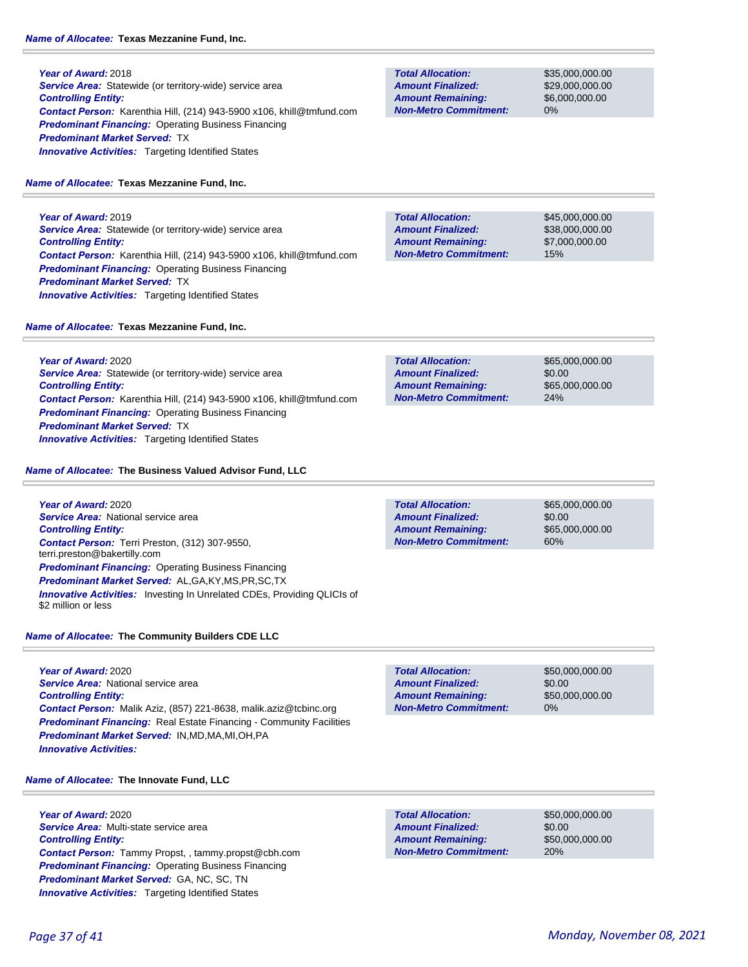**Year of Award:** 2018 **Service Area:** Statewide (or territory-wide) service area *Controlling Entity: Contact Person:* Karenthia Hill, (214) 943-5900 x106, khill@tmfund.com *Predominant Financing:* Operating Business Financing *Predominant Market Served:* TX **Innovative Activities:** Targeting Identified States

### *Name of Allocatee:* **Texas Mezzanine Fund, Inc.**

**Year of Award:** 2019 **Service Area:** Statewide (or territory-wide) service area *Controlling Entity: Contact Person:* Karenthia Hill, (214) 943-5900 x106, khill@tmfund.com *Predominant Financing:* Operating Business Financing *Predominant Market Served:* TX **Innovative Activities:** Targeting Identified States

### *Name of Allocatee:* **Texas Mezzanine Fund, Inc.**

**Year of Award:** 2020 **Service Area:** Statewide (or territory-wide) service area *Controlling Entity: Contact Person:* Karenthia Hill, (214) 943-5900 x106, khill@tmfund.com *Predominant Financing: Operating Business Financing Predominant Market Served:* TX *Innovative Activities:* Targeting Identified States

*Name of Allocatee:* **The Business Valued Advisor Fund, LLC**

**Year of Award:** 2020 **Service Area: National service area** *Controlling Entity: Contact Person:* Terri Preston, (312) 307-9550, terri.preston@bakertilly.com *Predominant Financing: Operating Business Financing Predominant Market Served:* AL,GA,KY,MS,PR,SC,TX *Innovative Activities:* Investing In Unrelated CDEs, Providing QLICIs of \$2 million or less

*Name of Allocatee:* **The Community Builders CDE LLC**

**Year of Award:** 2020 *Service Area:* National service area *Controlling Entity: Contact Person:* Malik Aziz, (857) 221-8638, malik.aziz@tcbinc.org *Predominant Financing:* Real Estate Financing - Community Facilities *Predominant Market Served:* IN,MD,MA,MI,OH,PA *Innovative Activities:* 

**Total Allocation: Non-Metro Commitment: Amount Remaining: Amount Finalized:**

\$50,000,000.00 \$0.00 \$50,000,000.00 0%

#### *Name of Allocatee:* **The Innovate Fund, LLC**

**Year of Award:** 2020 *Service Area:* Multi-state service area *Controlling Entity: Contact Person:* Tammy Propst, , tammy.propst@cbh.com *Predominant Financing:* Operating Business Financing *Predominant Market Served:* GA, NC, SC, TN **Innovative Activities:** Targeting Identified States

| <b>Amount Finalized:</b>     |
|------------------------------|
| <b>Amount Remaining:</b>     |
| <b>Non-Metro Commitment:</b> |
|                              |

**Total Allocation:**

\$35,000,000.00 \$29,000,000.00 \$6,000,000.00 0%

**Total Allocation: Non-Metro Commitment: Amount Remaining: Amount Finalized:**

\$45,000,000.00 \$38,000,000.00 \$7,000,000.00 15%

\$65,000,000.00 \$0.00 \$65,000,000.00 24% **Total Allocation: Non-Metro Commitment: Amount Remaining: Amount Finalized:**

**Total Allocation: Non-Metro Commitment: Amount Remaining: Amount Finalized:**

\$65,000,000.00 \$0.00 \$65,000,000.00 60%

**Total Allocation: Non-Metro Commitment: Amount Remaining: Amount Finalized:**

\$50,000,000.00 \$0.00 \$50,000,000.00 20%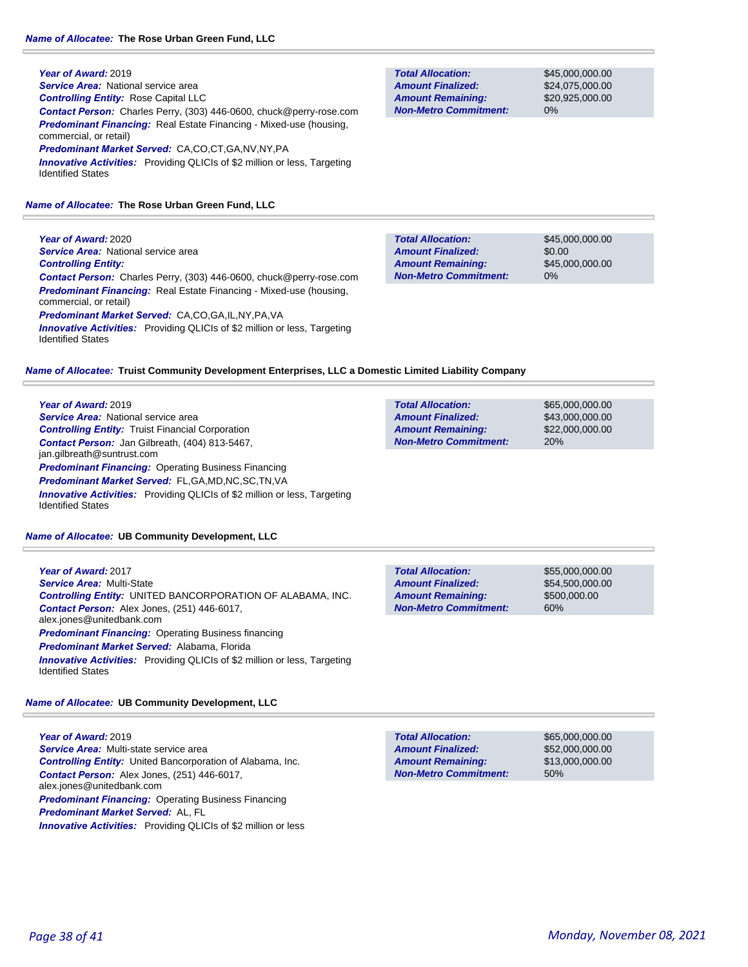**Year of Award:** 2019 *Service Area:* National service area *Controlling Entity:* Rose Capital LLC *Contact Person:* Charles Perry, (303) 446-0600, chuck@perry-rose.com *Predominant Financing:* Real Estate Financing - Mixed-use (housing, commercial, or retail) *Predominant Market Served:* CA,CO,CT,GA,NV,NY,PA

**Innovative Activities:** Providing QLICIs of \$2 million or less, Targeting Identified States

*Name of Allocatee:* **The Rose Urban Green Fund, LLC**

**Year of Award:** 2020 **Service Area:** National service area *Controlling Entity: Contact Person:* Charles Perry, (303) 446-0600, chuck@perry-rose.com *Predominant Financing:* Real Estate Financing - Mixed-use (housing, commercial, or retail) *Predominant Market Served:* CA,CO,GA,IL,NY,PA,VA **Innovative Activities:** Providing QLICIs of \$2 million or less, Targeting Identified States

**Total Allocation: Non-Metro Commitment: Amount Remaining: Amount Finalized:**

**Total Allocation:**

**Non-Metro Commitment: Amount Remaining: Amount Finalized:**

\$45,000,000.00 \$24,075,000.00 \$20,925,000.00 0%

\$65,000,000.00 \$43,000,000.00 \$22,000,000.00

20%

\$45,000,000.00 \$0.00 \$45,000,000.00 0% **Total Allocation: Non-Metro Commitment: Amount Remaining: Amount Finalized:**

*Name of Allocatee:* **Truist Community Development Enterprises, LLC a Domestic Limited Liability Company**

**Year of Award:** 2019 *Service Area:* National service area *Controlling Entity:* Truist Financial Corporation *Contact Person:* Jan Gilbreath, (404) 813-5467, jan.gilbreath@suntrust.com *Predominant Financing: Operating Business Financing Predominant Market Served:* FL,GA,MD,NC,SC,TN,VA *Innovative Activities:* Providing QLICIs of \$2 million or less, Targeting Identified States

*Name of Allocatee:* **UB Community Development, LLC**

| Year of Award: 2017<br><b>Service Area: Multi-State</b><br><b>Controlling Entity: UNITED BANCORPORATION OF ALABAMA, INC.</b><br><b>Contact Person:</b> Alex Jones, (251) 446-6017, | <b>Total Allocation:</b><br><b>Amount Finalized:</b><br><b>Amount Remaining:</b><br><b>Non-Metro Commitment:</b> | \$55,000,000.00<br>\$54,500,000.00<br>\$500,000.00<br>60% |
|------------------------------------------------------------------------------------------------------------------------------------------------------------------------------------|------------------------------------------------------------------------------------------------------------------|-----------------------------------------------------------|
| alex.jones@unitedbank.com<br><b>Predominant Financing:</b> Operating Business financing                                                                                            |                                                                                                                  |                                                           |
| <b>Predominant Market Served: Alabama, Florida</b>                                                                                                                                 |                                                                                                                  |                                                           |
| <b>Innovative Activities:</b> Providing QLICIs of \$2 million or less, Targeting<br><b>Identified States</b>                                                                       |                                                                                                                  |                                                           |

*Name of Allocatee:* **UB Community Development, LLC**

**Year of Award:** 2019 *Service Area:* Multi-state service area *Controlling Entity:* United Bancorporation of Alabama, Inc. *Contact Person:* Alex Jones, (251) 446-6017, alex.jones@unitedbank.com **Predominant Financing: Operating Business Financing** *Predominant Market Served:* AL, FL *Innovative Activities:* Providing QLICIs of \$2 million or less

**Total Allocation: Non-Metro Commitment: Amount Remaining: Amount Finalized:**

\$65,000,000.00 \$52,000,000.00 \$13,000,000.00 50%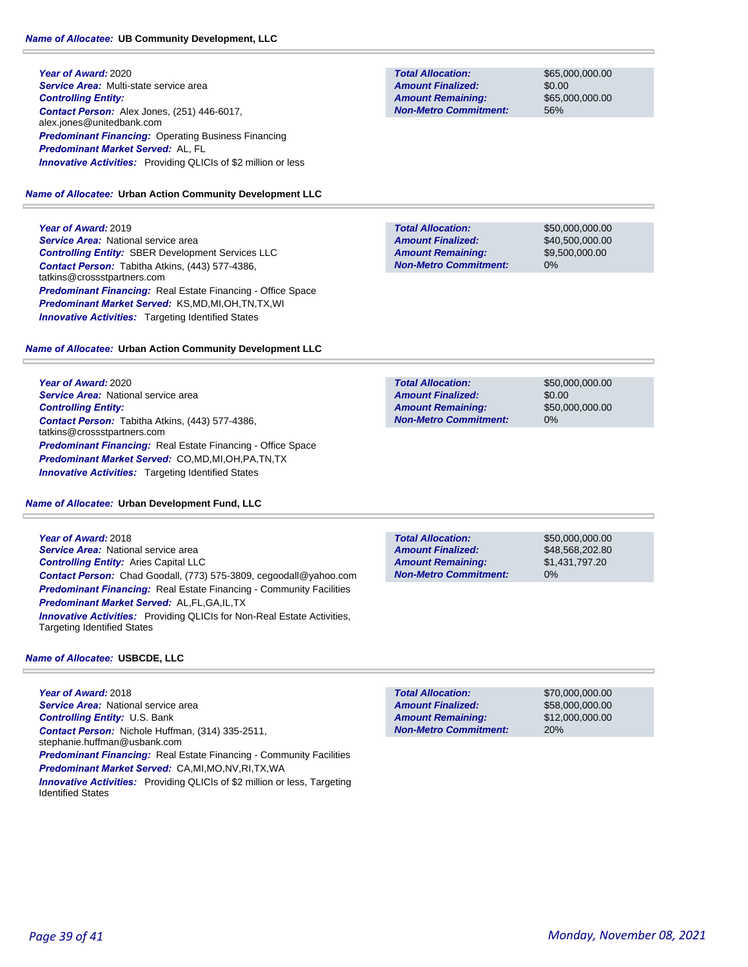**Year of Award:** 2020 *Service Area:* Multi-state service area *Controlling Entity: Contact Person:* Alex Jones, (251) 446-6017, alex.jones@unitedbank.com *Predominant Financing:* Operating Business Financing *Predominant Market Served:* AL, FL *Innovative Activities:* Providing QLICIs of \$2 million or less

### *Name of Allocatee:* **Urban Action Community Development LLC**

**Year of Award:** 2019 **Service Area: National service area** *Controlling Entity:* SBER Development Services LLC *Contact Person:* Tabitha Atkins, (443) 577-4386, tatkins@crossstpartners.com *Predominant Financing:* Real Estate Financing - Office Space *Predominant Market Served:* KS,MD,MI,OH,TN,TX,WI **Innovative Activities:** Targeting Identified States

### *Name of Allocatee:* **Urban Action Community Development LLC**

**Year of Award:** 2020 **Service Area: National service area** *Controlling Entity: Contact Person:* Tabitha Atkins, (443) 577-4386, tatkins@crossstpartners.com *Predominant Financing:* Real Estate Financing - Office Space *Predominant Market Served:* CO,MD,MI,OH,PA,TN,TX **Innovative Activities:** Targeting Identified States

### *Name of Allocatee:* **Urban Development Fund, LLC**

**Year of Award:** 2018 **Service Area:** National service area *Controlling Entity:* Aries Capital LLC *Contact Person:* Chad Goodall, (773) 575-3809, cegoodall@yahoo.com **Predominant Financing:** Real Estate Financing - Community Facilities

*Predominant Market Served:* AL,FL,GA,IL,TX *Innovative Activities:* Providing QLICIs for Non-Real Estate Activities, Targeting Identified States

### *Name of Allocatee:* **USBCDE, LLC**

**Year of Award:** 2018 **Service Area: National service area** *Controlling Entity:* U.S. Bank *Contact Person:* Nichole Huffman, (314) 335-2511, stephanie.huffman@usbank.com *Predominant Financing:* Real Estate Financing - Community Facilities *Predominant Market Served:* CA,MI,MO,NV,RI,TX,WA **Innovative Activities:** Providing QLICIs of \$2 million or less, Targeting Identified States

**Total Allocation: Non-Metro Commitment: Amount Remaining: Amount Finalized:**

\$65,000,000.00 \$0.00 \$65,000,000.00 56%

**Total Allocation: Non-Metro Commitment: Amount Remaining: Amount Finalized:**

\$50,000,000.00 \$40,500,000.00 \$9,500,000.00 0%

**Total Allocation: Non-Metro Commitment: Amount Remaining: Amount Finalized:**

\$50,000,000.00 \$0.00 \$50,000,000.00 0%

**Total Allocation: Non-Metro Commitment: Amount Remaining: Amount Finalized:**

\$50,000,000.00 \$48,568,202.80 \$1,431,797.20 0%

\$70,000,000.00 \$58,000,000.00 \$12,000,000.00 20% **Total Allocation: Non-Metro Commitment: Amount Remaining: Amount Finalized:**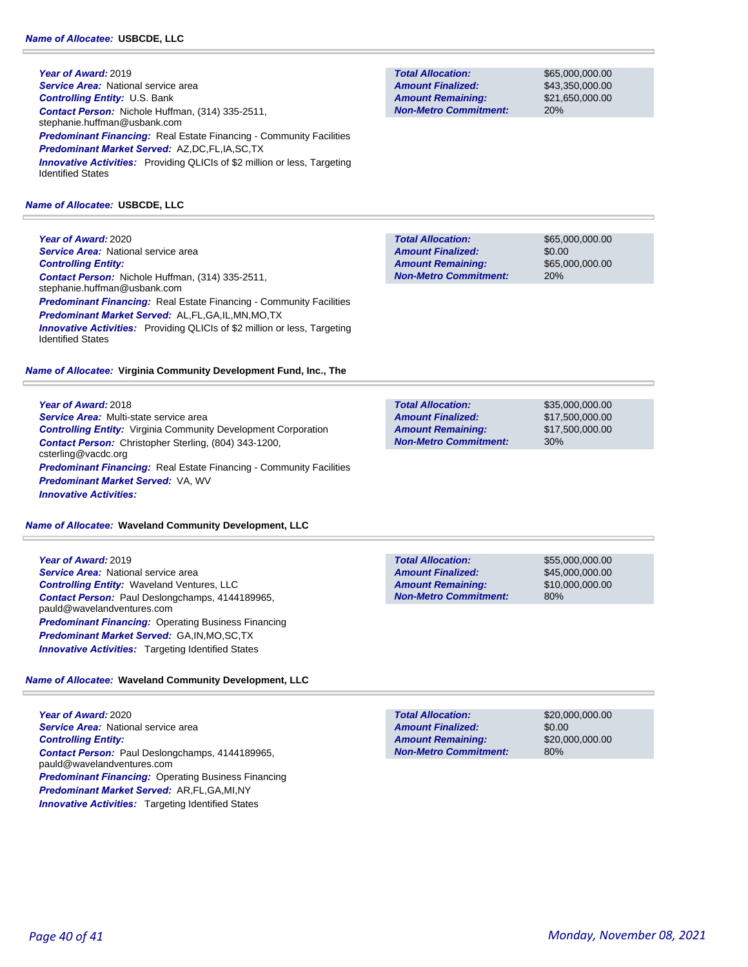**Year of Award:** 2019 **Service Area: National service area** *Controlling Entity:* U.S. Bank *Contact Person:* Nichole Huffman, (314) 335-2511, stephanie.huffman@usbank.com **Predominant Financing:** Real Estate Financing - Community Facilities *Predominant Market Served:* AZ,DC,FL,IA,SC,TX **Innovative Activities:** Providing QLICIs of \$2 million or less, Targeting Identified States

#### *Name of Allocatee:* **USBCDE, LLC**

**Year of Award:** 2020 **Service Area:** National service area *Controlling Entity: Contact Person:* Nichole Huffman, (314) 335-2511, stephanie.huffman@usbank.com **Predominant Financing:** Real Estate Financing - Community Facilities *Predominant Market Served:* AL,FL,GA,IL,MN,MO,TX **Innovative Activities:** Providing QLICIs of \$2 million or less, Targeting Identified States

#### *Name of Allocatee:* **Virginia Community Development Fund, Inc., The**

#### **Year of Award:** 2018

*Service Area:* Multi-state service area *Controlling Entity:* Virginia Community Development Corporation *Contact Person:* Christopher Sterling, (804) 343-1200, csterling@vacdc.org **Predominant Financing:** Real Estate Financing - Community Facilities *Predominant Market Served:* VA, WV *Innovative Activities:* 

#### *Name of Allocatee:* **Waveland Community Development, LLC**

**Year of Award:** 2019 *Service Area:* National service area *Controlling Entity:* Waveland Ventures, LLC *Contact Person:* Paul Deslongchamps, 4144189965, pauld@wavelandventures.com *Predominant Financing: Operating Business Financing Predominant Market Served:* GA,IN,MO,SC,TX *Innovative Activities:* Targeting Identified States

#### *Name of Allocatee:* **Waveland Community Development, LLC**

**Year of Award:** 2020 **Service Area:** National service area *Controlling Entity: Contact Person:* Paul Deslongchamps, 4144189965, pauld@wavelandventures.com *Predominant Financing: Operating Business Financing Predominant Market Served:* AR,FL,GA,MI,NY **Innovative Activities:** Targeting Identified States

**Total Allocation: Non-Metro Commitment: Amount Remaining: Amount Finalized:**

\$65,000,000.00 \$43,350,000.00 \$21,650,000.00 20%

**Total Allocation: Non-Metro Commitment: Amount Remaining: Amount Finalized:**

\$65,000,000.00 \$0.00 \$65,000,000.00 20%

\$35,000,000.00 \$17,500,000.00 \$17,500,000.00 30% **Total Allocation: Non-Metro Commitment: Amount Remaining: Amount Finalized:**

**Total Allocation: Non-Metro Commitment: Amount Remaining: Amount Finalized:**

\$55,000,000.00 \$45,000,000.00 \$10,000,000.00 80%

\$20,000,000.00 \$0.00 \$20,000,000.00 80% **Total Allocation: Non-Metro Commitment: Amount Remaining: Amount Finalized:**